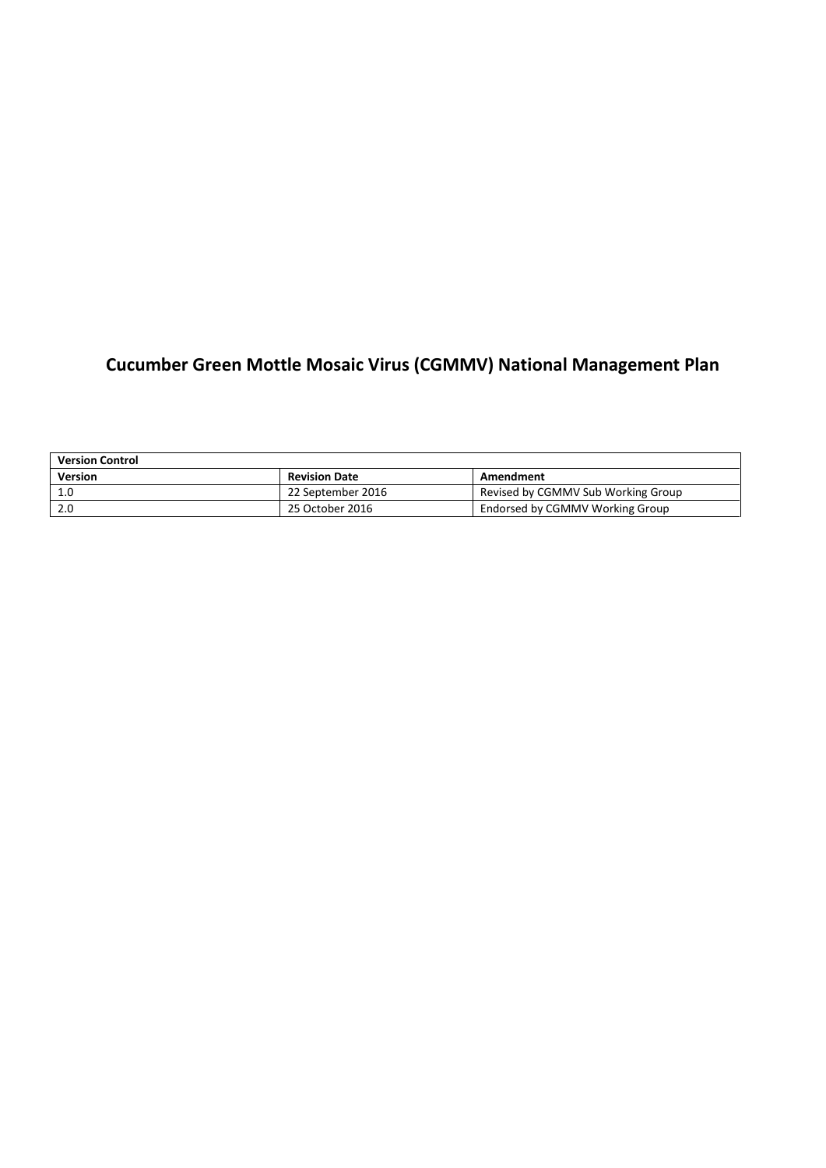# **Cucumber Green Mottle Mosaic Virus (CGMMV) National Management Plan**

| <b>Version Control</b> |                      |                                    |
|------------------------|----------------------|------------------------------------|
| <b>Version</b>         | <b>Revision Date</b> | Amendment                          |
| 1.0                    | 22 September 2016    | Revised by CGMMV Sub Working Group |
| 2.0                    | 25 October 2016      | Endorsed by CGMMV Working Group    |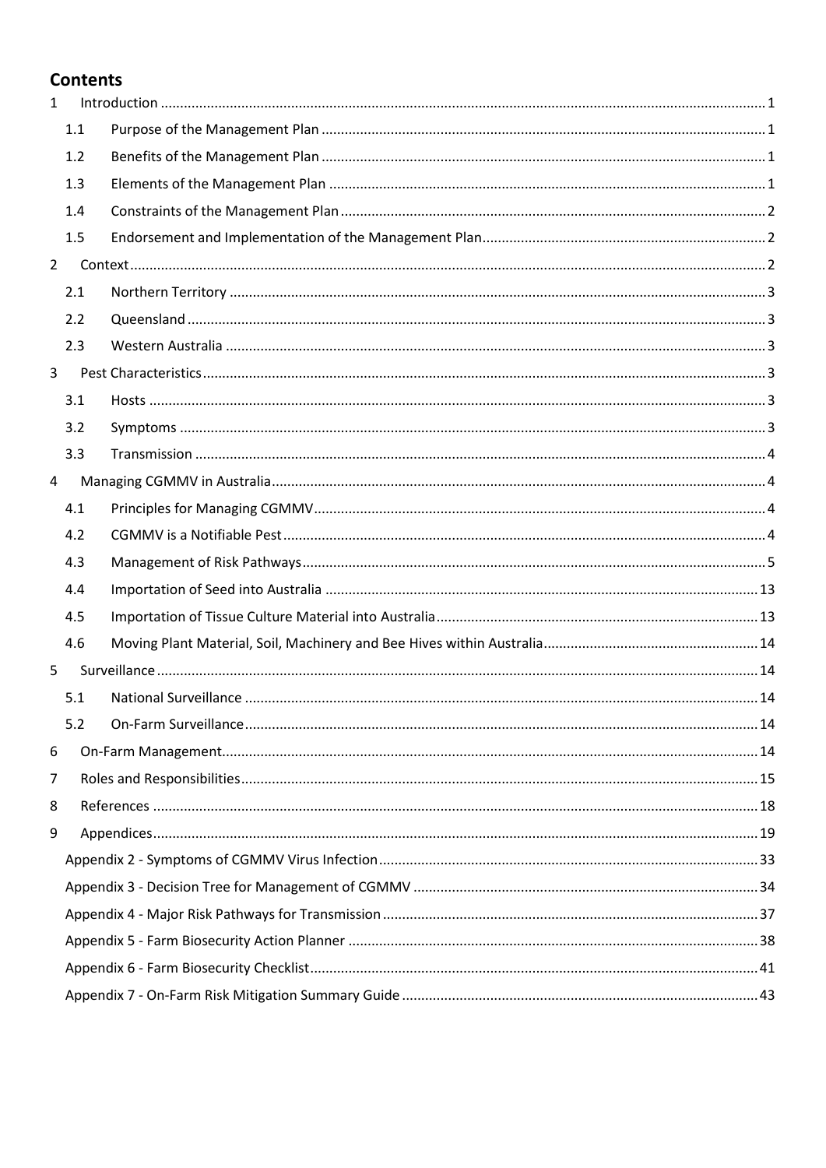# **Contents**

| $\mathbf{1}$   |     |  |
|----------------|-----|--|
|                | 1.1 |  |
|                | 1.2 |  |
|                | 1.3 |  |
|                | 1.4 |  |
|                | 1.5 |  |
| $2^{\circ}$    |     |  |
|                | 2.1 |  |
|                | 2.2 |  |
|                | 2.3 |  |
| $\mathbf{3}$   |     |  |
|                | 3.1 |  |
|                | 3.2 |  |
|                | 3.3 |  |
| 4              |     |  |
|                | 4.1 |  |
|                | 4.2 |  |
|                | 4.3 |  |
|                | 4.4 |  |
|                | 4.5 |  |
|                | 4.6 |  |
| 5              |     |  |
|                | 5.1 |  |
|                | 5.2 |  |
| 6              |     |  |
| $\overline{7}$ |     |  |
| 8              |     |  |
| 9              |     |  |
|                |     |  |
|                |     |  |
|                |     |  |
|                |     |  |
|                |     |  |
|                |     |  |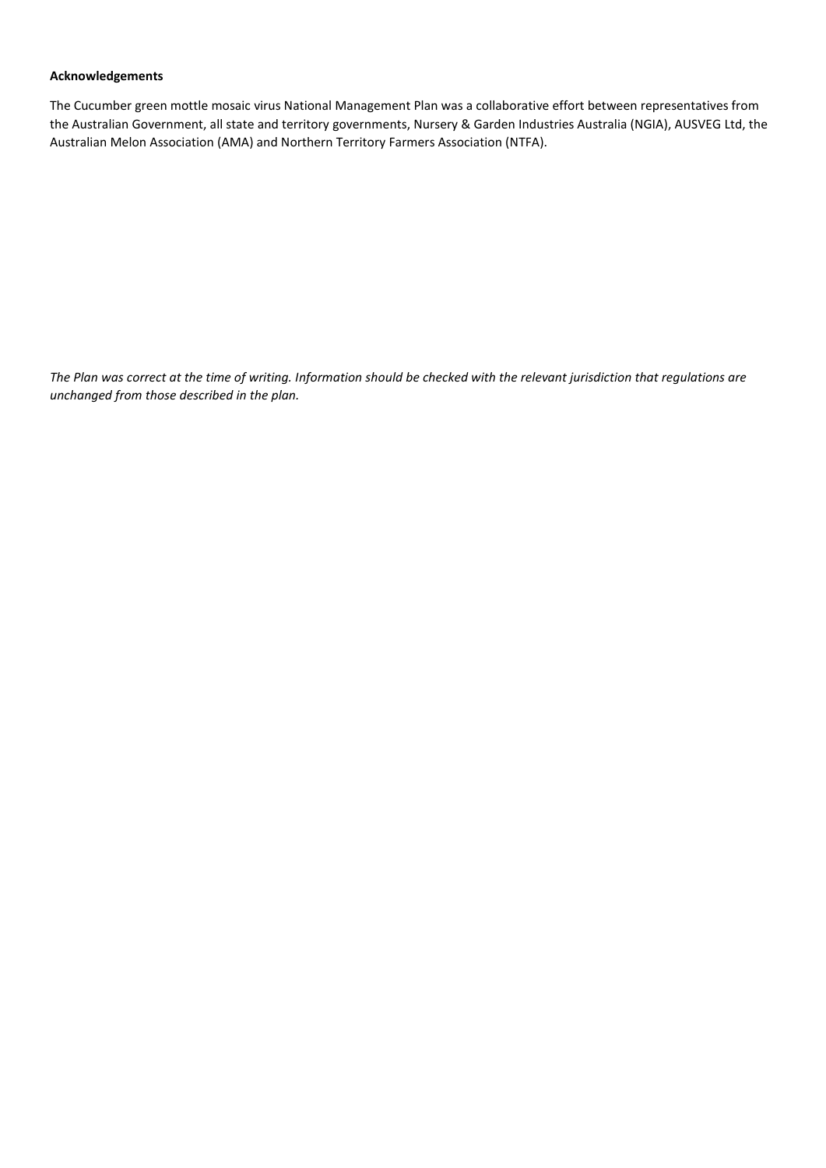#### **Acknowledgements**

The Cucumber green mottle mosaic virus National Management Plan was a collaborative effort between representatives from the Australian Government, all state and territory governments, Nursery & Garden Industries Australia (NGIA), AUSVEG Ltd, the Australian Melon Association (AMA) and Northern Territory Farmers Association (NTFA).

*The Plan was correct at the time of writing. Information should be checked with the relevant jurisdiction that regulations are unchanged from those described in the plan.*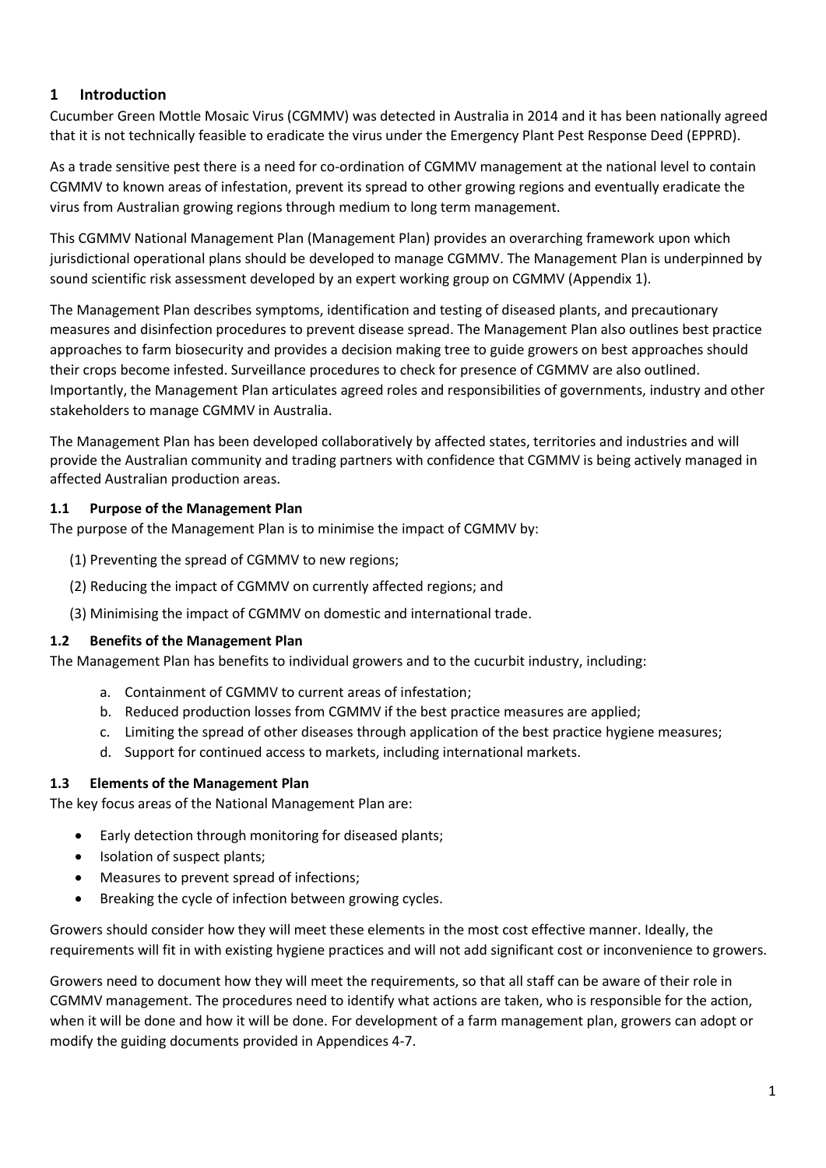# <span id="page-3-0"></span>**1 Introduction**

Cucumber Green Mottle Mosaic Virus (CGMMV) was detected in Australia in 2014 and it has been nationally agreed that it is not technically feasible to eradicate the virus under the Emergency Plant Pest Response Deed (EPPRD).

As a trade sensitive pest there is a need for co-ordination of CGMMV management at the national level to contain CGMMV to known areas of infestation, prevent its spread to other growing regions and eventually eradicate the virus from Australian growing regions through medium to long term management.

This CGMMV National Management Plan (Management Plan) provides an overarching framework upon which jurisdictional operational plans should be developed to manage CGMMV. The Management Plan is underpinned by sound scientific risk assessment developed by an expert working group on CGMMV (Appendix 1).

The Management Plan describes symptoms, identification and testing of diseased plants, and precautionary measures and disinfection procedures to prevent disease spread. The Management Plan also outlines best practice approaches to farm biosecurity and provides a decision making tree to guide growers on best approaches should their crops become infested. Surveillance procedures to check for presence of CGMMV are also outlined. Importantly, the Management Plan articulates agreed roles and responsibilities of governments, industry and other stakeholders to manage CGMMV in Australia.

The Management Plan has been developed collaboratively by affected states, territories and industries and will provide the Australian community and trading partners with confidence that CGMMV is being actively managed in affected Australian production areas.

#### <span id="page-3-1"></span>**1.1 Purpose of the Management Plan**

The purpose of the Management Plan is to minimise the impact of CGMMV by:

- (1) Preventing the spread of CGMMV to new regions;
- (2) Reducing the impact of CGMMV on currently affected regions; and
- (3) Minimising the impact of CGMMV on domestic and international trade.

#### <span id="page-3-2"></span>**1.2 Benefits of the Management Plan**

The Management Plan has benefits to individual growers and to the cucurbit industry, including:

- a. Containment of CGMMV to current areas of infestation;
- b. Reduced production losses from CGMMV if the best practice measures are applied;
- c. Limiting the spread of other diseases through application of the best practice hygiene measures;
- d. Support for continued access to markets, including international markets.

#### <span id="page-3-3"></span>**1.3 Elements of the Management Plan**

The key focus areas of the National Management Plan are:

- Early detection through monitoring for diseased plants;
- Isolation of suspect plants;
- Measures to prevent spread of infections;
- Breaking the cycle of infection between growing cycles.

Growers should consider how they will meet these elements in the most cost effective manner. Ideally, the requirements will fit in with existing hygiene practices and will not add significant cost or inconvenience to growers.

Growers need to document how they will meet the requirements, so that all staff can be aware of their role in CGMMV management. The procedures need to identify what actions are taken, who is responsible for the action, when it will be done and how it will be done. For development of a farm management plan, growers can adopt or modify the guiding documents provided in Appendices 4-7.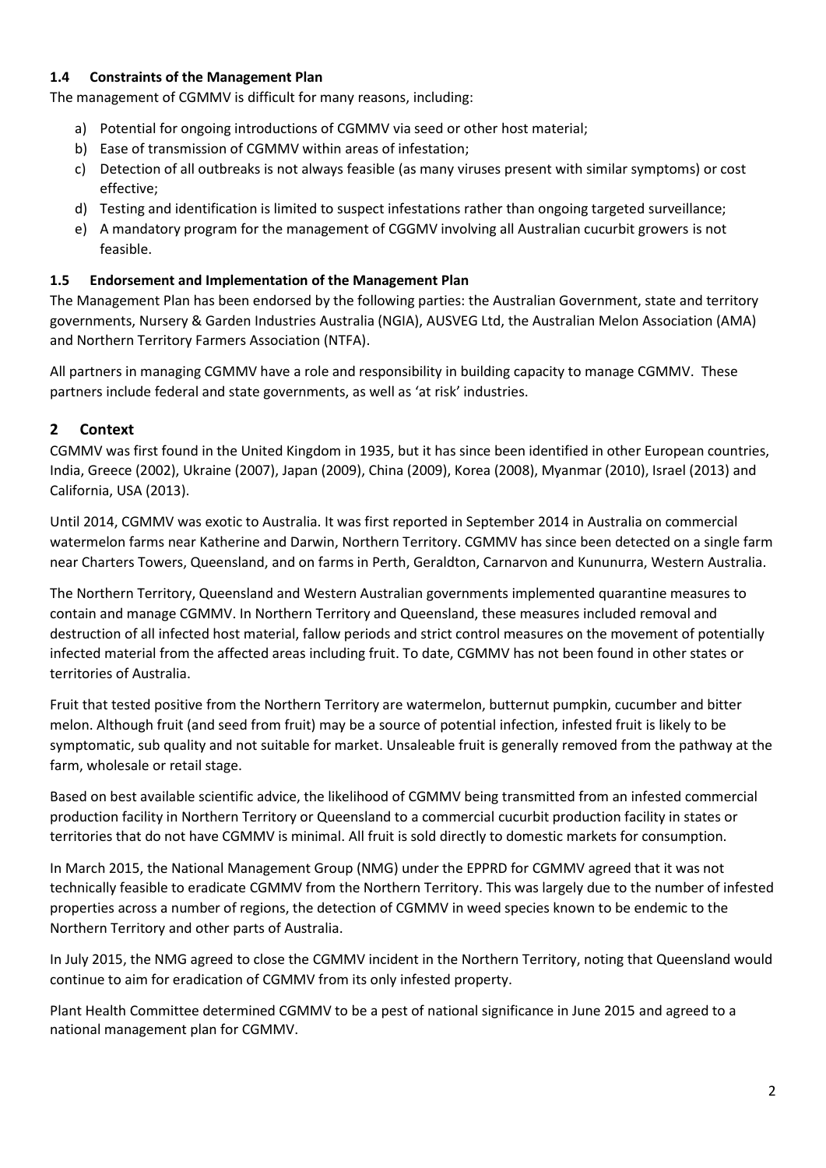### <span id="page-4-0"></span>**1.4 Constraints of the Management Plan**

The management of CGMMV is difficult for many reasons, including:

- a) Potential for ongoing introductions of CGMMV via seed or other host material;
- b) Ease of transmission of CGMMV within areas of infestation;
- c) Detection of all outbreaks is not always feasible (as many viruses present with similar symptoms) or cost effective;
- d) Testing and identification is limited to suspect infestations rather than ongoing targeted surveillance;
- e) A mandatory program for the management of CGGMV involving all Australian cucurbit growers is not feasible.

### <span id="page-4-1"></span>**1.5 Endorsement and Implementation of the Management Plan**

The Management Plan has been endorsed by the following parties: the Australian Government, state and territory governments, Nursery & Garden Industries Australia (NGIA), AUSVEG Ltd, the Australian Melon Association (AMA) and Northern Territory Farmers Association (NTFA).

All partners in managing CGMMV have a role and responsibility in building capacity to manage CGMMV. These partners include federal and state governments, as well as 'at risk' industries.

# <span id="page-4-2"></span>**2 Context**

CGMMV was first found in the United Kingdom in 1935, but it has since been identified in other European countries, India, Greece (2002), Ukraine (2007), Japan (2009), China (2009), Korea (2008), Myanmar (2010), Israel (2013) and California, USA (2013).

Until 2014, CGMMV was exotic to Australia. It was first reported in September 2014 in Australia on commercial watermelon farms near Katherine and Darwin, Northern Territory. CGMMV has since been detected on a single farm near Charters Towers, Queensland, and on farms in Perth, Geraldton, Carnarvon and Kununurra, Western Australia.

The Northern Territory, Queensland and Western Australian governments implemented quarantine measures to contain and manage CGMMV. In Northern Territory and Queensland, these measures included removal and destruction of all infected host material, fallow periods and strict control measures on the movement of potentially infected material from the affected areas including fruit. To date, CGMMV has not been found in other states or territories of Australia.

Fruit that tested positive from the Northern Territory are watermelon, butternut pumpkin, cucumber and bitter melon. Although fruit (and seed from fruit) may be a source of potential infection, infested fruit is likely to be symptomatic, sub quality and not suitable for market. Unsaleable fruit is generally removed from the pathway at the farm, wholesale or retail stage.

Based on best available scientific advice, the likelihood of CGMMV being transmitted from an infested commercial production facility in Northern Territory or Queensland to a commercial cucurbit production facility in states or territories that do not have CGMMV is minimal. All fruit is sold directly to domestic markets for consumption.

In March 2015, the National Management Group (NMG) under the EPPRD for CGMMV agreed that it was not technically feasible to eradicate CGMMV from the Northern Territory. This was largely due to the number of infested properties across a number of regions, the detection of CGMMV in weed species known to be endemic to the Northern Territory and other parts of Australia.

In July 2015, the NMG agreed to close the CGMMV incident in the Northern Territory, noting that Queensland would continue to aim for eradication of CGMMV from its only infested property.

Plant Health Committee determined CGMMV to be a pest of national significance in June 2015 and agreed to a national management plan for CGMMV.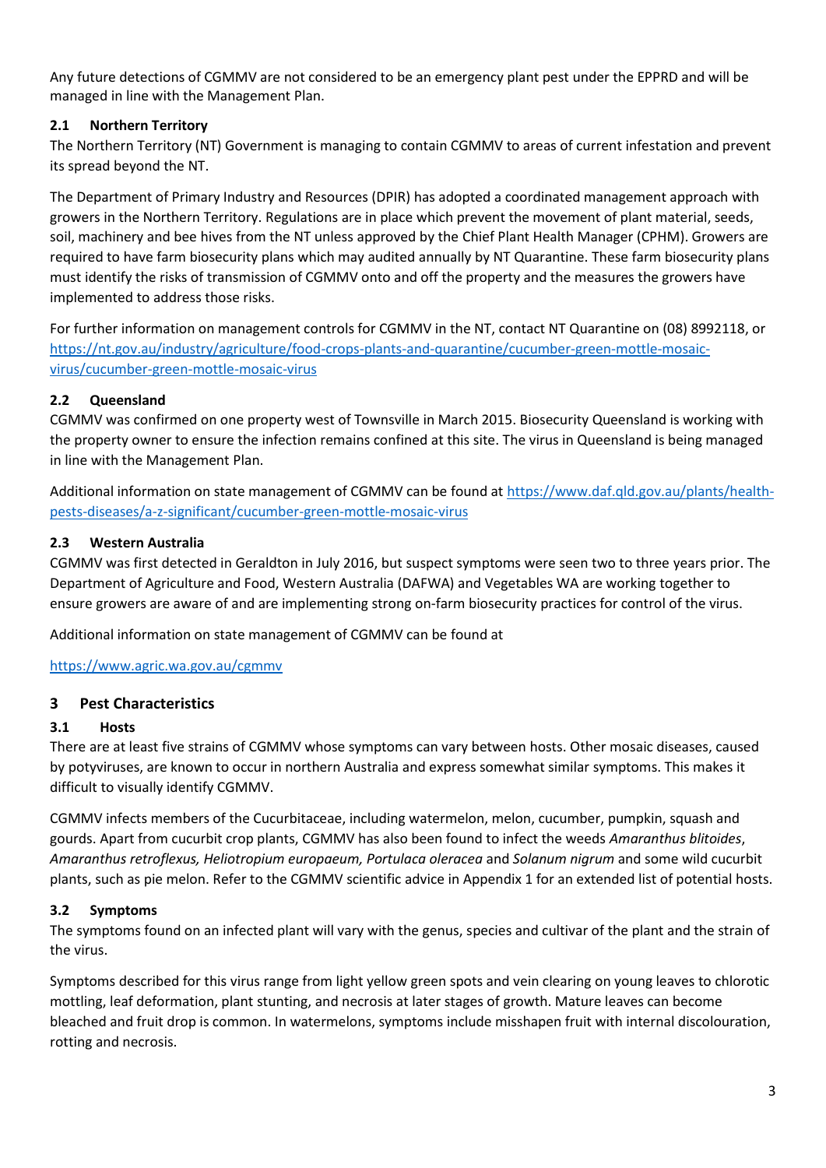Any future detections of CGMMV are not considered to be an emergency plant pest under the EPPRD and will be managed in line with the Management Plan.

# <span id="page-5-0"></span>**2.1 Northern Territory**

The Northern Territory (NT) Government is managing to contain CGMMV to areas of current infestation and prevent its spread beyond the NT.

The Department of Primary Industry and Resources (DPIR) has adopted a coordinated management approach with growers in the Northern Territory. Regulations are in place which prevent the movement of plant material, seeds, soil, machinery and bee hives from the NT unless approved by the Chief Plant Health Manager (CPHM). Growers are required to have farm biosecurity plans which may audited annually by NT Quarantine. These farm biosecurity plans must identify the risks of transmission of CGMMV onto and off the property and the measures the growers have implemented to address those risks.

For further information on management controls for CGMMV in the NT, contact NT Quarantine on (08) 8992118, or [https://nt.gov.au/industry/agriculture/food-crops-plants-and-quarantine/cucumber-green-mottle-mosaic](https://nt.gov.au/industry/agriculture/food-crops-plants-and-quarantine/cucumber-green-mottle-mosaic-virus/cucumber-green-mottle-mosaic-virus)[virus/cucumber-green-mottle-mosaic-virus](https://nt.gov.au/industry/agriculture/food-crops-plants-and-quarantine/cucumber-green-mottle-mosaic-virus/cucumber-green-mottle-mosaic-virus)

### <span id="page-5-1"></span>**2.2 Queensland**

CGMMV was confirmed on one property west of Townsville in March 2015. Biosecurity Queensland is working with the property owner to ensure the infection remains confined at this site. The virus in Queensland is being managed in line with the Management Plan.

Additional information on state management of CGMMV can be found at [https://www.daf.qld.gov.au/plants/health](https://www.daf.qld.gov.au/plants/health-pests-diseases/a-z-significant/cucumber-green-mottle-mosaic-virus)[pests-diseases/a-z-significant/cucumber-green-mottle-mosaic-virus](https://www.daf.qld.gov.au/plants/health-pests-diseases/a-z-significant/cucumber-green-mottle-mosaic-virus)

### <span id="page-5-2"></span>**2.3 Western Australia**

CGMMV was first detected in Geraldton in July 2016, but suspect symptoms were seen two to three years prior. The Department of Agriculture and Food, Western Australia (DAFWA) and Vegetables WA are working together to ensure growers are aware of and are implementing strong on-farm biosecurity practices for control of the virus.

Additional information on state management of CGMMV can be found at

<https://www.agric.wa.gov.au/cgmmv>

#### <span id="page-5-3"></span>**3 Pest Characteristics**

#### <span id="page-5-4"></span>**3.1 Hosts**

There are at least five strains of CGMMV whose symptoms can vary between hosts. Other mosaic diseases, caused by potyviruses, are known to occur in northern Australia and express somewhat similar symptoms. This makes it difficult to visually identify CGMMV.

CGMMV infects members of the Cucurbitaceae, including watermelon, melon, cucumber, pumpkin, squash and gourds. Apart from cucurbit crop plants, CGMMV has also been found to infect the weeds *Amaranthus blitoides*, *Amaranthus retroflexus, Heliotropium europaeum, Portulaca oleracea* and *Solanum nigrum* and some wild cucurbit plants, such as pie melon. Refer to the CGMMV scientific advice in Appendix 1 for an extended list of potential hosts.

#### <span id="page-5-5"></span>**3.2 Symptoms**

The symptoms found on an infected plant will vary with the genus, species and cultivar of the plant and the strain of the virus.

Symptoms described for this virus range from light yellow green spots and vein clearing on young leaves to chlorotic mottling, leaf deformation, plant stunting, and necrosis at later stages of growth. Mature leaves can become bleached and fruit drop is common. In watermelons, symptoms include misshapen fruit with internal discolouration, rotting and necrosis.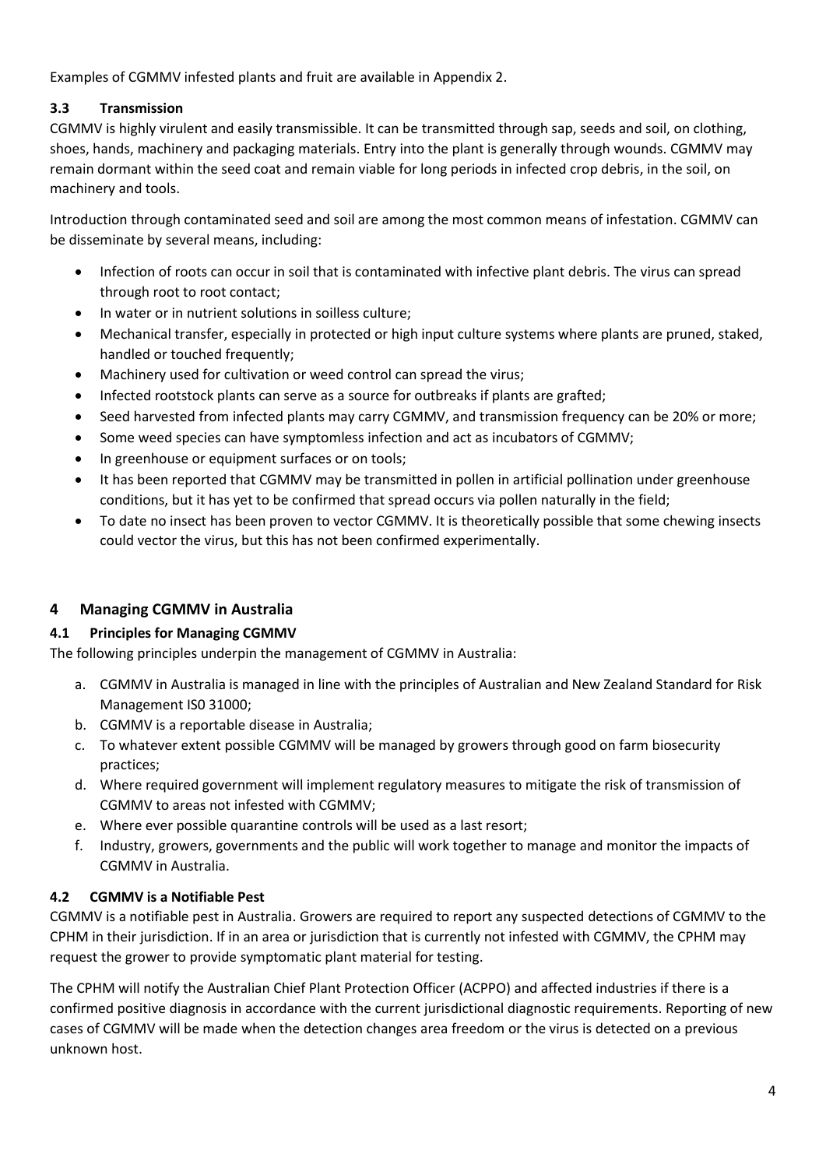Examples of CGMMV infested plants and fruit are available in Appendix 2.

# <span id="page-6-0"></span>**3.3 Transmission**

CGMMV is highly virulent and easily transmissible. It can be transmitted through sap, seeds and soil, on clothing, shoes, hands, machinery and packaging materials. Entry into the plant is generally through wounds. CGMMV may remain dormant within the seed coat and remain viable for long periods in infected crop debris, in the soil, on machinery and tools.

Introduction through contaminated seed and soil are among the most common means of infestation. CGMMV can be disseminate by several means, including:

- Infection of roots can occur in soil that is contaminated with infective plant debris. The virus can spread through root to root contact;
- In water or in nutrient solutions in soilless culture;
- Mechanical transfer, especially in protected or high input culture systems where plants are pruned, staked, handled or touched frequently;
- Machinery used for cultivation or weed control can spread the virus;
- Infected rootstock plants can serve as a source for outbreaks if plants are grafted;
- Seed harvested from infected plants may carry CGMMV, and transmission frequency can be 20% or more;
- Some weed species can have symptomless infection and act as incubators of CGMMV;
- In greenhouse or equipment surfaces or on tools;
- It has been reported that CGMMV may be transmitted in pollen in artificial pollination under greenhouse conditions, but it has yet to be confirmed that spread occurs via pollen naturally in the field;
- To date no insect has been proven to vector CGMMV. It is theoretically possible that some chewing insects could vector the virus, but this has not been confirmed experimentally.

# <span id="page-6-1"></span>**4 Managing CGMMV in Australia**

# <span id="page-6-2"></span>**4.1 Principles for Managing CGMMV**

The following principles underpin the management of CGMMV in Australia:

- a. CGMMV in Australia is managed in line with the principles of Australian and New Zealand Standard for Risk Management IS0 31000;
- b. CGMMV is a reportable disease in Australia;
- c. To whatever extent possible CGMMV will be managed by growers through good on farm biosecurity practices;
- d. Where required government will implement regulatory measures to mitigate the risk of transmission of CGMMV to areas not infested with CGMMV;
- e. Where ever possible quarantine controls will be used as a last resort;
- f. Industry, growers, governments and the public will work together to manage and monitor the impacts of CGMMV in Australia.

#### <span id="page-6-3"></span>**4.2 CGMMV is a Notifiable Pest**

CGMMV is a notifiable pest in Australia. Growers are required to report any suspected detections of CGMMV to the CPHM in their jurisdiction. If in an area or jurisdiction that is currently not infested with CGMMV, the CPHM may request the grower to provide symptomatic plant material for testing.

The CPHM will notify the Australian Chief Plant Protection Officer (ACPPO) and affected industries if there is a confirmed positive diagnosis in accordance with the current jurisdictional diagnostic requirements. Reporting of new cases of CGMMV will be made when the detection changes area freedom or the virus is detected on a previous unknown host.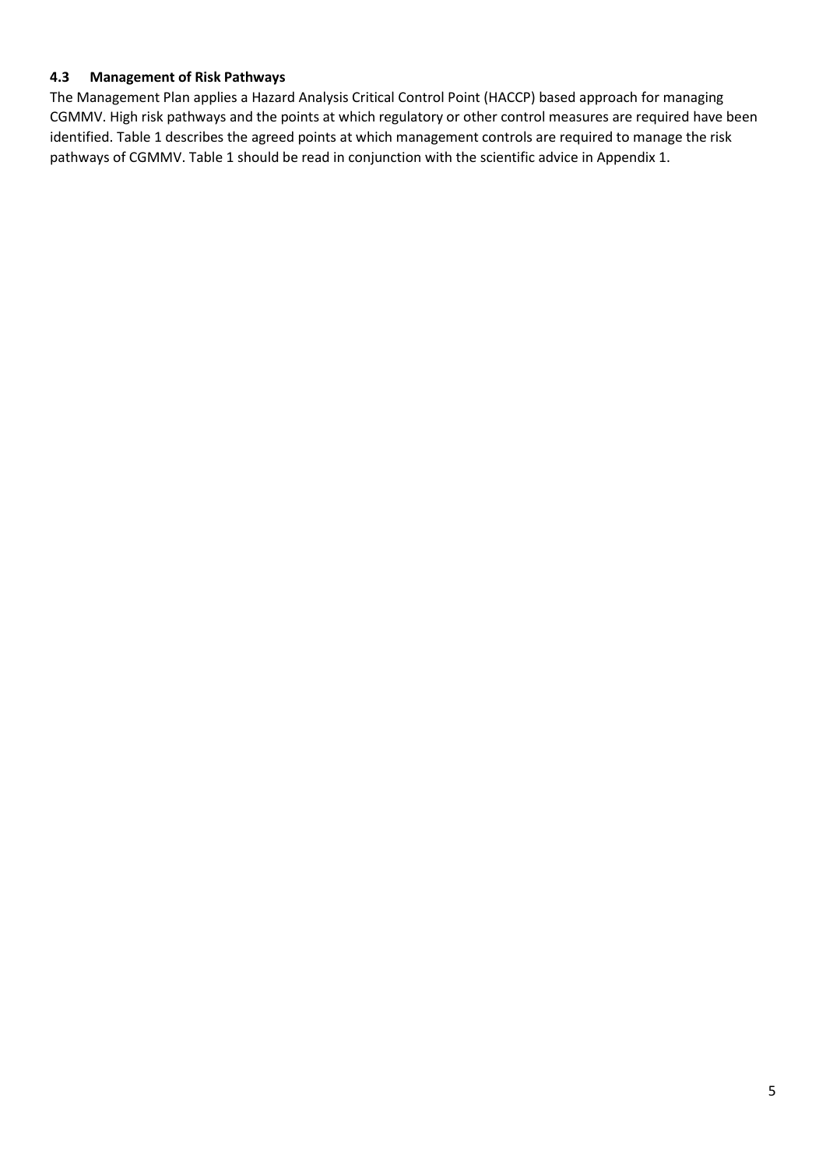#### <span id="page-7-0"></span>**4.3 Management of Risk Pathways**

The Management Plan applies a Hazard Analysis Critical Control Point (HACCP) based approach for managing CGMMV. High risk pathways and the points at which regulatory or other control measures are required have been identified. Table 1 describes the agreed points at which management controls are required to manage the risk pathways of CGMMV. Table 1 should be read in conjunction with the scientific advice in Appendix 1.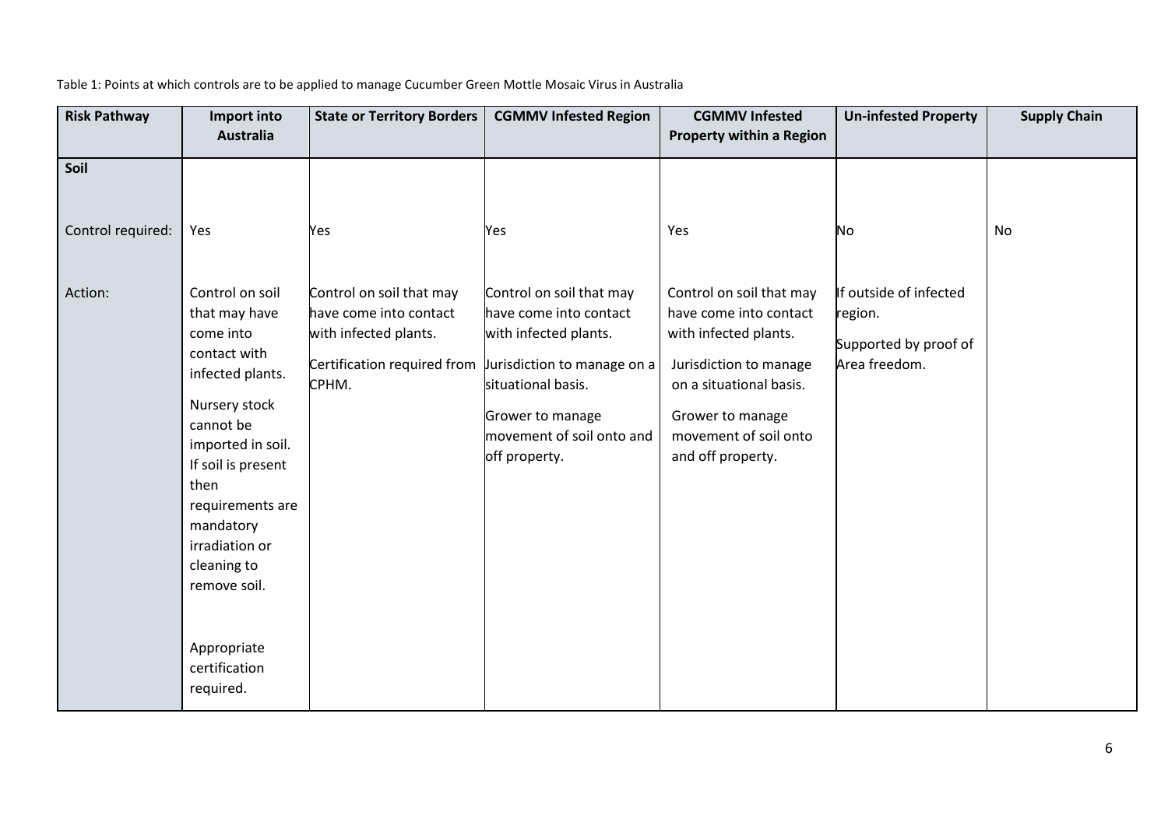| <b>Risk Pathway</b>       | Import into<br><b>Australia</b>                                                                                                                                                                                                                                                                   | <b>State or Territory Borders</b>                                                                                                                  | <b>CGMMV Infested Region</b>                                                                                                                                        | <b>CGMMV Infested</b><br><b>Property within a Region</b>                                                                                                                                           | <b>Un-infested Property</b>                                                 | <b>Supply Chain</b> |
|---------------------------|---------------------------------------------------------------------------------------------------------------------------------------------------------------------------------------------------------------------------------------------------------------------------------------------------|----------------------------------------------------------------------------------------------------------------------------------------------------|---------------------------------------------------------------------------------------------------------------------------------------------------------------------|----------------------------------------------------------------------------------------------------------------------------------------------------------------------------------------------------|-----------------------------------------------------------------------------|---------------------|
| Soil<br>Control required: | Yes                                                                                                                                                                                                                                                                                               | Yes                                                                                                                                                | Yes                                                                                                                                                                 | Yes                                                                                                                                                                                                | No                                                                          | No                  |
| Action:                   | Control on soil<br>that may have<br>come into<br>contact with<br>infected plants.<br>Nursery stock<br>cannot be<br>imported in soil.<br>If soil is present<br>then<br>requirements are<br>mandatory<br>irradiation or<br>cleaning to<br>remove soil.<br>Appropriate<br>certification<br>required. | Control on soil that may<br>have come into contact<br>with infected plants.<br>Certification required from $ $ urisdiction to manage on a<br>CPHM. | Control on soil that may<br>have come into contact<br>with infected plants.<br>situational basis.<br>Grower to manage<br>movement of soil onto and<br>off property. | Control on soil that may<br>have come into contact<br>with infected plants.<br>Jurisdiction to manage<br>on a situational basis.<br>Grower to manage<br>movement of soil onto<br>and off property. | If outside of infected<br>region.<br>Supported by proof of<br>Area freedom. |                     |

### Table 1: Points at which controls are to be applied to manage Cucumber Green Mottle Mosaic Virus in Australia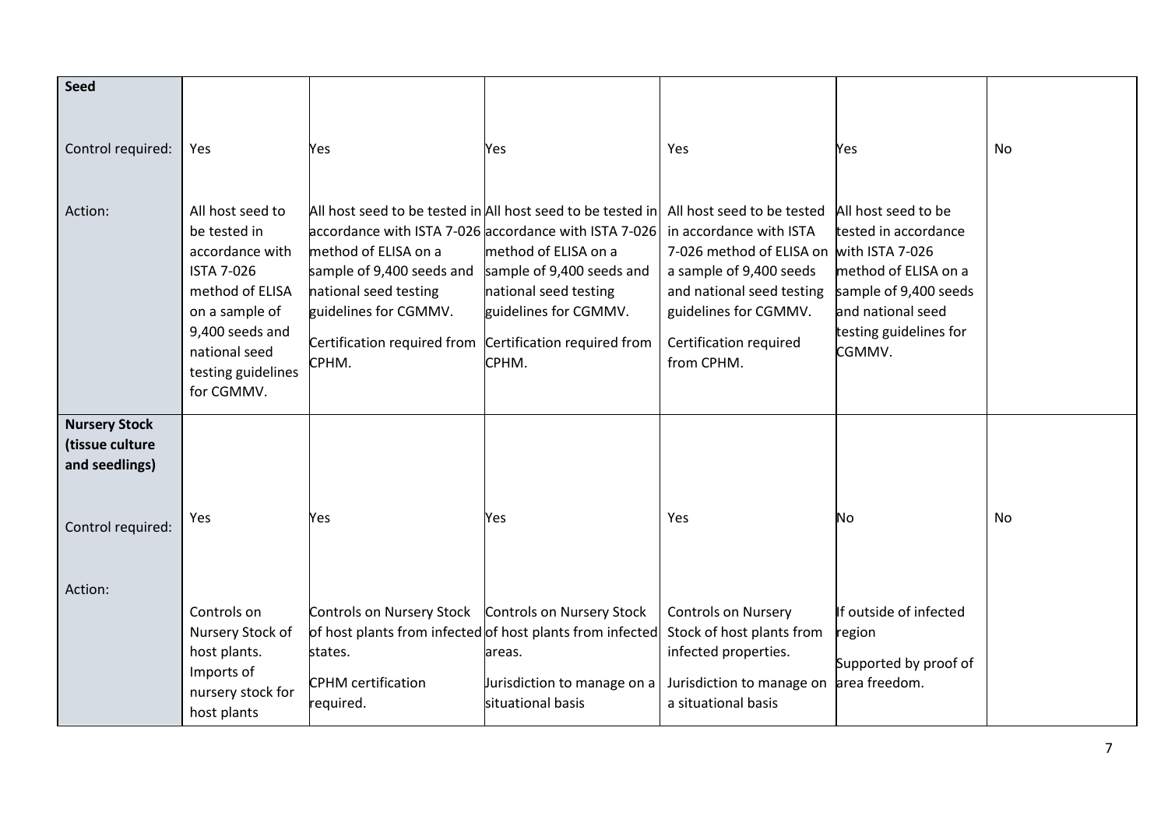| <b>Seed</b>                                                                    |                                                                                                                                                                                       |                                                                                                                                                                         |                                                                                                                                                                                                                                                                 |                                                                                                                                                                                              |                                                                                                                                                       |           |
|--------------------------------------------------------------------------------|---------------------------------------------------------------------------------------------------------------------------------------------------------------------------------------|-------------------------------------------------------------------------------------------------------------------------------------------------------------------------|-----------------------------------------------------------------------------------------------------------------------------------------------------------------------------------------------------------------------------------------------------------------|----------------------------------------------------------------------------------------------------------------------------------------------------------------------------------------------|-------------------------------------------------------------------------------------------------------------------------------------------------------|-----------|
| Control required:                                                              | Yes                                                                                                                                                                                   | Yes                                                                                                                                                                     | Yes                                                                                                                                                                                                                                                             | Yes                                                                                                                                                                                          | Yes                                                                                                                                                   | <b>No</b> |
| Action:                                                                        | All host seed to<br>be tested in<br>accordance with<br><b>ISTA 7-026</b><br>method of ELISA<br>on a sample of<br>9,400 seeds and<br>national seed<br>testing guidelines<br>for CGMMV. | method of ELISA on a<br>sample of 9,400 seeds and<br>national seed testing<br>guidelines for CGMMV.<br>Certification required from Certification required from<br>CPHM. | All host seed to be tested in All host seed to be tested in All host seed to be tested<br>accordance with ISTA 7-026 accordance with ISTA 7-026<br>method of ELISA on a<br>sample of 9,400 seeds and<br>national seed testing<br>guidelines for CGMMV.<br>CPHM. | in accordance with ISTA<br>7-026 method of ELISA on with ISTA 7-026<br>a sample of 9,400 seeds<br>and national seed testing<br>guidelines for CGMMV.<br>Certification required<br>from CPHM. | All host seed to be<br>tested in accordance<br>method of ELISA on a<br>sample of 9,400 seeds<br>and national seed<br>testing guidelines for<br>CGMMV. |           |
| <b>Nursery Stock</b><br>(tissue culture<br>and seedlings)<br>Control required: | Yes                                                                                                                                                                                   | Yes                                                                                                                                                                     | Yes                                                                                                                                                                                                                                                             | Yes                                                                                                                                                                                          | No                                                                                                                                                    | <b>No</b> |
| Action:                                                                        | Controls on<br>Nursery Stock of<br>host plants.<br>Imports of<br>nursery stock for<br>host plants                                                                                     | Controls on Nursery Stock Controls on Nursery Stock<br>states.<br><b>CPHM</b> certification<br>required.                                                                | of host plants from infected of host plants from infected<br>areas.<br>Jurisdiction to manage on a<br>situational basis                                                                                                                                         | <b>Controls on Nursery</b><br>Stock of host plants from<br>infected properties.<br>Jurisdiction to manage on<br>a situational basis                                                          | If outside of infected<br>region<br>Supported by proof of<br>area freedom.                                                                            |           |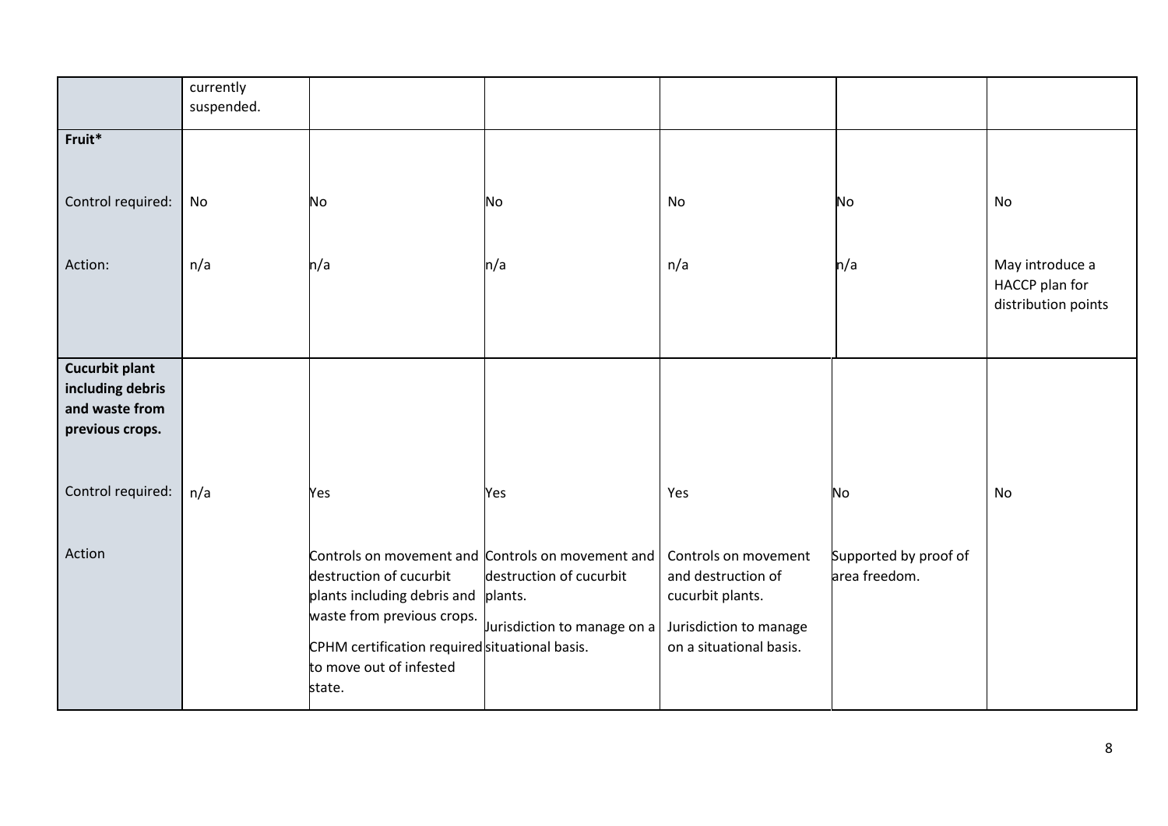|                                                                                | currently<br>suspended. |                                                                                                                                                                             |                                                                                                                        |                                                                                                                     |                                        |                                                          |
|--------------------------------------------------------------------------------|-------------------------|-----------------------------------------------------------------------------------------------------------------------------------------------------------------------------|------------------------------------------------------------------------------------------------------------------------|---------------------------------------------------------------------------------------------------------------------|----------------------------------------|----------------------------------------------------------|
| Fruit*                                                                         |                         |                                                                                                                                                                             |                                                                                                                        |                                                                                                                     |                                        |                                                          |
| Control required:                                                              | No                      | No                                                                                                                                                                          | No                                                                                                                     | No                                                                                                                  | No                                     | No                                                       |
| Action:                                                                        | n/a                     | n/a                                                                                                                                                                         | n/a                                                                                                                    | n/a                                                                                                                 | n/a                                    | May introduce a<br>HACCP plan for<br>distribution points |
| <b>Cucurbit plant</b><br>including debris<br>and waste from<br>previous crops. |                         |                                                                                                                                                                             |                                                                                                                        |                                                                                                                     |                                        |                                                          |
| Control required:                                                              | n/a                     | Yes                                                                                                                                                                         | Yes                                                                                                                    | Yes                                                                                                                 | No                                     | No                                                       |
| Action                                                                         |                         | destruction of cucurbit<br>plants including debris and<br>waste from previous crops.<br>CPHM certification required situational basis.<br>to move out of infested<br>state. | Controls on movement and Controls on movement and<br>destruction of cucurbit<br>plants.<br>Jurisdiction to manage on a | Controls on movement<br>and destruction of<br>cucurbit plants.<br>Jurisdiction to manage<br>on a situational basis. | Supported by proof of<br>area freedom. |                                                          |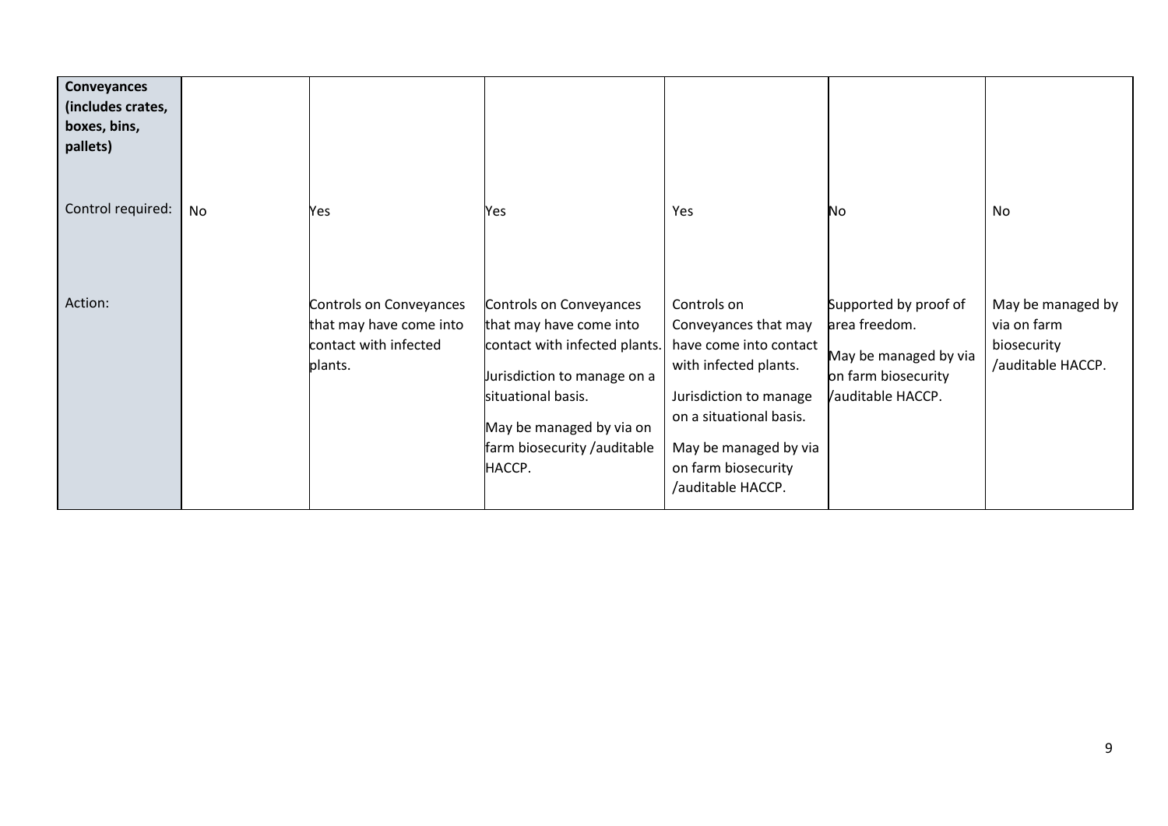| Conveyances<br>(includes crates,<br>boxes, bins,<br>pallets) |    |                                                                                        |                                                                                                                                                                                                               |                                                                                                                                                                                                                  |                                                                                                            |                                                                      |
|--------------------------------------------------------------|----|----------------------------------------------------------------------------------------|---------------------------------------------------------------------------------------------------------------------------------------------------------------------------------------------------------------|------------------------------------------------------------------------------------------------------------------------------------------------------------------------------------------------------------------|------------------------------------------------------------------------------------------------------------|----------------------------------------------------------------------|
| Control required:                                            | No | Yes                                                                                    | Yes                                                                                                                                                                                                           | Yes                                                                                                                                                                                                              | No                                                                                                         | No                                                                   |
| Action:                                                      |    | Controls on Conveyances<br>that may have come into<br>contact with infected<br>plants. | Controls on Conveyances<br>that may have come into<br>contact with infected plants.<br>Jurisdiction to manage on a<br>situational basis.<br>May be managed by via on<br>farm biosecurity /auditable<br>HACCP. | Controls on<br>Conveyances that may<br>have come into contact<br>with infected plants.<br>Jurisdiction to manage<br>on a situational basis.<br>May be managed by via<br>on farm biosecurity<br>/auditable HACCP. | Supported by proof of<br>area freedom.<br>May be managed by via<br>on farm biosecurity<br>auditable HACCP. | May be managed by<br>via on farm<br>biosecurity<br>/auditable HACCP. |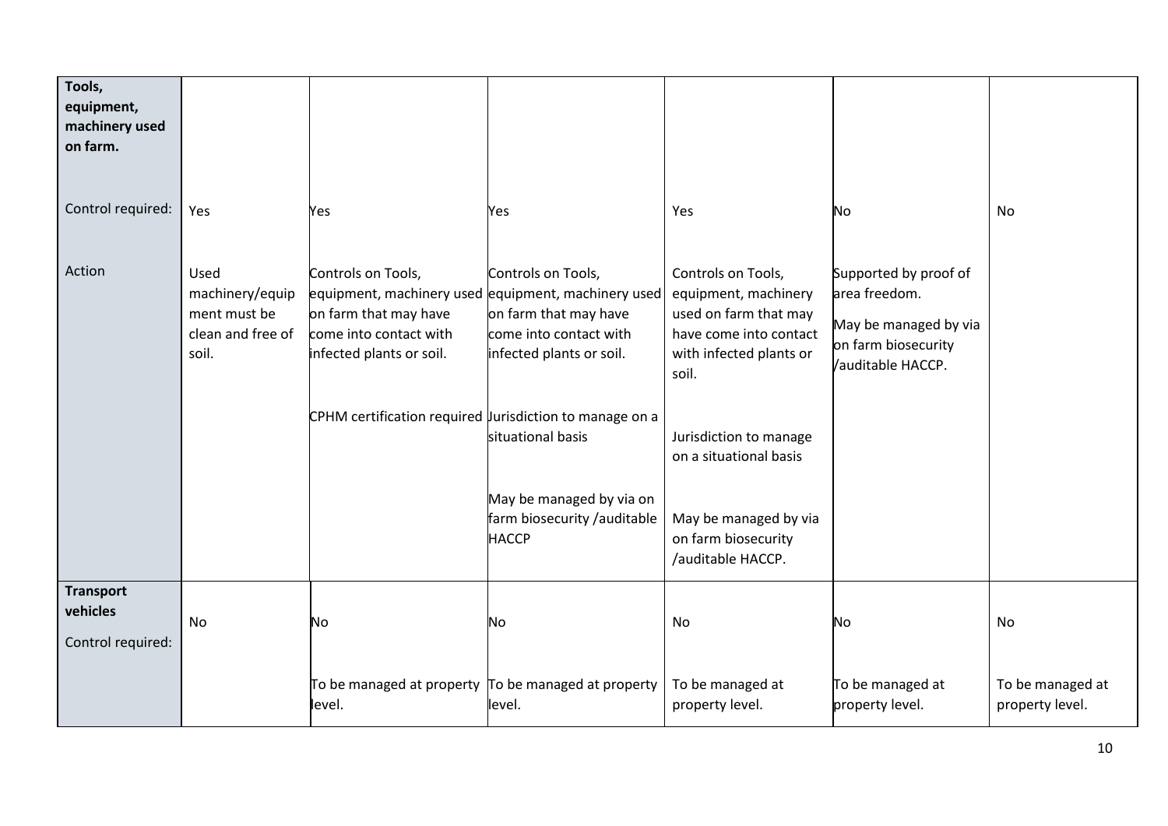| Tools,<br>equipment,<br>machinery used<br>on farm. |                                                                       |                                                                                                                                                             |                                                                                                                                                                                                                                                          |                                                                                                                                                                                                                                                            |                                                                                                            |                                     |
|----------------------------------------------------|-----------------------------------------------------------------------|-------------------------------------------------------------------------------------------------------------------------------------------------------------|----------------------------------------------------------------------------------------------------------------------------------------------------------------------------------------------------------------------------------------------------------|------------------------------------------------------------------------------------------------------------------------------------------------------------------------------------------------------------------------------------------------------------|------------------------------------------------------------------------------------------------------------|-------------------------------------|
| Control required:                                  | Yes                                                                   | Yes                                                                                                                                                         | Yes                                                                                                                                                                                                                                                      | Yes                                                                                                                                                                                                                                                        | No                                                                                                         | No                                  |
| Action                                             | Used<br>machinery/equip<br>ment must be<br>clean and free of<br>soil. | Controls on Tools,<br>on farm that may have<br>come into contact with<br>infected plants or soil.<br>CPHM certification required urisdiction to manage on a | Controls on Tools,<br>equipment, machinery used equipment, machinery used<br>on farm that may have<br>come into contact with<br>infected plants or soil.<br>situational basis<br>May be managed by via on<br>farm biosecurity /auditable<br><b>HACCP</b> | Controls on Tools,<br>equipment, machinery<br>used on farm that may<br>have come into contact<br>with infected plants or<br>soil.<br>Jurisdiction to manage<br>on a situational basis<br>May be managed by via<br>on farm biosecurity<br>/auditable HACCP. | Supported by proof of<br>area freedom.<br>May be managed by via<br>on farm biosecurity<br>auditable HACCP. |                                     |
| <b>Transport</b><br>vehicles<br>Control required:  | No                                                                    | No                                                                                                                                                          | <b>No</b>                                                                                                                                                                                                                                                | No                                                                                                                                                                                                                                                         | No                                                                                                         | No                                  |
|                                                    |                                                                       | level.                                                                                                                                                      | To be managed at property $\vert$ To be managed at property<br>level.                                                                                                                                                                                    | To be managed at<br>property level.                                                                                                                                                                                                                        | To be managed at<br>property level.                                                                        | To be managed at<br>property level. |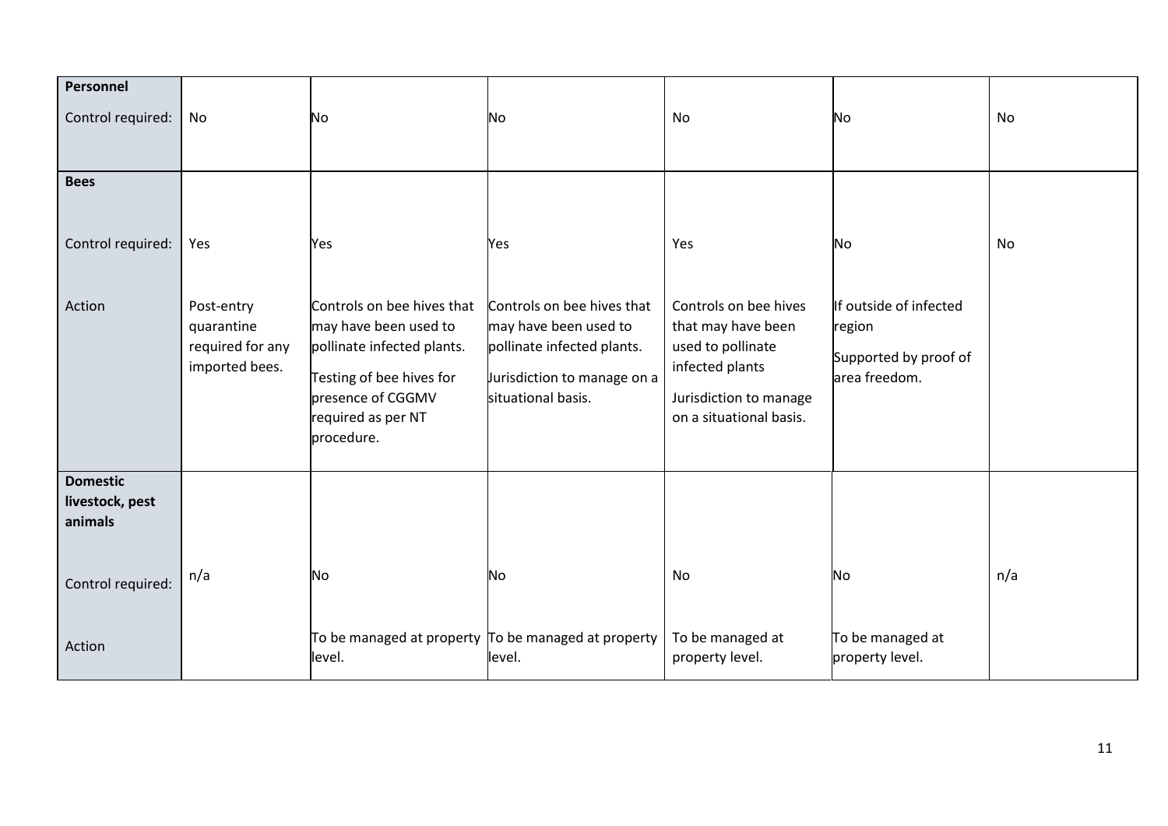| Personnel<br>Control required:                | No                                                             | No                                                                                                                                                                     | No                                                                                                                                     | No                                                                                                                                       | No                                                                         | <b>No</b> |
|-----------------------------------------------|----------------------------------------------------------------|------------------------------------------------------------------------------------------------------------------------------------------------------------------------|----------------------------------------------------------------------------------------------------------------------------------------|------------------------------------------------------------------------------------------------------------------------------------------|----------------------------------------------------------------------------|-----------|
| <b>Bees</b>                                   |                                                                |                                                                                                                                                                        |                                                                                                                                        |                                                                                                                                          |                                                                            |           |
| Control required:                             | Yes                                                            | Yes                                                                                                                                                                    | Yes                                                                                                                                    | Yes                                                                                                                                      | No                                                                         | No        |
| Action                                        | Post-entry<br>quarantine<br>required for any<br>imported bees. | Controls on bee hives that<br>may have been used to<br>pollinate infected plants.<br>Testing of bee hives for<br>presence of CGGMV<br>required as per NT<br>procedure. | Controls on bee hives that<br>may have been used to<br>pollinate infected plants.<br>Jurisdiction to manage on a<br>situational basis. | Controls on bee hives<br>that may have been<br>used to pollinate<br>infected plants<br>Jurisdiction to manage<br>on a situational basis. | If outside of infected<br>region<br>Supported by proof of<br>area freedom. |           |
| <b>Domestic</b><br>livestock, pest<br>animals |                                                                |                                                                                                                                                                        |                                                                                                                                        |                                                                                                                                          |                                                                            |           |
| Control required:                             | n/a                                                            | No                                                                                                                                                                     | No                                                                                                                                     | No                                                                                                                                       | No                                                                         | n/a       |
| Action                                        |                                                                | To be managed at property $\sigma$ be managed at property<br>level.                                                                                                    | level.                                                                                                                                 | To be managed at<br>property level.                                                                                                      | To be managed at<br>property level.                                        |           |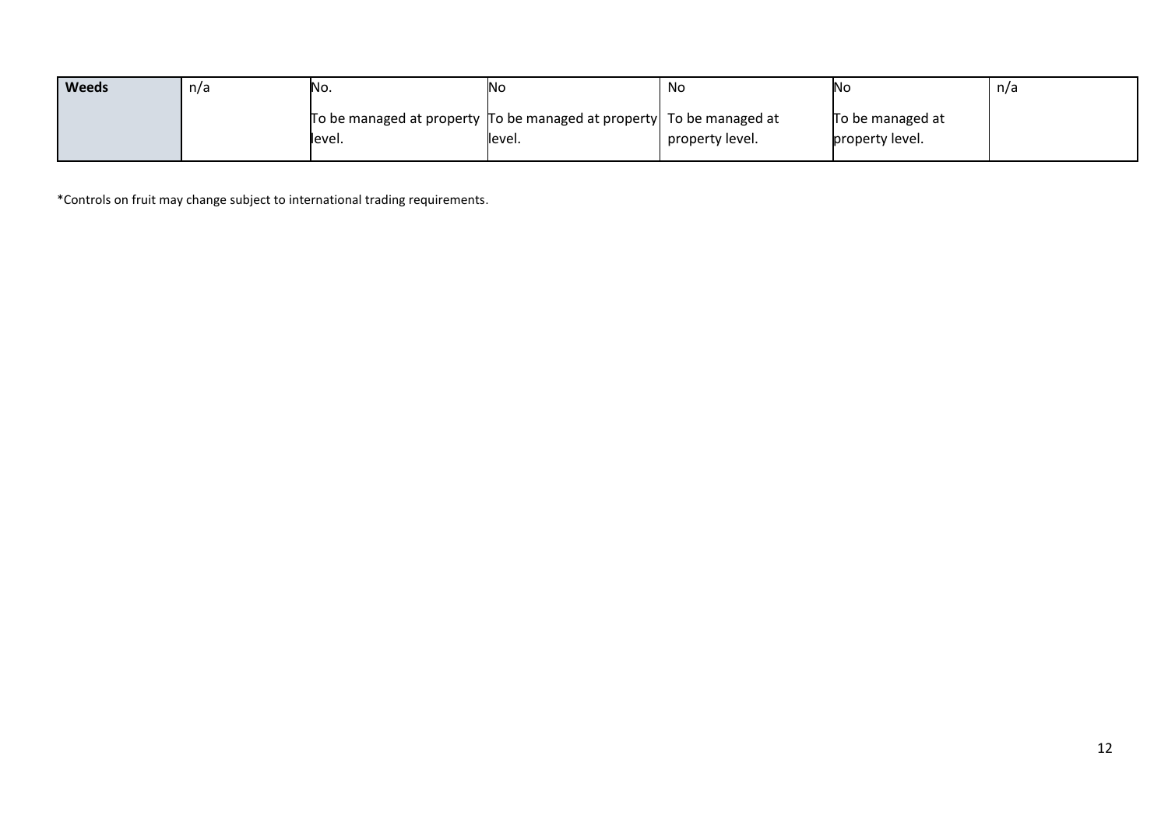| <b>Weeds</b> | n/a | No.                                                                    | <b>No</b> | No              | Νc               | n/a |
|--------------|-----|------------------------------------------------------------------------|-----------|-----------------|------------------|-----|
|              |     | To be managed at property To be managed at property   To be managed at |           |                 | To be managed at |     |
|              |     | level.                                                                 | level.    | property level. | property level.  |     |

\*Controls on fruit may change subject to international trading requirements.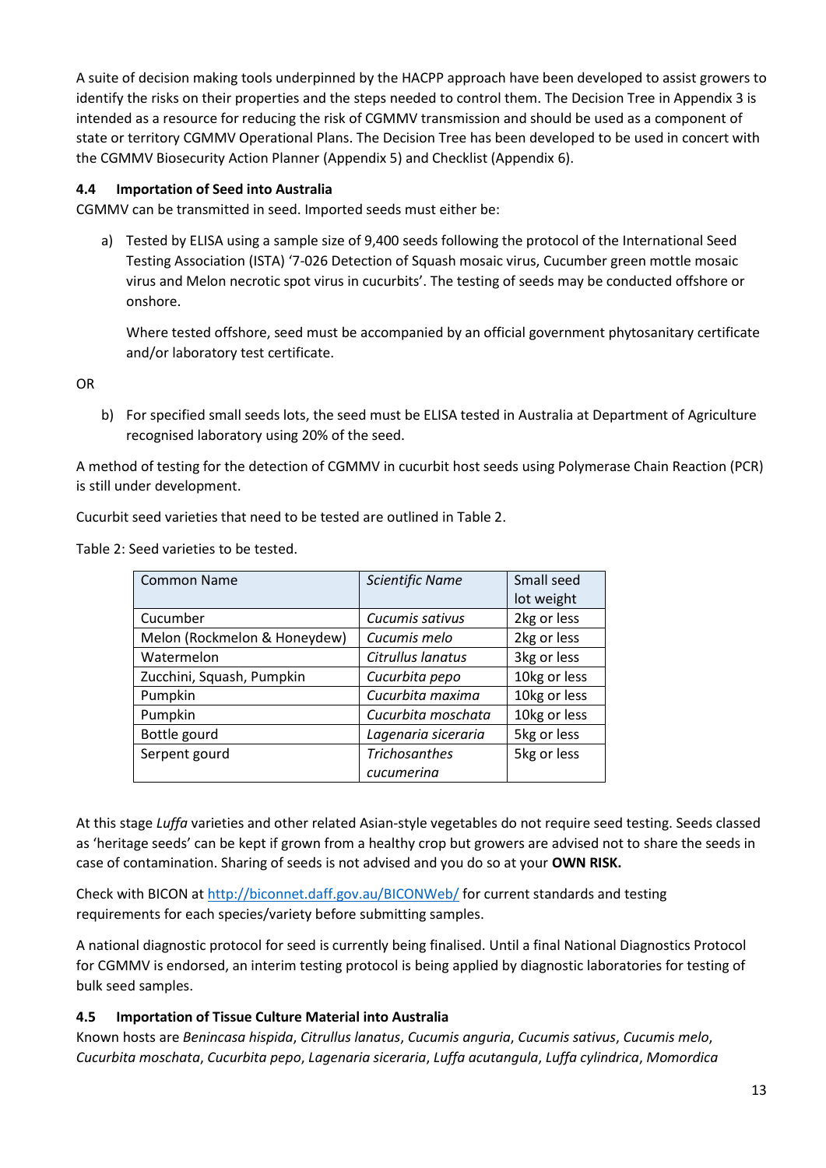A suite of decision making tools underpinned by the HACPP approach have been developed to assist growers to identify the risks on their properties and the steps needed to control them. The Decision Tree in Appendix 3 is intended as a resource for reducing the risk of CGMMV transmission and should be used as a component of state or territory CGMMV Operational Plans. The Decision Tree has been developed to be used in concert with the CGMMV Biosecurity Action Planner (Appendix 5) and Checklist (Appendix 6).

#### <span id="page-15-0"></span>**4.4 Importation of Seed into Australia**

CGMMV can be transmitted in seed. Imported seeds must either be:

a) Tested by ELISA using a sample size of 9,400 seeds following the protocol of the International Seed Testing Association (ISTA) '7-026 Detection of Squash mosaic virus, Cucumber green mottle mosaic virus and Melon necrotic spot virus in cucurbits'. The testing of seeds may be conducted offshore or onshore.

Where tested offshore, seed must be accompanied by an official government phytosanitary certificate and/or laboratory test certificate.

OR

b) For specified small seeds lots, the seed must be ELISA tested in Australia at Department of Agriculture recognised laboratory using 20% of the seed.

A method of testing for the detection of CGMMV in cucurbit host seeds using Polymerase Chain Reaction (PCR) is still under development.

Cucurbit seed varieties that need to be tested are outlined in Table 2.

Table 2: Seed varieties to be tested.

| <b>Common Name</b>           | <b>Scientific Name</b> | Small seed   |
|------------------------------|------------------------|--------------|
|                              |                        | lot weight   |
| Cucumber                     | Cucumis sativus        | 2kg or less  |
| Melon (Rockmelon & Honeydew) | Cucumis melo           | 2kg or less  |
| Watermelon                   | Citrullus lanatus      | 3kg or less  |
| Zucchini, Squash, Pumpkin    | Cucurbita pepo         | 10kg or less |
| Pumpkin                      | Cucurbita maxima       | 10kg or less |
| Pumpkin                      | Cucurbita moschata     | 10kg or less |
| Bottle gourd                 | Lagenaria siceraria    | 5kg or less  |
| Serpent gourd                | <b>Trichosanthes</b>   | 5kg or less  |
|                              | cucumerina             |              |

At this stage *Luffa* varieties and other related Asian-style vegetables do not require seed testing. Seeds classed as 'heritage seeds' can be kept if grown from a healthy crop but growers are advised not to share the seeds in case of contamination. Sharing of seeds is not advised and you do so at your **OWN RISK.**

Check with BICON a[t http://biconnet.daff.gov.au/BICONWeb/](http://biconnet.daff.gov.au/BICONWeb/) for current standards and testing requirements for each species/variety before submitting samples.

A national diagnostic protocol for seed is currently being finalised. Until a final National Diagnostics Protocol for CGMMV is endorsed, an interim testing protocol is being applied by diagnostic laboratories for testing of bulk seed samples.

#### <span id="page-15-1"></span>**4.5 Importation of Tissue Culture Material into Australia**

Known hosts are *Benincasa hispida*, *Citrullus lanatus*, *Cucumis anguria*, *Cucumis sativus*, *Cucumis melo*, *Cucurbita moschata*, *Cucurbita pepo*, *Lagenaria siceraria*, *Luffa acutangula*, *Luffa cylindrica*, *Momordica*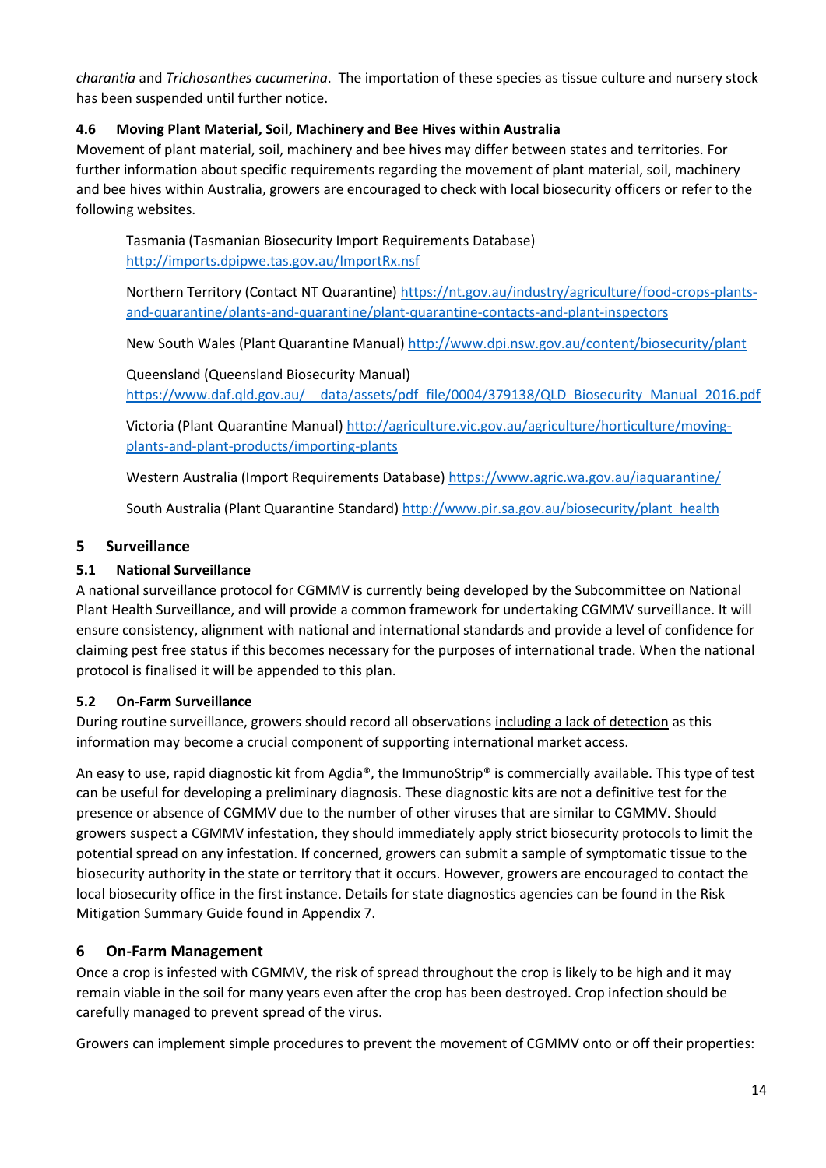*charantia* and *Trichosanthes cucumerina*. The importation of these species as tissue culture and nursery stock has been suspended until further notice.

### <span id="page-16-0"></span>**4.6 Moving Plant Material, Soil, Machinery and Bee Hives within Australia**

Movement of plant material, soil, machinery and bee hives may differ between states and territories. For further information about specific requirements regarding the movement of plant material, soil, machinery and bee hives within Australia, growers are encouraged to check with local biosecurity officers or refer to the following websites.

Tasmania (Tasmanian Biosecurity Import Requirements Database) <http://imports.dpipwe.tas.gov.au/ImportRx.nsf>

Northern Territory (Contact NT Quarantine[\) https://nt.gov.au/industry/agriculture/food-crops-plants](https://nt.gov.au/industry/agriculture/food-crops-plants-and-quarantine/plants-and-quarantine/plant-quarantine-contacts-and-plant-inspectors)[and-quarantine/plants-and-quarantine/plant-quarantine-contacts-and-plant-inspectors](https://nt.gov.au/industry/agriculture/food-crops-plants-and-quarantine/plants-and-quarantine/plant-quarantine-contacts-and-plant-inspectors)

New South Wales (Plant Quarantine Manual)<http://www.dpi.nsw.gov.au/content/biosecurity/plant>

Queensland (Queensland Biosecurity Manual) https://www.daf.qld.gov.au/ data/assets/pdf file/0004/379138/QLD Biosecurity Manual 2016.pdf

Victoria (Plant Quarantine Manual) [http://agriculture.vic.gov.au/agriculture/horticulture/moving](http://agriculture.vic.gov.au/agriculture/horticulture/moving-plants-and-plant-products/importing-plants)[plants-and-plant-products/importing-plants](http://agriculture.vic.gov.au/agriculture/horticulture/moving-plants-and-plant-products/importing-plants)

Western Australia (Import Requirements Database)<https://www.agric.wa.gov.au/iaquarantine/>

South Australia (Plant Quarantine Standard) [http://www.pir.sa.gov.au/biosecurity/plant\\_health](http://www.pir.sa.gov.au/biosecurity/plant_health)

### <span id="page-16-1"></span>**5 Surveillance**

### <span id="page-16-2"></span>**5.1 National Surveillance**

A national surveillance protocol for CGMMV is currently being developed by the Subcommittee on National Plant Health Surveillance, and will provide a common framework for undertaking CGMMV surveillance. It will ensure consistency, alignment with national and international standards and provide a level of confidence for claiming pest free status if this becomes necessary for the purposes of international trade. When the national protocol is finalised it will be appended to this plan.

# <span id="page-16-3"></span>**5.2 On-Farm Surveillance**

During routine surveillance, growers should record all observations including a lack of detection as this information may become a crucial component of supporting international market access.

An easy to use, rapid diagnostic kit from Agdia®, the ImmunoStrip® is commercially available. This type of test can be useful for developing a preliminary diagnosis. These diagnostic kits are not a definitive test for the presence or absence of CGMMV due to the number of other viruses that are similar to CGMMV. Should growers suspect a CGMMV infestation, they should immediately apply strict biosecurity protocols to limit the potential spread on any infestation. If concerned, growers can submit a sample of symptomatic tissue to the biosecurity authority in the state or territory that it occurs. However, growers are encouraged to contact the local biosecurity office in the first instance. Details for state diagnostics agencies can be found in the Risk Mitigation Summary Guide found in Appendix 7.

# <span id="page-16-4"></span>**6 On-Farm Management**

Once a crop is infested with CGMMV, the risk of spread throughout the crop is likely to be high and it may remain viable in the soil for many years even after the crop has been destroyed. Crop infection should be carefully managed to prevent spread of the virus.

Growers can implement simple procedures to prevent the movement of CGMMV onto or off their properties: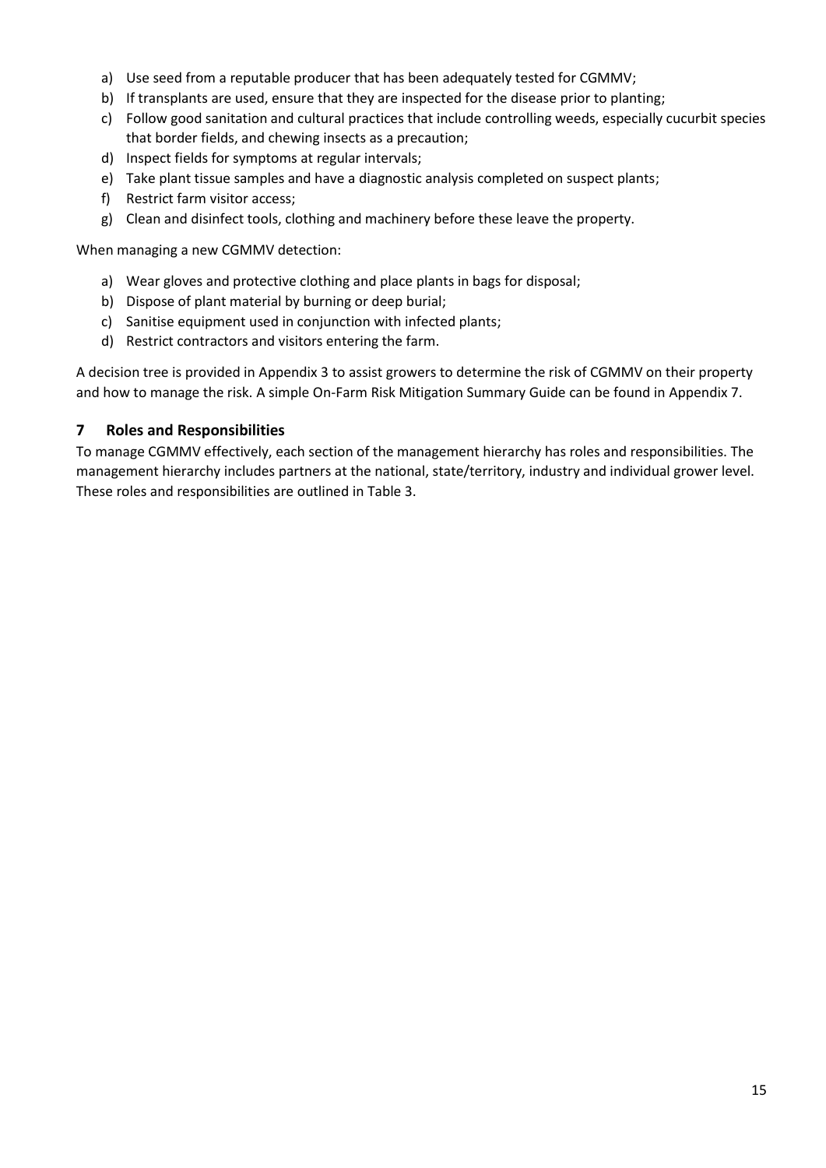- a) Use seed from a reputable producer that has been adequately tested for CGMMV;
- b) If transplants are used, ensure that they are inspected for the disease prior to planting;
- c) Follow good sanitation and cultural practices that include controlling weeds, especially cucurbit species that border fields, and chewing insects as a precaution;
- d) Inspect fields for symptoms at regular intervals;
- e) Take plant tissue samples and have a diagnostic analysis completed on suspect plants;
- f) Restrict farm visitor access;
- g) Clean and disinfect tools, clothing and machinery before these leave the property.

When managing a new CGMMV detection:

- a) Wear gloves and protective clothing and place plants in bags for disposal;
- b) Dispose of plant material by burning or deep burial;
- c) Sanitise equipment used in conjunction with infected plants;
- d) Restrict contractors and visitors entering the farm.

A decision tree is provided in Appendix 3 to assist growers to determine the risk of CGMMV on their property and how to manage the risk. A simple On-Farm Risk Mitigation Summary Guide can be found in Appendix 7.

#### <span id="page-17-0"></span>**7 Roles and Responsibilities**

To manage CGMMV effectively, each section of the management hierarchy has roles and responsibilities. The management hierarchy includes partners at the national, state/territory, industry and individual grower level. These roles and responsibilities are outlined in Table 3.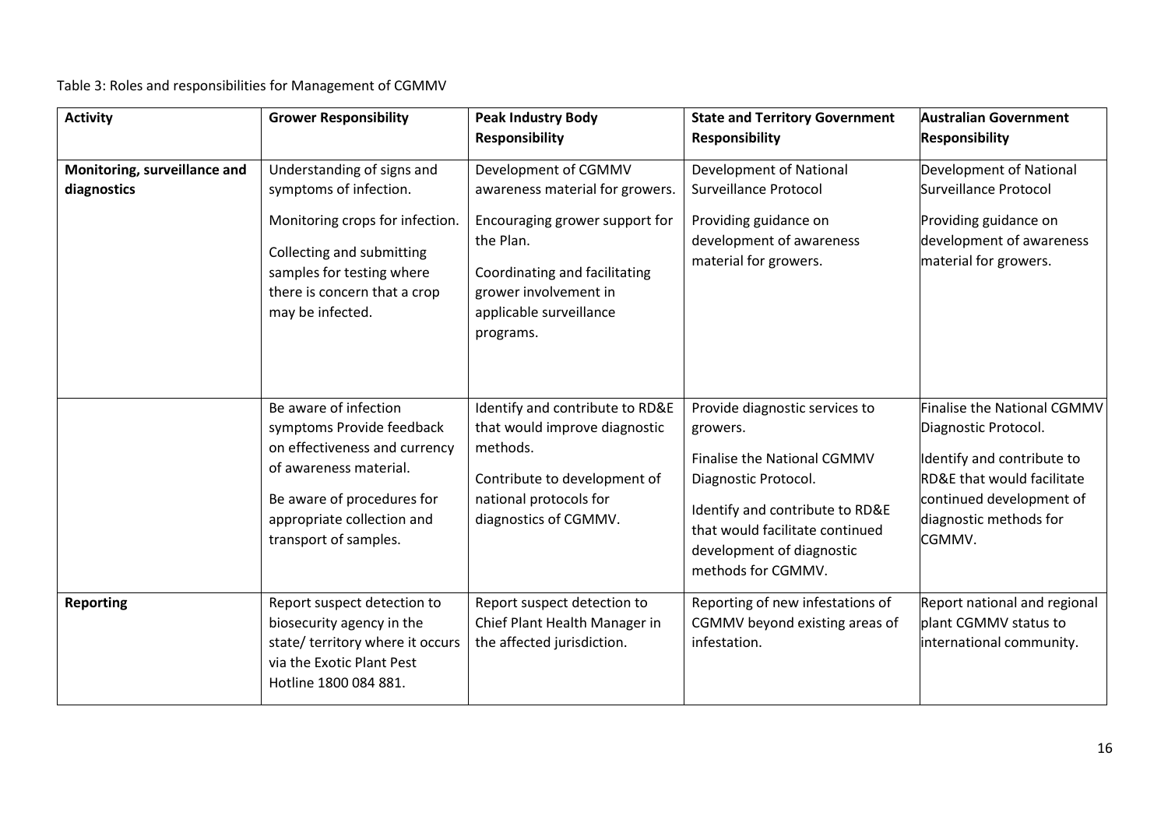Table 3: Roles and responsibilities for Management of CGMMV

| <b>Activity</b>                             | <b>Grower Responsibility</b>                                                                                                                                                                          | <b>Peak Industry Body</b><br><b>Responsibility</b>                                                                                                                                                       | <b>State and Territory Government</b><br><b>Responsibility</b>                                                                                                                                                             | <b>Australian Government</b><br><b>Responsibility</b>                                                                                                                                      |
|---------------------------------------------|-------------------------------------------------------------------------------------------------------------------------------------------------------------------------------------------------------|----------------------------------------------------------------------------------------------------------------------------------------------------------------------------------------------------------|----------------------------------------------------------------------------------------------------------------------------------------------------------------------------------------------------------------------------|--------------------------------------------------------------------------------------------------------------------------------------------------------------------------------------------|
| Monitoring, surveillance and<br>diagnostics | Understanding of signs and<br>symptoms of infection.<br>Monitoring crops for infection.<br>Collecting and submitting<br>samples for testing where<br>there is concern that a crop<br>may be infected. | Development of CGMMV<br>awareness material for growers.<br>Encouraging grower support for<br>the Plan.<br>Coordinating and facilitating<br>grower involvement in<br>applicable surveillance<br>programs. | <b>Development of National</b><br><b>Surveillance Protocol</b><br>Providing guidance on<br>development of awareness<br>material for growers.                                                                               | Development of National<br>Surveillance Protocol<br>Providing guidance on<br>development of awareness<br>material for growers.                                                             |
|                                             | Be aware of infection<br>symptoms Provide feedback<br>on effectiveness and currency<br>of awareness material.<br>Be aware of procedures for<br>appropriate collection and<br>transport of samples.    | Identify and contribute to RD&E<br>that would improve diagnostic<br>methods.<br>Contribute to development of<br>national protocols for<br>diagnostics of CGMMV.                                          | Provide diagnostic services to<br>growers.<br>Finalise the National CGMMV<br>Diagnostic Protocol.<br>Identify and contribute to RD&E<br>that would facilitate continued<br>development of diagnostic<br>methods for CGMMV. | Finalise the National CGMMV<br>Diagnostic Protocol.<br>Identify and contribute to<br><b>RD&amp;E that would facilitate</b><br>continued development of<br>diagnostic methods for<br>CGMMV. |
| <b>Reporting</b>                            | Report suspect detection to<br>biosecurity agency in the<br>state/ territory where it occurs<br>via the Exotic Plant Pest<br>Hotline 1800 084 881.                                                    | Report suspect detection to<br>Chief Plant Health Manager in<br>the affected jurisdiction.                                                                                                               | Reporting of new infestations of<br>CGMMV beyond existing areas of<br>infestation.                                                                                                                                         | Report national and regional<br>plant CGMMV status to<br>international community.                                                                                                          |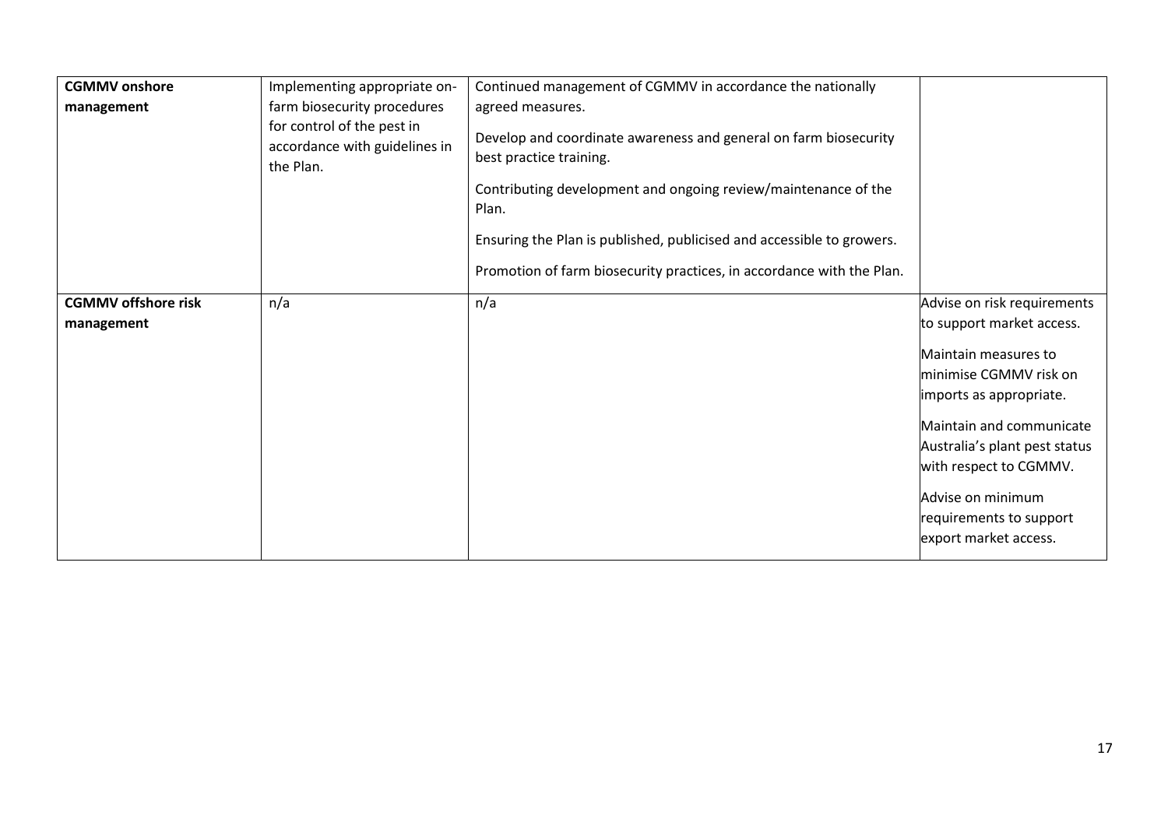| <b>CGMMV</b> onshore<br>management       | Implementing appropriate on-<br>farm biosecurity procedures<br>for control of the pest in<br>accordance with guidelines in<br>the Plan. | Continued management of CGMMV in accordance the nationally<br>agreed measures.<br>Develop and coordinate awareness and general on farm biosecurity<br>best practice training.<br>Contributing development and ongoing review/maintenance of the<br>Plan.<br>Ensuring the Plan is published, publicised and accessible to growers.<br>Promotion of farm biosecurity practices, in accordance with the Plan. |                                                                                                                                                                                                                                                                                                       |
|------------------------------------------|-----------------------------------------------------------------------------------------------------------------------------------------|------------------------------------------------------------------------------------------------------------------------------------------------------------------------------------------------------------------------------------------------------------------------------------------------------------------------------------------------------------------------------------------------------------|-------------------------------------------------------------------------------------------------------------------------------------------------------------------------------------------------------------------------------------------------------------------------------------------------------|
| <b>CGMMV offshore risk</b><br>management | n/a                                                                                                                                     | n/a                                                                                                                                                                                                                                                                                                                                                                                                        | Advise on risk requirements<br>to support market access.<br>Maintain measures to<br>minimise CGMMV risk on<br>imports as appropriate.<br>Maintain and communicate<br>Australia's plant pest status<br>with respect to CGMMV.<br>Advise on minimum<br>requirements to support<br>export market access. |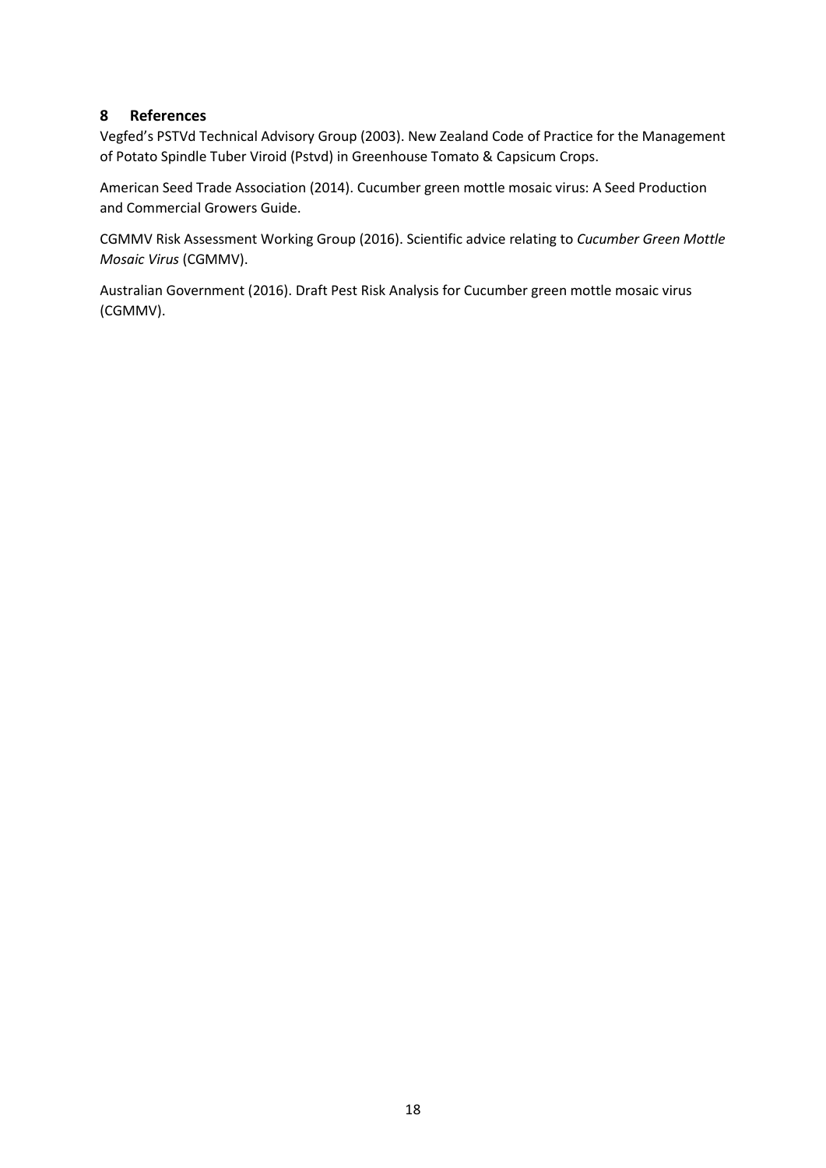### <span id="page-20-0"></span>**8 References**

Vegfed's PSTVd Technical Advisory Group (2003). New Zealand Code of Practice for the Management of Potato Spindle Tuber Viroid (Pstvd) in Greenhouse Tomato & Capsicum Crops.

American Seed Trade Association (2014). Cucumber green mottle mosaic virus: A Seed Production and Commercial Growers Guide.

CGMMV Risk Assessment Working Group (2016). Scientific advice relating to *Cucumber Green Mottle Mosaic Virus* (CGMMV).

Australian Government (2016). Draft Pest Risk Analysis for Cucumber green mottle mosaic virus (CGMMV).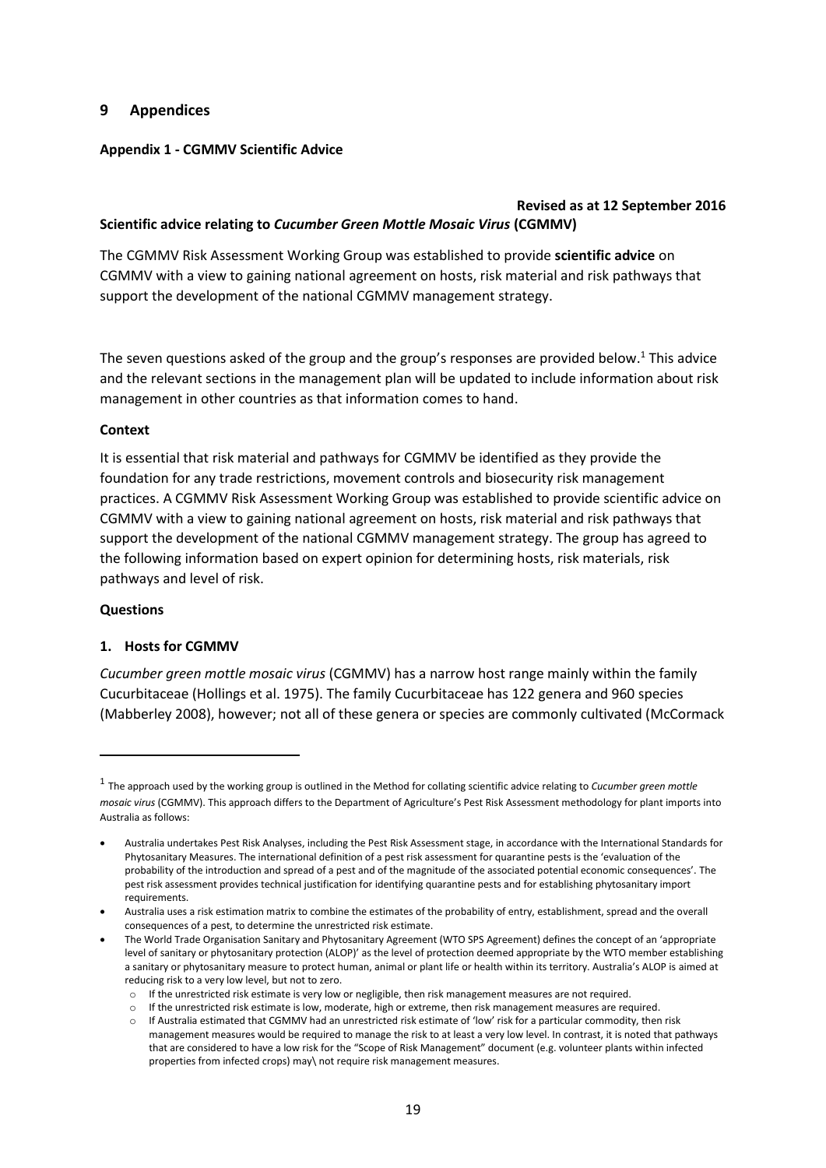#### <span id="page-21-0"></span>**9 Appendices**

#### **Appendix 1 - CGMMV Scientific Advice**

#### **Revised as at 12 September 2016 Scientific advice relating to** *Cucumber Green Mottle Mosaic Virus* **(CGMMV)**

The CGMMV Risk Assessment Working Group was established to provide **scientific advice** on CGMMV with a view to gaining national agreement on hosts, risk material and risk pathways that support the development of the national CGMMV management strategy.

The seven questions asked of the group and the group's responses are provided below.<sup>1</sup> This advice and the relevant sections in the management plan will be updated to include information about risk management in other countries as that information comes to hand.

#### **Context**

It is essential that risk material and pathways for CGMMV be identified as they provide the foundation for any trade restrictions, movement controls and biosecurity risk management practices. A CGMMV Risk Assessment Working Group was established to provide scientific advice on CGMMV with a view to gaining national agreement on hosts, risk material and risk pathways that support the development of the national CGMMV management strategy. The group has agreed to the following information based on expert opinion for determining hosts, risk materials, risk pathways and level of risk.

#### **Questions**

 $\overline{\phantom{a}}$ 

#### **1. Hosts for CGMMV**

*Cucumber green mottle mosaic virus* (CGMMV) has a narrow host range mainly within the family Cucurbitaceae (Hollings et al. 1975). The family Cucurbitaceae has 122 genera and 960 species (Mabberley 2008), however; not all of these genera or species are commonly cultivated (McCormack

<sup>1</sup> The approach used by the working group is outlined in the Method for collating scientific advice relating to *Cucumber green mottle mosaic virus* (CGMMV). This approach differs to the Department of Agriculture's Pest Risk Assessment methodology for plant imports into Australia as follows:

Australia undertakes Pest Risk Analyses, including the Pest Risk Assessment stage, in accordance with the International Standards for Phytosanitary Measures. The international definition of a pest risk assessment for quarantine pests is the 'evaluation of the probability of the introduction and spread of a pest and of the magnitude of the associated potential economic consequences'. The pest risk assessment provides technical justification for identifying quarantine pests and for establishing phytosanitary import requirements.

Australia uses a risk estimation matrix to combine the estimates of the probability of entry, establishment, spread and the overall consequences of a pest, to determine the unrestricted risk estimate.

The World Trade Organisation Sanitary and Phytosanitary Agreement (WTO SPS Agreement) defines the concept of an 'appropriate level of sanitary or phytosanitary protection (ALOP)' as the level of protection deemed appropriate by the WTO member establishing a sanitary or phytosanitary measure to protect human, animal or plant life or health within its territory. Australia's ALOP is aimed at reducing risk to a very low level, but not to zero.

o If the unrestricted risk estimate is very low or negligible, then risk management measures are not required.

o If the unrestricted risk estimate is low, moderate, high or extreme, then risk management measures are required.

 $\circ$  If Australia estimated that CGMMV had an unrestricted risk estimate of 'low' risk for a particular commodity, then risk management measures would be required to manage the risk to at least a very low level. In contrast, it is noted that pathways that are considered to have a low risk for the "Scope of Risk Management" document (e.g. volunteer plants within infected properties from infected crops) may\ not require risk management measures.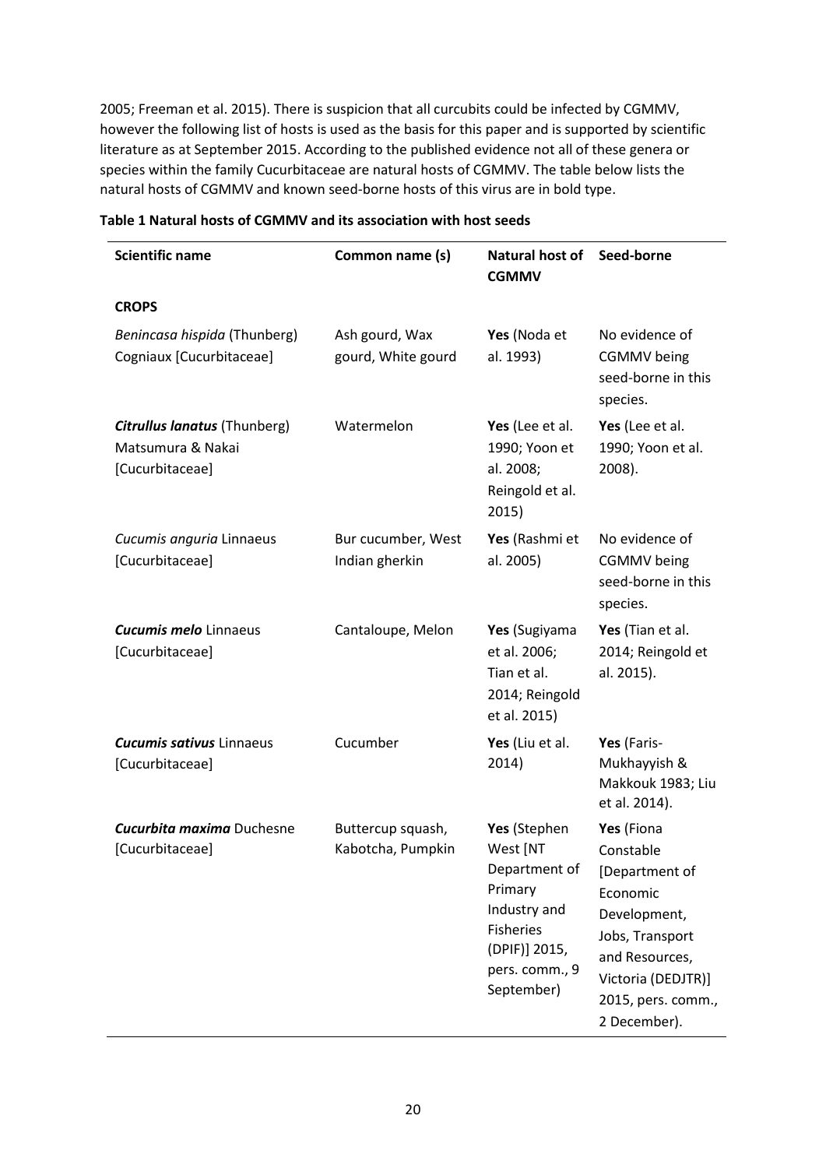2005; Freeman et al. 2015). There is suspicion that all curcubits could be infected by CGMMV, however the following list of hosts is used as the basis for this paper and is supported by scientific literature as at September 2015. According to the published evidence not all of these genera or species within the family Cucurbitaceae are natural hosts of CGMMV. The table below lists the natural hosts of CGMMV and known seed-borne hosts of this virus are in bold type.

| <b>Scientific name</b><br>Common name (s)                                   |                                        | Natural host of<br><b>CGMMV</b>                                                                                                           | Seed-borne                                                                                                                                                             |
|-----------------------------------------------------------------------------|----------------------------------------|-------------------------------------------------------------------------------------------------------------------------------------------|------------------------------------------------------------------------------------------------------------------------------------------------------------------------|
| <b>CROPS</b>                                                                |                                        |                                                                                                                                           |                                                                                                                                                                        |
| Benincasa hispida (Thunberg)<br>Cogniaux [Cucurbitaceae]                    | Ash gourd, Wax<br>gourd, White gourd   | Yes (Noda et<br>al. 1993)                                                                                                                 | No evidence of<br><b>CGMMV</b> being<br>seed-borne in this<br>species.                                                                                                 |
| <b>Citrullus lanatus (Thunberg)</b><br>Matsumura & Nakai<br>[Cucurbitaceae] | Watermelon                             | Yes (Lee et al.<br>1990; Yoon et<br>al. 2008;<br>Reingold et al.<br>2015)                                                                 | Yes (Lee et al.<br>1990; Yoon et al.<br>2008).                                                                                                                         |
| Cucumis anguria Linnaeus<br>[Cucurbitaceae]                                 | Bur cucumber, West<br>Indian gherkin   | Yes (Rashmi et<br>al. 2005)                                                                                                               | No evidence of<br><b>CGMMV</b> being<br>seed-borne in this<br>species.                                                                                                 |
| <b>Cucumis melo</b> Linnaeus<br>[Cucurbitaceae]                             | Cantaloupe, Melon                      | Yes (Sugiyama<br>et al. 2006;<br>Tian et al.<br>2014; Reingold<br>et al. 2015)                                                            | Yes (Tian et al.<br>2014; Reingold et<br>al. 2015).                                                                                                                    |
| <b>Cucumis sativus Linnaeus</b><br>[Cucurbitaceae]                          | Cucumber                               | Yes (Liu et al.<br>2014)                                                                                                                  | Yes (Faris-<br>Mukhayyish &<br>Makkouk 1983; Liu<br>et al. 2014).                                                                                                      |
| <b>Cucurbita maxima Duchesne</b><br>[Cucurbitaceae]                         | Buttercup squash,<br>Kabotcha, Pumpkin | Yes (Stephen<br>West [NT<br>Department of<br>Primary<br>Industry and<br><b>Fisheries</b><br>(DPIF)] 2015,<br>pers. comm., 9<br>September) | Yes (Fiona<br>Constable<br>[Department of<br>Economic<br>Development,<br>Jobs, Transport<br>and Resources,<br>Victoria (DEDJTR)]<br>2015, pers. comm.,<br>2 December). |

#### **Table 1 Natural hosts of CGMMV and its association with host seeds**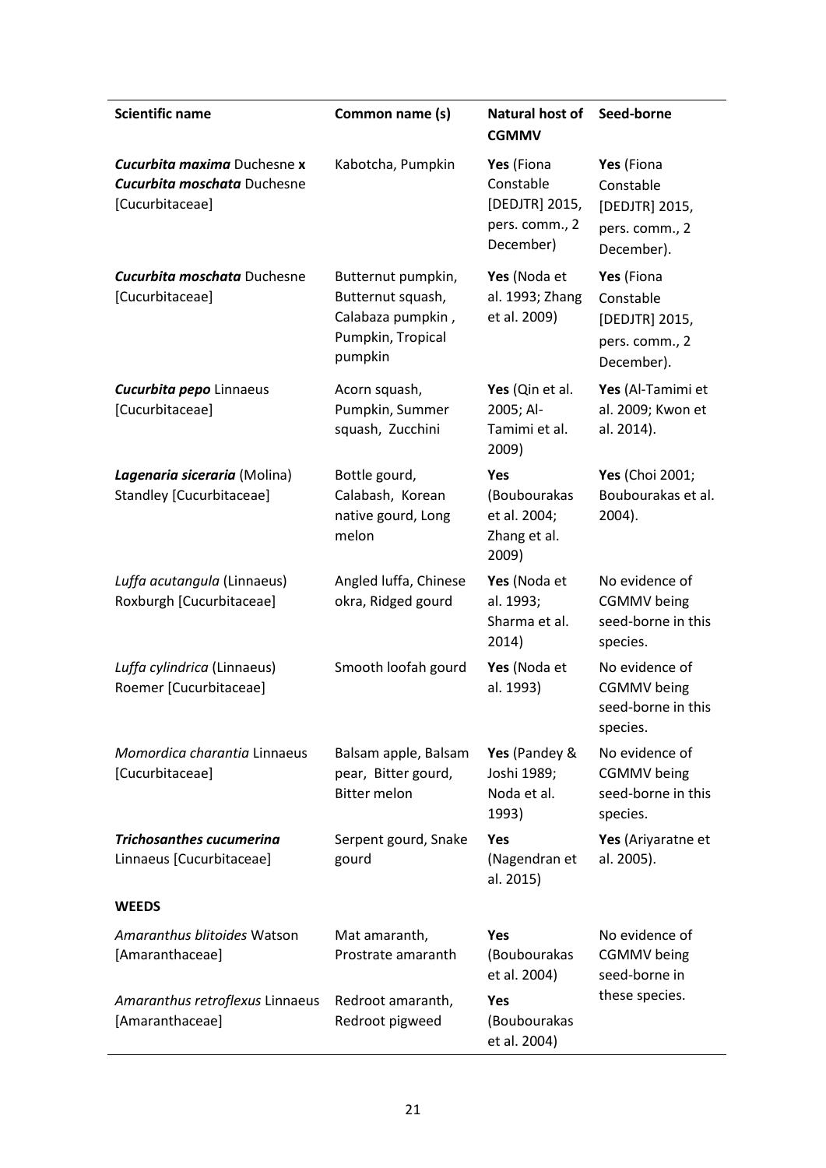| <b>Scientific name</b>                                                                      | Common name (s)                                                                              | <b>Natural host of</b><br><b>CGMMV</b>                                   | Seed-borne                                                                |
|---------------------------------------------------------------------------------------------|----------------------------------------------------------------------------------------------|--------------------------------------------------------------------------|---------------------------------------------------------------------------|
| <b>Cucurbita maxima Duchesne x</b><br><b>Cucurbita moschata Duchesne</b><br>[Cucurbitaceae] | Kabotcha, Pumpkin                                                                            | Yes (Fiona<br>Constable<br>[DEDJTR] 2015,<br>pers. comm., 2<br>December) | Yes (Fiona<br>Constable<br>[DEDJTR] 2015,<br>pers. comm., 2<br>December). |
| <b>Cucurbita moschata Duchesne</b><br>[Cucurbitaceae]                                       | Butternut pumpkin,<br>Butternut squash,<br>Calabaza pumpkin,<br>Pumpkin, Tropical<br>pumpkin | Yes (Noda et<br>al. 1993; Zhang<br>et al. 2009)                          | Yes (Fiona<br>Constable<br>[DEDJTR] 2015,<br>pers. comm., 2<br>December). |
| <b>Cucurbita pepo Linnaeus</b><br>[Cucurbitaceae]                                           | Acorn squash,<br>Pumpkin, Summer<br>squash, Zucchini                                         | Yes (Qin et al.<br>2005; Al-<br>Tamimi et al.<br>2009)                   | Yes (Al-Tamimi et<br>al. 2009; Kwon et<br>al. 2014).                      |
| Lagenaria siceraria (Molina)<br>Standley [Cucurbitaceae]                                    | Bottle gourd,<br>Calabash, Korean<br>native gourd, Long<br>melon                             | Yes<br>(Boubourakas<br>et al. 2004;<br>Zhang et al.<br>2009)             | Yes (Choi 2001;<br>Boubourakas et al.<br>2004).                           |
| Luffa acutangula (Linnaeus)<br>Roxburgh [Cucurbitaceae]                                     | Angled luffa, Chinese<br>okra, Ridged gourd                                                  | Yes (Noda et<br>al. 1993;<br>Sharma et al.<br>2014)                      | No evidence of<br><b>CGMMV</b> being<br>seed-borne in this<br>species.    |
| Luffa cylindrica (Linnaeus)<br>Roemer [Cucurbitaceae]                                       | Smooth loofah gourd                                                                          | Yes (Noda et<br>al. 1993)                                                | No evidence of<br><b>CGMMV</b> being<br>seed-borne in this<br>species.    |
| Momordica charantia Linnaeus<br>[Cucurbitaceae]                                             | Balsam apple, Balsam<br>pear, Bitter gourd,<br><b>Bitter melon</b>                           | Yes (Pandey &<br>Joshi 1989;<br>Noda et al.<br>1993)                     | No evidence of<br><b>CGMMV</b> being<br>seed-borne in this<br>species.    |
| <b>Trichosanthes cucumerina</b><br>Linnaeus [Cucurbitaceae]                                 | Serpent gourd, Snake<br>gourd                                                                | Yes<br>(Nagendran et<br>al. 2015)                                        | Yes (Ariyaratne et<br>al. 2005).                                          |
| <b>WEEDS</b>                                                                                |                                                                                              |                                                                          |                                                                           |
| Amaranthus blitoides Watson<br>[Amaranthaceae]                                              | Mat amaranth,<br>Prostrate amaranth                                                          | <b>Yes</b><br>(Boubourakas<br>et al. 2004)                               | No evidence of<br><b>CGMMV</b> being<br>seed-borne in                     |
| Amaranthus retroflexus Linnaeus<br>[Amaranthaceae]                                          | Redroot amaranth,<br>Redroot pigweed                                                         | <b>Yes</b><br>(Boubourakas<br>et al. 2004)                               | these species.                                                            |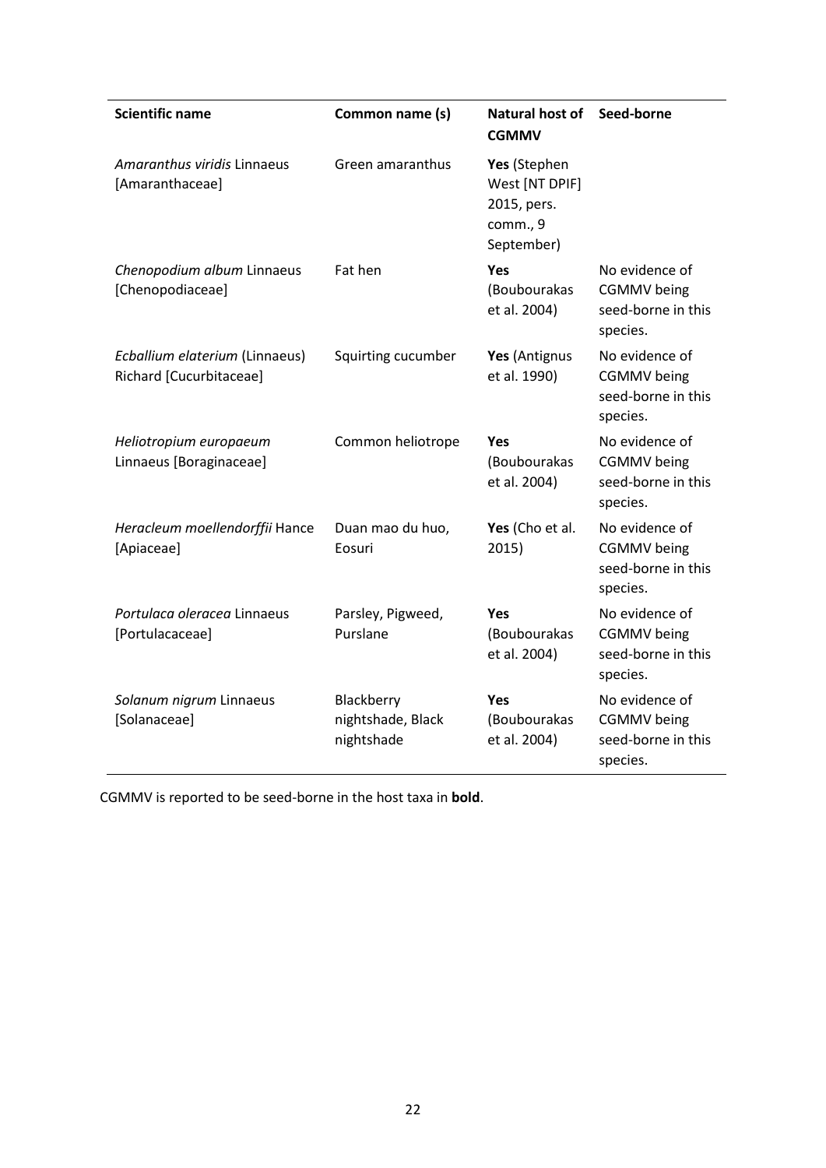| <b>Scientific name</b>                                    | Common name (s)                               | Natural host of<br><b>CGMMV</b>                                         | Seed-borne                                                             |
|-----------------------------------------------------------|-----------------------------------------------|-------------------------------------------------------------------------|------------------------------------------------------------------------|
| Amaranthus viridis Linnaeus<br>[Amaranthaceae]            | Green amaranthus                              | Yes (Stephen<br>West [NT DPIF]<br>2015, pers.<br>comm., 9<br>September) |                                                                        |
| Chenopodium album Linnaeus<br>[Chenopodiaceae]            | Fat hen                                       | <b>Yes</b><br>(Boubourakas<br>et al. 2004)                              | No evidence of<br><b>CGMMV</b> being<br>seed-borne in this<br>species. |
| Ecballium elaterium (Linnaeus)<br>Richard [Cucurbitaceae] | Squirting cucumber                            | Yes (Antignus<br>et al. 1990)                                           | No evidence of<br><b>CGMMV</b> being<br>seed-borne in this<br>species. |
| Heliotropium europaeum<br>Linnaeus [Boraginaceae]         | Common heliotrope                             | <b>Yes</b><br>(Boubourakas<br>et al. 2004)                              | No evidence of<br><b>CGMMV</b> being<br>seed-borne in this<br>species. |
| Heracleum moellendorffii Hance<br>[Apiaceae]              | Duan mao du huo,<br>Eosuri                    | Yes (Cho et al.<br>2015)                                                | No evidence of<br><b>CGMMV</b> being<br>seed-borne in this<br>species. |
| Portulaca oleracea Linnaeus<br>[Portulacaceae]            | Parsley, Pigweed,<br>Purslane                 | <b>Yes</b><br>(Boubourakas<br>et al. 2004)                              | No evidence of<br><b>CGMMV</b> being<br>seed-borne in this<br>species. |
| Solanum nigrum Linnaeus<br>[Solanaceae]                   | Blackberry<br>nightshade, Black<br>nightshade | <b>Yes</b><br>(Boubourakas<br>et al. 2004)                              | No evidence of<br><b>CGMMV</b> being<br>seed-borne in this<br>species. |

CGMMV is reported to be seed-borne in the host taxa in **bold**.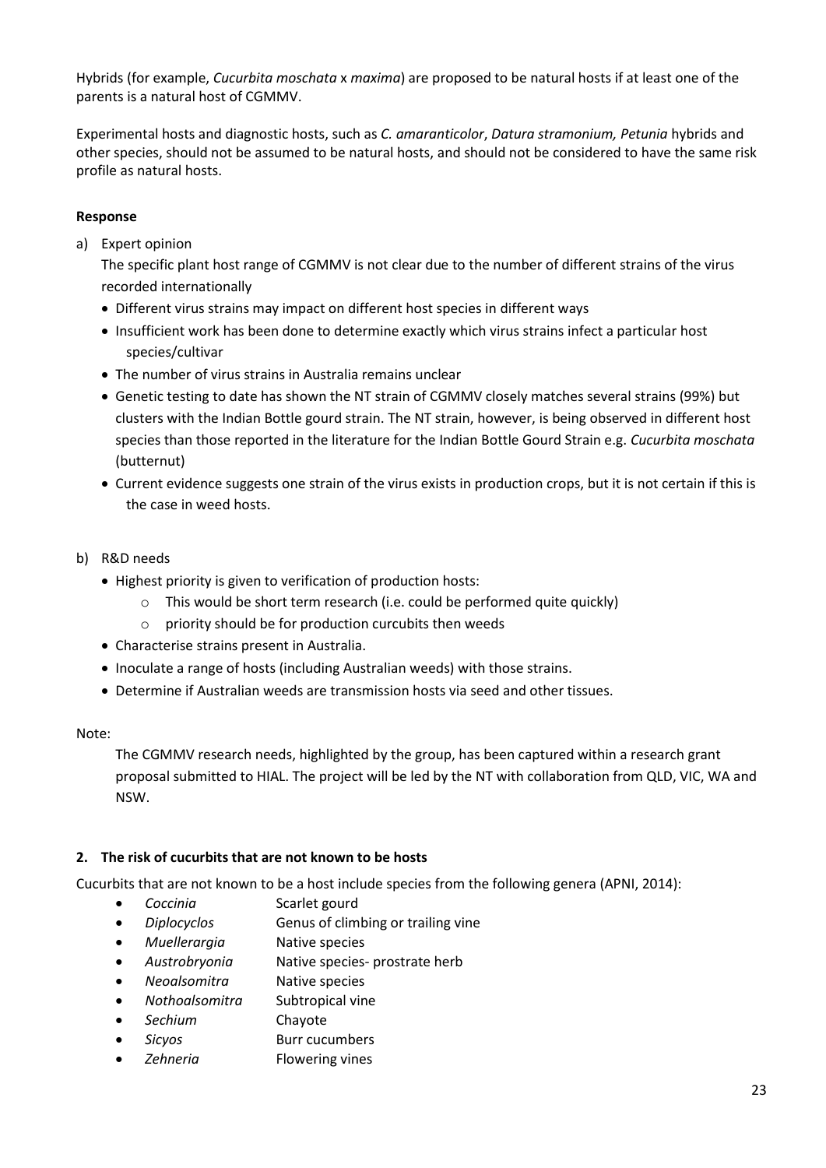Hybrids (for example, *Cucurbita moschata* x *maxima*) are proposed to be natural hosts if at least one of the parents is a natural host of CGMMV.

Experimental hosts and diagnostic hosts, such as *C. amaranticolor*, *Datura stramonium, Petunia* hybrids and other species, should not be assumed to be natural hosts, and should not be considered to have the same risk profile as natural hosts.

#### **Response**

a) Expert opinion

The specific plant host range of CGMMV is not clear due to the number of different strains of the virus recorded internationally

- Different virus strains may impact on different host species in different ways
- Insufficient work has been done to determine exactly which virus strains infect a particular host species/cultivar
- The number of virus strains in Australia remains unclear
- Genetic testing to date has shown the NT strain of CGMMV closely matches several strains (99%) but clusters with the Indian Bottle gourd strain. The NT strain, however, is being observed in different host species than those reported in the literature for the Indian Bottle Gourd Strain e.g. *Cucurbita moschata* (butternut)
- Current evidence suggests one strain of the virus exists in production crops, but it is not certain if this is the case in weed hosts.
- b) R&D needs
	- Highest priority is given to verification of production hosts:
		- o This would be short term research (i.e. could be performed quite quickly)
		- o priority should be for production curcubits then weeds
	- Characterise strains present in Australia.
	- Inoculate a range of hosts (including Australian weeds) with those strains.
	- Determine if Australian weeds are transmission hosts via seed and other tissues.

Note:

The CGMMV research needs, highlighted by the group, has been captured within a research grant proposal submitted to HIAL. The project will be led by the NT with collaboration from QLD, VIC, WA and NSW.

#### **2. The risk of cucurbits that are not known to be hosts**

Cucurbits that are not known to be a host include species from the following genera (APNI, 2014):

- *Coccinia* Scarlet gourd
- **Diplocyclos Genus of climbing or trailing vine**
- *Muellerargia* Native species
- *Austrobryonia* Native species- prostrate herb
- *Neoalsomitra* Native species
- *Nothoalsomitra* Subtropical vine
- *Sechium* [Chayote](https://en.wikipedia.org/wiki/Chayote)
- *Sicyos* Burr cucumbers
- *Zehneria* Flowering vines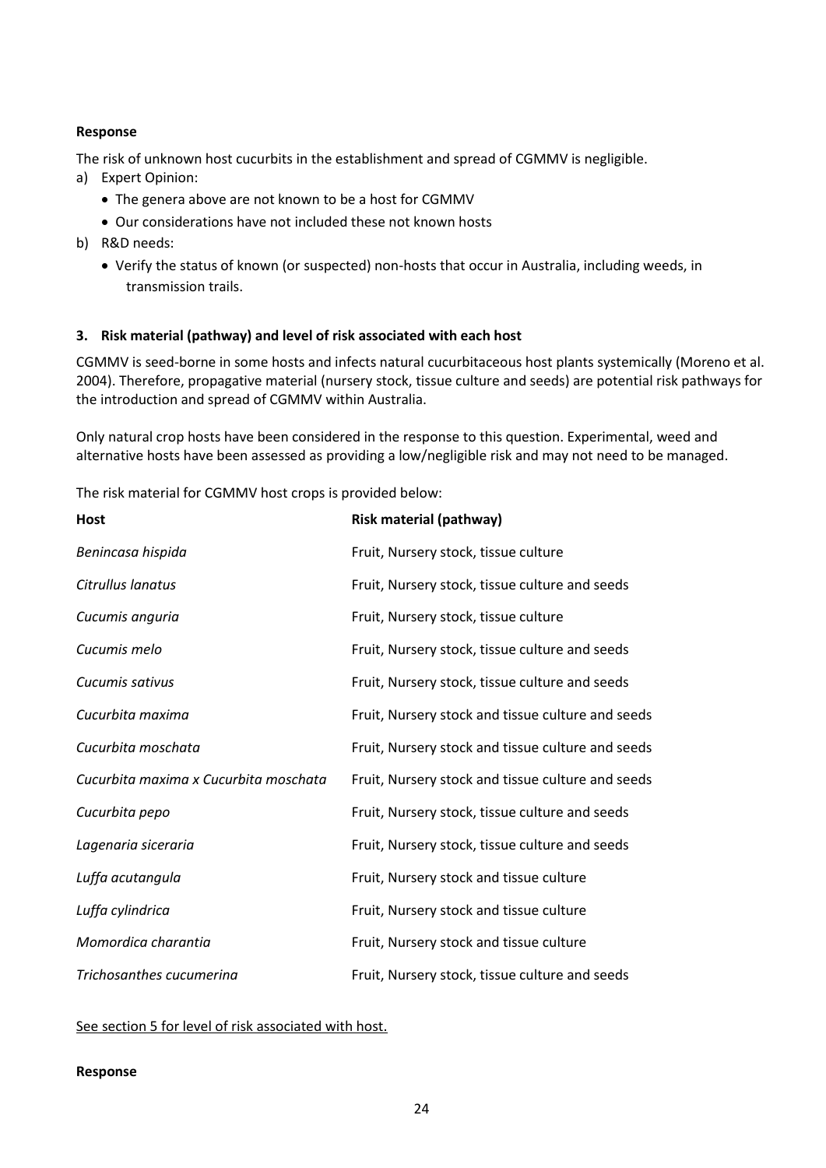#### **Response**

The risk of unknown host cucurbits in the establishment and spread of CGMMV is negligible.

- a) Expert Opinion:
	- The genera above are not known to be a host for CGMMV
	- Our considerations have not included these not known hosts
- b) R&D needs:
	- Verify the status of known (or suspected) non-hosts that occur in Australia, including weeds, in transmission trails.

#### **3. Risk material (pathway) and level of risk associated with each host**

CGMMV is seed-borne in some hosts and infects natural cucurbitaceous host plants systemically (Moreno et al. 2004). Therefore, propagative material (nursery stock, tissue culture and seeds) are potential risk pathways for the introduction and spread of CGMMV within Australia.

Only natural crop hosts have been considered in the response to this question. Experimental, weed and alternative hosts have been assessed as providing a low/negligible risk and may not need to be managed.

The risk material for CGMMV host crops is provided below:

| <b>Host</b>                           | <b>Risk material (pathway)</b>                    |
|---------------------------------------|---------------------------------------------------|
| Benincasa hispida                     | Fruit, Nursery stock, tissue culture              |
| Citrullus lanatus                     | Fruit, Nursery stock, tissue culture and seeds    |
| Cucumis anguria                       | Fruit, Nursery stock, tissue culture              |
| Cucumis melo                          | Fruit, Nursery stock, tissue culture and seeds    |
| Cucumis sativus                       | Fruit, Nursery stock, tissue culture and seeds    |
| Cucurbita maxima                      | Fruit, Nursery stock and tissue culture and seeds |
| Cucurbita moschata                    | Fruit, Nursery stock and tissue culture and seeds |
| Cucurbita maxima x Cucurbita moschata | Fruit, Nursery stock and tissue culture and seeds |
| Cucurbita pepo                        | Fruit, Nursery stock, tissue culture and seeds    |
| Lagenaria siceraria                   | Fruit, Nursery stock, tissue culture and seeds    |
| Luffa acutangula                      | Fruit, Nursery stock and tissue culture           |
| Luffa cylindrica                      | Fruit, Nursery stock and tissue culture           |
| Momordica charantia                   | Fruit, Nursery stock and tissue culture           |
| Trichosanthes cucumerina              | Fruit, Nursery stock, tissue culture and seeds    |

See section 5 for level of risk associated with host.

#### **Response**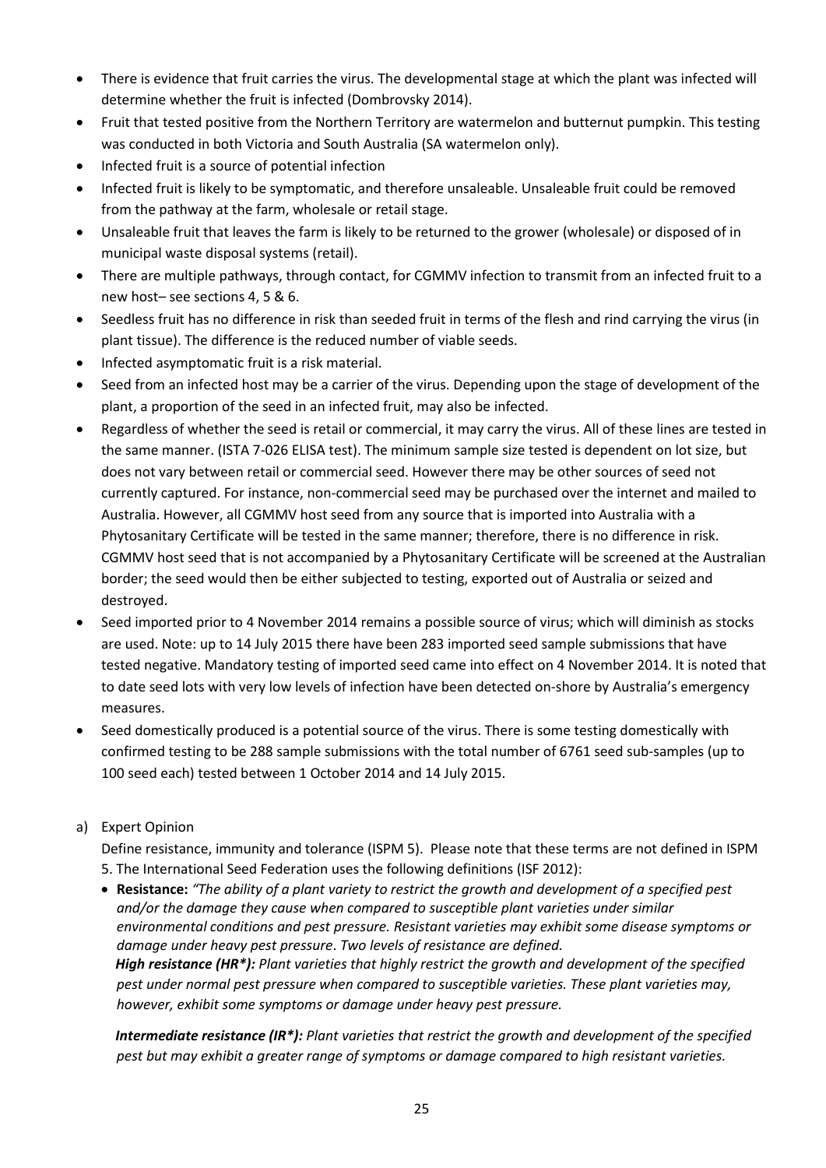- There is evidence that fruit carries the virus. The developmental stage at which the plant was infected will determine whether the fruit is infected (Dombrovsky 2014).
- Fruit that tested positive from the Northern Territory are watermelon and butternut pumpkin. This testing was conducted in both Victoria and South Australia (SA watermelon only).
- Infected fruit is a source of potential infection
- Infected fruit is likely to be symptomatic, and therefore unsaleable. Unsaleable fruit could be removed from the pathway at the farm, wholesale or retail stage.
- Unsaleable fruit that leaves the farm is likely to be returned to the grower (wholesale) or disposed of in municipal waste disposal systems (retail).
- There are multiple pathways, through contact, for CGMMV infection to transmit from an infected fruit to a new host– see sections 4, 5 & 6.
- Seedless fruit has no difference in risk than seeded fruit in terms of the flesh and rind carrying the virus (in plant tissue). The difference is the reduced number of viable seeds.
- Infected asymptomatic fruit is a risk material.
- Seed from an infected host may be a carrier of the virus. Depending upon the stage of development of the plant, a proportion of the seed in an infected fruit, may also be infected.
- Regardless of whether the seed is retail or commercial, it may carry the virus. All of these lines are tested in the same manner. (ISTA 7-026 ELISA test). The minimum sample size tested is dependent on lot size, but does not vary between retail or commercial seed. However there may be other sources of seed not currently captured. For instance, non-commercial seed may be purchased over the internet and mailed to Australia. However, all CGMMV host seed from any source that is imported into Australia with a Phytosanitary Certificate will be tested in the same manner; therefore, there is no difference in risk. CGMMV host seed that is not accompanied by a Phytosanitary Certificate will be screened at the Australian border; the seed would then be either subjected to testing, exported out of Australia or seized and destroyed.
- Seed imported prior to 4 November 2014 remains a possible source of virus; which will diminish as stocks are used. Note: up to 14 July 2015 there have been 283 imported seed sample submissions that have tested negative. Mandatory testing of imported seed came into effect on 4 November 2014. It is noted that to date seed lots with very low levels of infection have been detected on-shore by Australia's emergency measures.
- Seed domestically produced is a potential source of the virus. There is some testing domestically with confirmed testing to be 288 sample submissions with the total number of 6761 seed sub-samples (up to 100 seed each) tested between 1 October 2014 and 14 July 2015.

# a) Expert Opinion

Define resistance, immunity and tolerance (ISPM 5). Please note that these terms are not defined in ISPM 5. The International Seed Federation uses the following definitions (ISF 2012):

 **Resistance:** *"The ability of a plant variety to restrict the growth and development of a specified pest and/or the damage they cause when compared to susceptible plant varieties under similar environmental conditions and pest pressure. Resistant varieties may exhibit some disease symptoms or damage under heavy pest pressure*. *Two levels of resistance are defined. High resistance (HR\*): Plant varieties that highly restrict the growth and development of the specified pest under normal pest pressure when compared to susceptible varieties. These plant varieties may, however, exhibit some symptoms or damage under heavy pest pressure.*

*Intermediate resistance (IR\*): Plant varieties that restrict the growth and development of the specified pest but may exhibit a greater range of symptoms or damage compared to high resistant varieties.*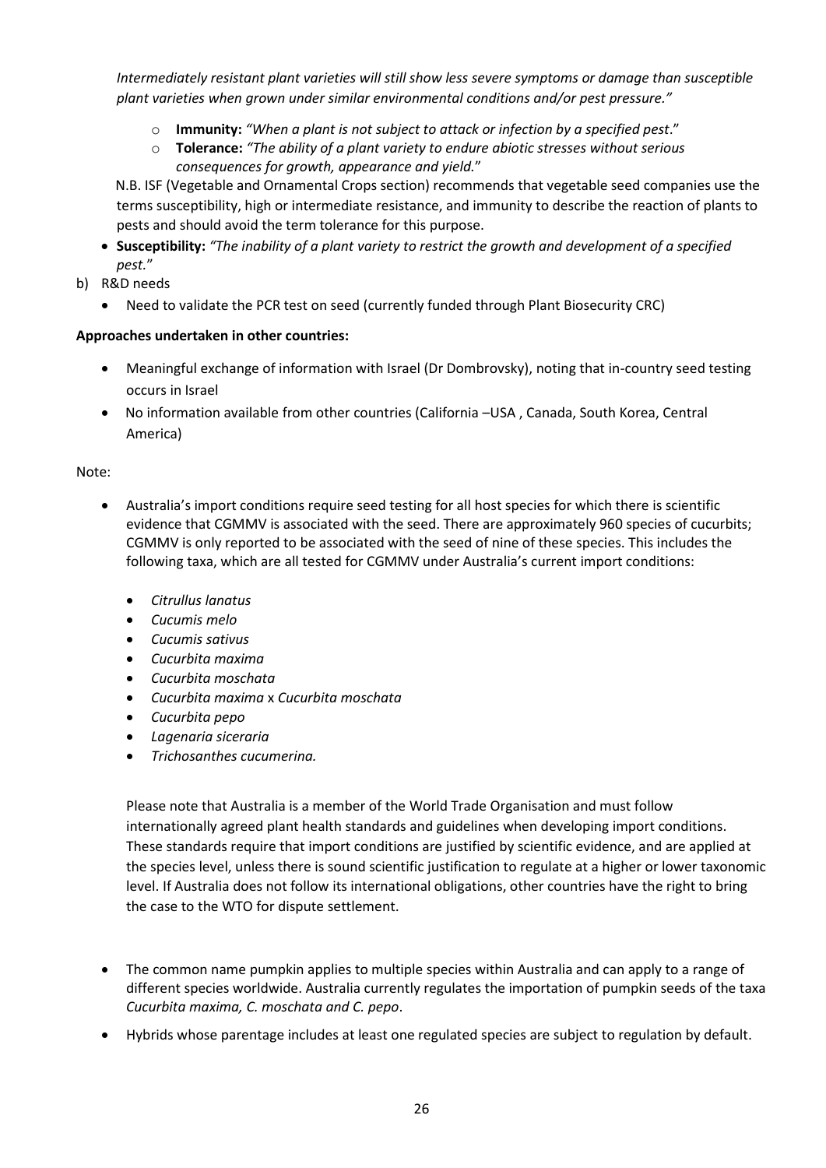*Intermediately resistant plant varieties will still show less severe symptoms or damage than susceptible plant varieties when grown under similar environmental conditions and/or pest pressure."*

- o **Immunity:** *"When a plant is not subject to attack or infection by a specified pest*."
- o **Tolerance:** *"The ability of a plant variety to endure abiotic stresses without serious consequences for growth, appearance and yield.*"

N.B. ISF (Vegetable and Ornamental Crops section) recommends that vegetable seed companies use the terms susceptibility, high or intermediate resistance, and immunity to describe the reaction of plants to pests and should avoid the term tolerance for this purpose.

- **Susceptibility:** *"The inability of a plant variety to restrict the growth and development of a specified pest.*"
- b) R&D needs
	- Need to validate the PCR test on seed (currently funded through Plant Biosecurity CRC)

#### **Approaches undertaken in other countries:**

- Meaningful exchange of information with Israel (Dr Dombrovsky), noting that in-country seed testing occurs in Israel
- No information available from other countries (California –USA , Canada, South Korea, Central America)

#### Note:

- Australia's import conditions require seed testing for all host species for which there is scientific evidence that CGMMV is associated with the seed. There are approximately 960 species of cucurbits; CGMMV is only reported to be associated with the seed of nine of these species. This includes the following taxa, which are all tested for CGMMV under Australia's current import conditions:
	- *Citrullus lanatus*
	- *Cucumis melo*
	- *Cucumis sativus*
	- *Cucurbita maxima*
	- *Cucurbita moschata*
	- *Cucurbita maxima* x *Cucurbita moschata*
	- *Cucurbita pepo*
	- *Lagenaria siceraria*
	- *Trichosanthes cucumerina.*

Please note that Australia is a member of the World Trade Organisation and must follow internationally agreed plant health standards and guidelines when developing import conditions. These standards require that import conditions are justified by scientific evidence, and are applied at the species level, unless there is sound scientific justification to regulate at a higher or lower taxonomic level. If Australia does not follow its international obligations, other countries have the right to bring the case to the WTO for dispute settlement.

- The common name pumpkin applies to multiple species within Australia and can apply to a range of different species worldwide. Australia currently regulates the importation of pumpkin seeds of the taxa *Cucurbita maxima, C. moschata and C. pepo*.
- Hybrids whose parentage includes at least one regulated species are subject to regulation by default.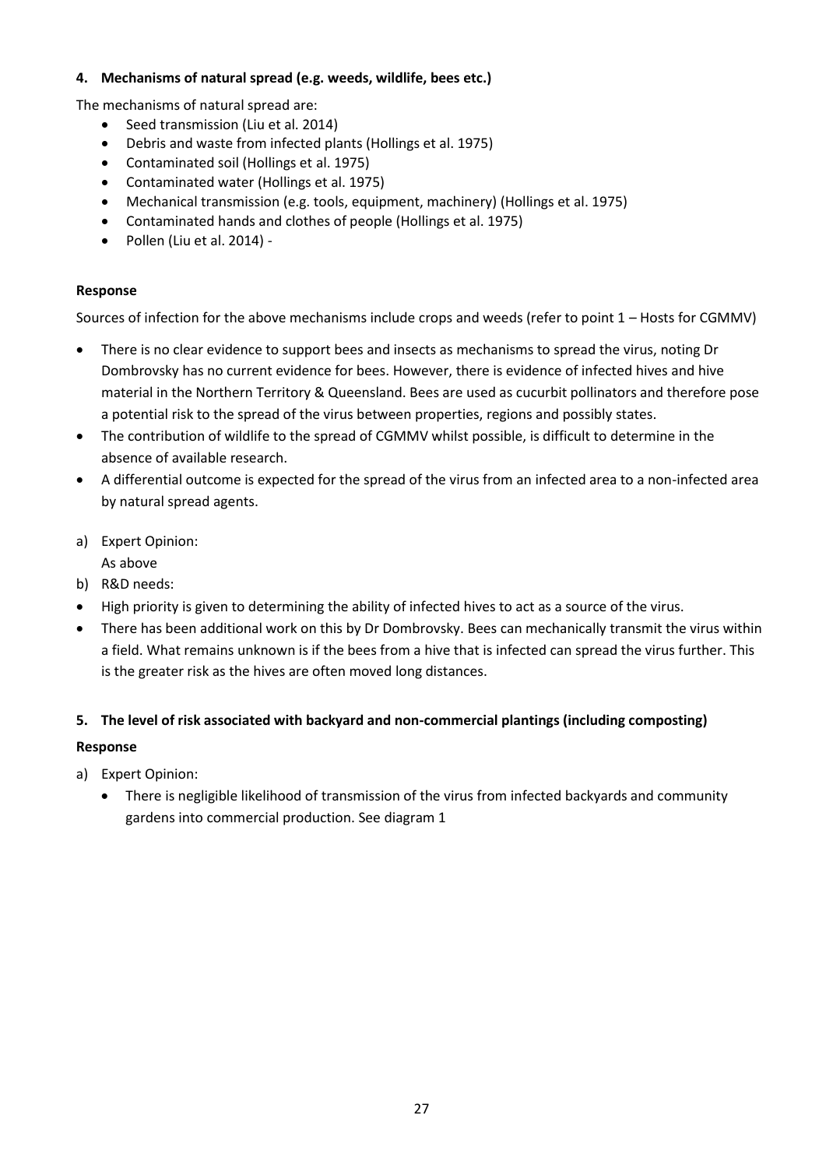### **4. Mechanisms of natural spread (e.g. weeds, wildlife, bees etc.)**

The mechanisms of natural spread are:

- Seed transmission (Liu et al. 2014)
- Debris and waste from infected plants (Hollings et al. 1975)
- Contaminated soil (Hollings et al. 1975)
- Contaminated water (Hollings et al. 1975)
- Mechanical transmission (e.g. tools, equipment, machinery) (Hollings et al. 1975)
- Contaminated hands and clothes of people (Hollings et al. 1975)
- Pollen (Liu et al. 2014) -

### **Response**

Sources of infection for the above mechanisms include crops and weeds (refer to point 1 – Hosts for CGMMV)

- There is no clear evidence to support bees and insects as mechanisms to spread the virus, noting Dr Dombrovsky has no current evidence for bees. However, there is evidence of infected hives and hive material in the Northern Territory & Queensland. Bees are used as cucurbit pollinators and therefore pose a potential risk to the spread of the virus between properties, regions and possibly states.
- The contribution of wildlife to the spread of CGMMV whilst possible, is difficult to determine in the absence of available research.
- A differential outcome is expected for the spread of the virus from an infected area to a non-infected area by natural spread agents.
- a) Expert Opinion:

As above

- b) R&D needs:
- High priority is given to determining the ability of infected hives to act as a source of the virus.
- There has been additional work on this by Dr Dombrovsky. Bees can mechanically transmit the virus within a field. What remains unknown is if the bees from a hive that is infected can spread the virus further. This is the greater risk as the hives are often moved long distances.

# **5. The level of risk associated with backyard and non-commercial plantings (including composting) Response**

- a) Expert Opinion:
	- There is negligible likelihood of transmission of the virus from infected backyards and community gardens into commercial production. See diagram 1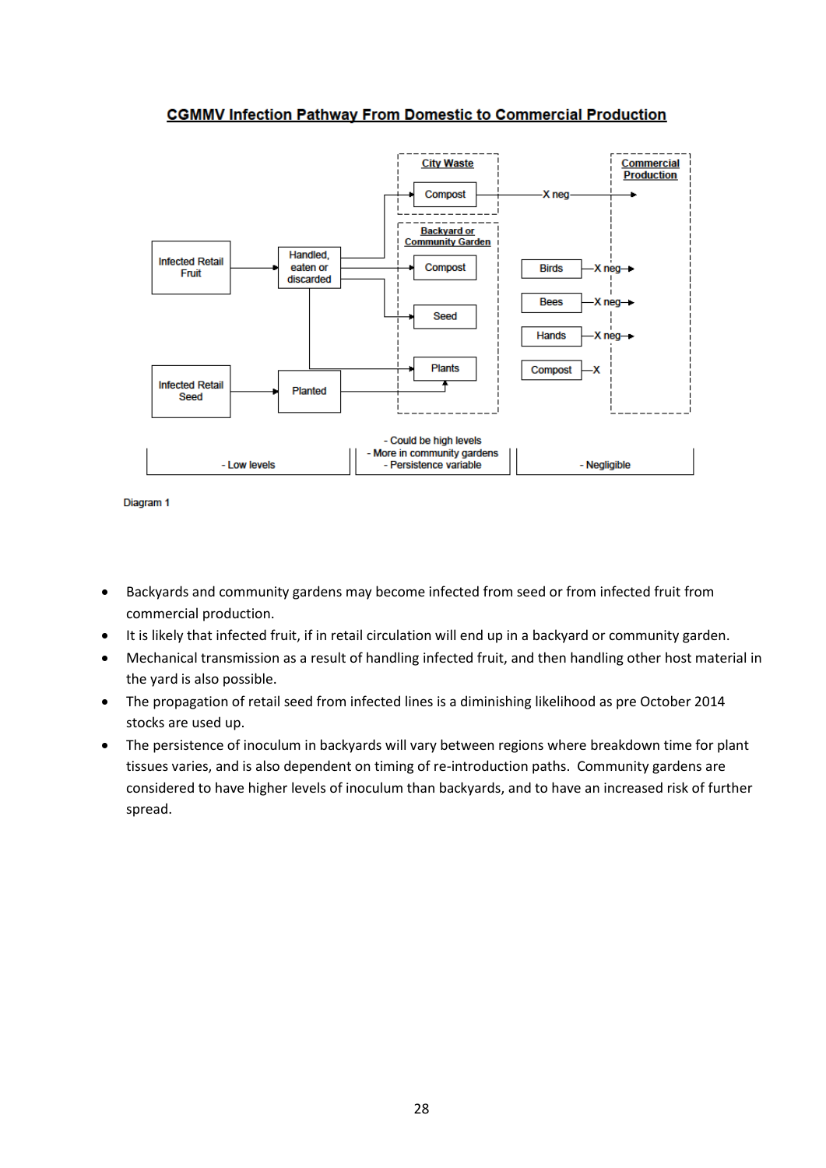# **CGMMV Infection Pathway From Domestic to Commercial Production**



```
Diagram 1
```
- Backyards and community gardens may become infected from seed or from infected fruit from commercial production.
- It is likely that infected fruit, if in retail circulation will end up in a backyard or community garden.
- Mechanical transmission as a result of handling infected fruit, and then handling other host material in the yard is also possible.
- The propagation of retail seed from infected lines is a diminishing likelihood as pre October 2014 stocks are used up.
- The persistence of inoculum in backyards will vary between regions where breakdown time for plant tissues varies, and is also dependent on timing of re-introduction paths. Community gardens are considered to have higher levels of inoculum than backyards, and to have an increased risk of further spread.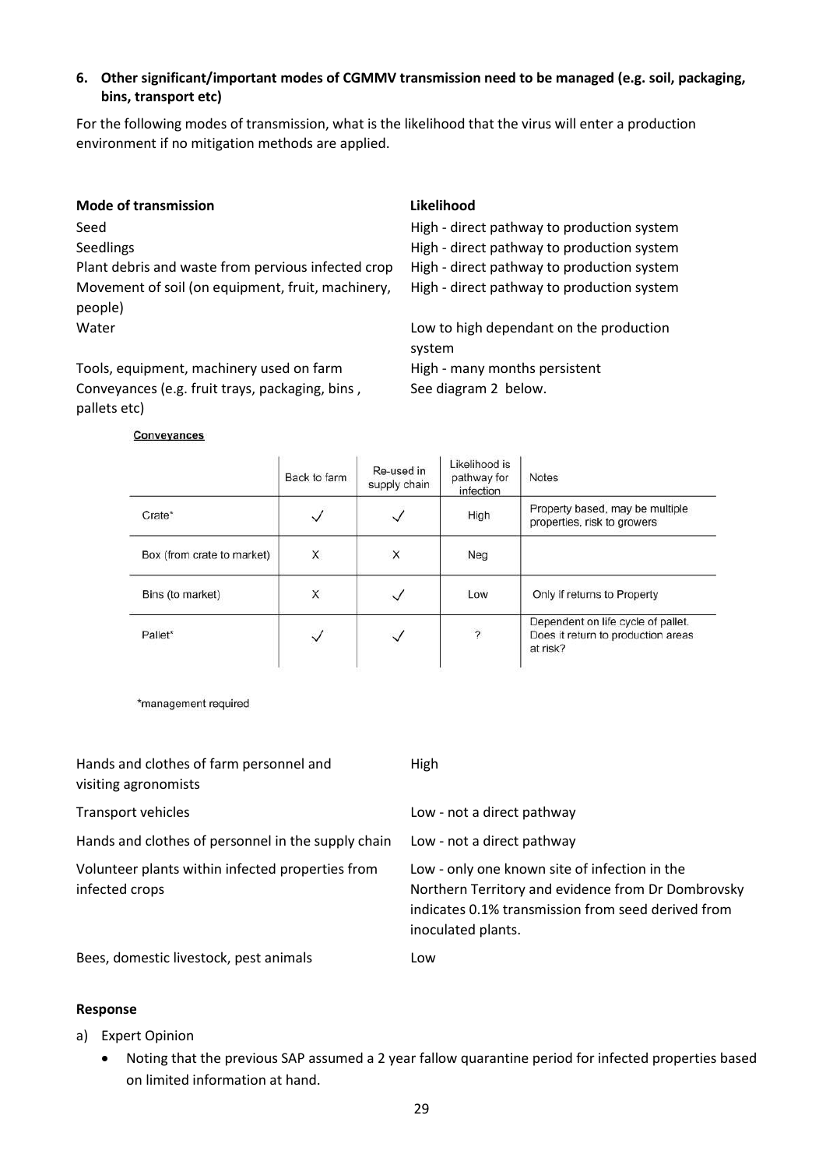### **6. Other significant/important modes of CGMMV transmission need to be managed (e.g. soil, packaging, bins, transport etc)**

For the following modes of transmission, what is the likelihood that the virus will enter a production environment if no mitigation methods are applied.

| <b>Mode of transmission</b>                                  | Likelihood                                        |
|--------------------------------------------------------------|---------------------------------------------------|
| Seed                                                         | High - direct pathway to production system        |
| Seedlings                                                    | High - direct pathway to production system        |
| Plant debris and waste from pervious infected crop           | High - direct pathway to production system        |
| Movement of soil (on equipment, fruit, machinery,<br>people) | High - direct pathway to production system        |
| Water                                                        | Low to high dependant on the production<br>system |
| Tools, equipment, machinery used on farm                     | High - many months persistent                     |

Conveyances (e.g. fruit trays, packaging, bins , See diagram 2 below. pallets etc)

#### Conveyances

|                            | Back to farm | Re-used in<br>supply chain | Likelihood is<br>pathway for<br>infection | <b>Notes</b>                                                                         |
|----------------------------|--------------|----------------------------|-------------------------------------------|--------------------------------------------------------------------------------------|
| Crate*                     |              | $\checkmark$               | High                                      | Property based, may be multiple<br>properties, risk to growers                       |
| Box (from crate to market) | X            | X                          | Neg                                       |                                                                                      |
| Bins (to market)           | X            | $\checkmark$               | Low                                       | Only if returns to Property                                                          |
| Pallet*                    |              | $\checkmark$               | $\overline{\phantom{a}}$                  | Dependent on life cycle of pallet.<br>Does it return to production areas<br>at risk? |

\*management required

| Hands and clothes of farm personnel and<br>visiting agronomists    | High                                                                                                                                                                            |
|--------------------------------------------------------------------|---------------------------------------------------------------------------------------------------------------------------------------------------------------------------------|
| Transport vehicles                                                 | Low - not a direct pathway                                                                                                                                                      |
| Hands and clothes of personnel in the supply chain                 | Low - not a direct pathway                                                                                                                                                      |
| Volunteer plants within infected properties from<br>infected crops | Low - only one known site of infection in the<br>Northern Territory and evidence from Dr Dombrovsky<br>indicates 0.1% transmission from seed derived from<br>inoculated plants. |
| Bees, domestic livestock, pest animals                             | Low                                                                                                                                                                             |

#### **Response**

- a) Expert Opinion
	- Noting that the previous SAP assumed a 2 year fallow quarantine period for infected properties based on limited information at hand.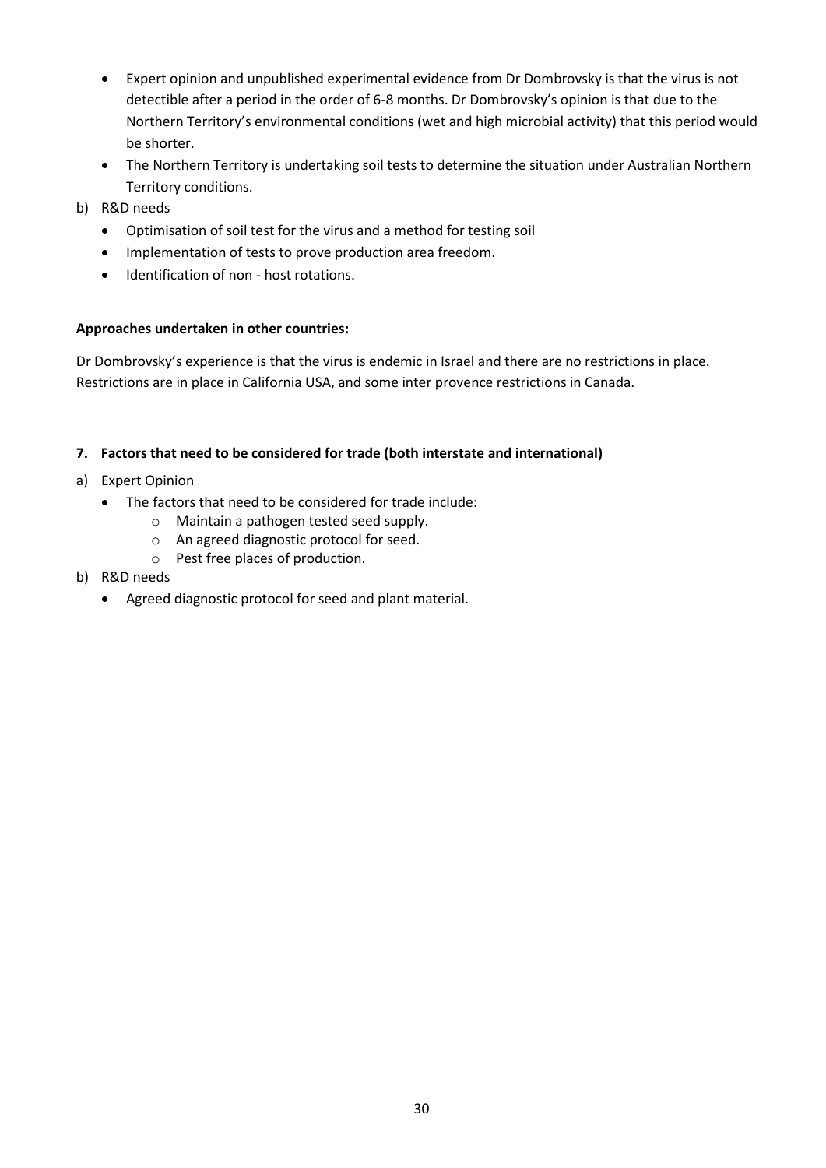- Expert opinion and unpublished experimental evidence from Dr Dombrovsky is that the virus is not detectible after a period in the order of 6-8 months. Dr Dombrovsky's opinion is that due to the Northern Territory's environmental conditions (wet and high microbial activity) that this period would be shorter.
- The Northern Territory is undertaking soil tests to determine the situation under Australian Northern Territory conditions.
- b) R&D needs
	- Optimisation of soil test for the virus and a method for testing soil
	- Implementation of tests to prove production area freedom.
	- $\bullet$  Identification of non host rotations.

# **Approaches undertaken in other countries:**

Dr Dombrovsky's experience is that the virus is endemic in Israel and there are no restrictions in place. Restrictions are in place in California USA, and some inter provence restrictions in Canada.

### **7. Factors that need to be considered for trade (both interstate and international)**

- a) Expert Opinion
	- The factors that need to be considered for trade include:
		- o Maintain a pathogen tested seed supply.
		- o An agreed diagnostic protocol for seed.
		- o Pest free places of production.
- b) R&D needs
	- Agreed diagnostic protocol for seed and plant material.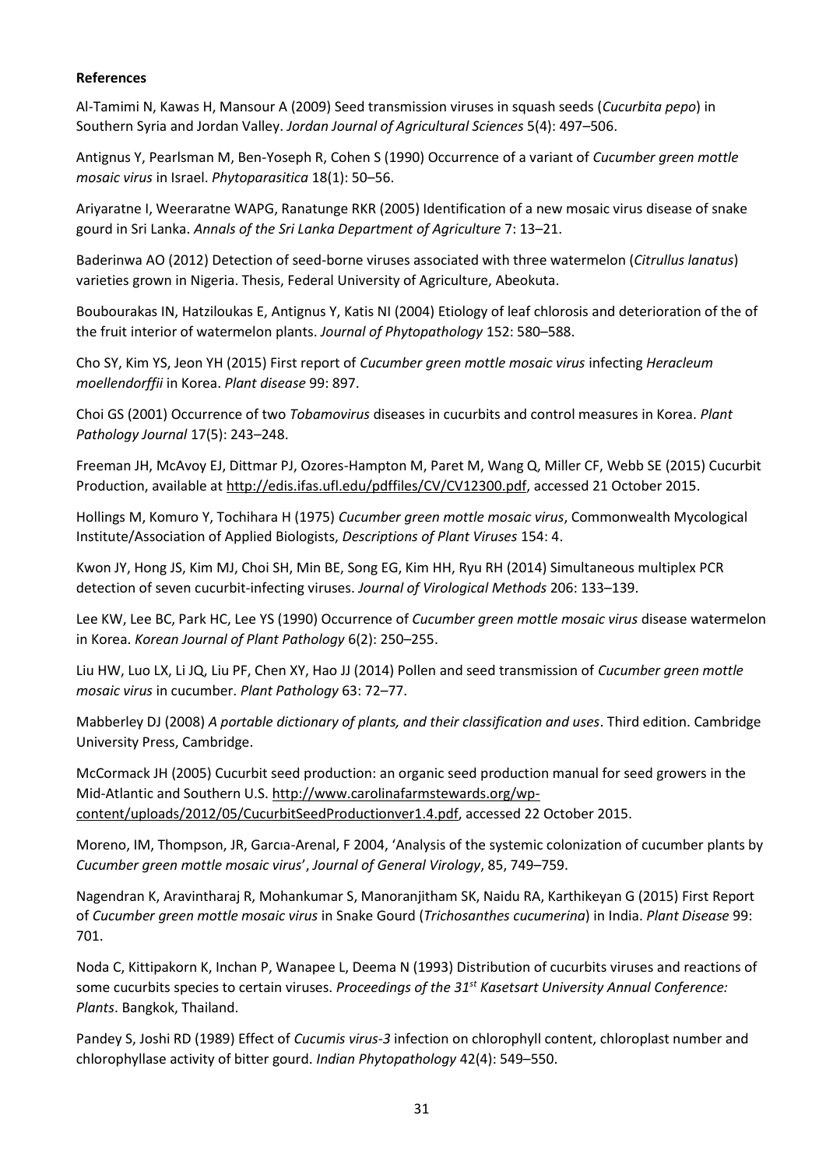#### **References**

Al-Tamimi N, Kawas H, Mansour A (2009) Seed transmission viruses in squash seeds (*Cucurbita pepo*) in Southern Syria and Jordan Valley. *Jordan Journal of Agricultural Sciences* 5(4): 497–506.

Antignus Y, Pearlsman M, Ben-Yoseph R, Cohen S (1990) Occurrence of a variant of *Cucumber green mottle mosaic virus* in Israel. *Phytoparasitica* 18(1): 50–56.

Ariyaratne I, Weeraratne WAPG, Ranatunge RKR (2005) Identification of a new mosaic virus disease of snake gourd in Sri Lanka. *Annals of the Sri Lanka Department of Agriculture* 7: 13–21.

Baderinwa AO (2012) Detection of seed-borne viruses associated with three watermelon (*Citrullus lanatus*) varieties grown in Nigeria. Thesis, Federal University of Agriculture, Abeokuta.

Boubourakas IN, Hatziloukas E, Antignus Y, Katis NI (2004) Etiology of leaf chlorosis and deterioration of the of the fruit interior of watermelon plants. *Journal of Phytopathology* 152: 580–588.

Cho SY, Kim YS, Jeon YH (2015) First report of *Cucumber green mottle mosaic virus* infecting *Heracleum moellendorffii* in Korea. *Plant disease* 99: 897.

Choi GS (2001) Occurrence of two *Tobamovirus* diseases in cucurbits and control measures in Korea. *Plant Pathology Journal* 17(5): 243–248.

Freeman JH, McAvoy EJ, Dittmar PJ, Ozores-Hampton M, Paret M, Wang Q, Miller CF, Webb SE (2015) Cucurbit Production, available at [http://edis.ifas.ufl.edu/pdffiles/CV/CV12300.pdf,](http://edis.ifas.ufl.edu/pdffiles/CV/CV12300.pdf) accessed 21 October 2015.

Hollings M, Komuro Y, Tochihara H (1975) *Cucumber green mottle mosaic virus*, Commonwealth Mycological Institute/Association of Applied Biologists, *Descriptions of Plant Viruses* 154: 4.

Kwon JY, Hong JS, Kim MJ, Choi SH, Min BE, Song EG, Kim HH, Ryu RH (2014) Simultaneous multiplex PCR detection of seven cucurbit-infecting viruses. *Journal of Virological Methods* 206: 133–139.

Lee KW, Lee BC, Park HC, Lee YS (1990) Occurrence of *Cucumber green mottle mosaic virus* disease watermelon in Korea. *Korean Journal of Plant Pathology* 6(2): 250–255.

Liu HW, Luo LX, Li JQ, Liu PF, Chen XY, Hao JJ (2014) Pollen and seed transmission of *Cucumber green mottle mosaic virus* in cucumber. *Plant Pathology* 63: 72–77.

Mabberley DJ (2008) *A portable dictionary of plants, and their classification and uses*. Third edition. Cambridge University Press, Cambridge.

McCormack JH (2005) Cucurbit seed production: an organic seed production manual for seed growers in the Mid-Atlantic and Southern U.S. [http://www.carolinafarmstewards.org/wp](http://www.carolinafarmstewards.org/wp-content/uploads/2012/05/CucurbitSeedProductionver1.4.pdf)[content/uploads/2012/05/CucurbitSeedProductionver1.4.pdf,](http://www.carolinafarmstewards.org/wp-content/uploads/2012/05/CucurbitSeedProductionver1.4.pdf) accessed 22 October 2015.

Moreno, IM, Thompson, JR, Garcıa-Arenal, F 2004, 'Analysis of the systemic colonization of cucumber plants by *Cucumber green mottle mosaic virus*', *Journal of General Virology*, 85, 749–759.

Nagendran K, Aravintharaj R, Mohankumar S, Manoranjitham SK, Naidu RA, Karthikeyan G (2015) First Report of *Cucumber green mottle mosaic virus* in Snake Gourd (*Trichosanthes cucumerina*) in India. *Plant Disease* 99: 701.

Noda C, Kittipakorn K, Inchan P, Wanapee L, Deema N (1993) Distribution of cucurbits viruses and reactions of some cucurbits species to certain viruses. *Proceedings of the 31st Kasetsart University Annual Conference: Plants*. Bangkok, Thailand.

Pandey S, Joshi RD (1989) Effect of *Cucumis virus-3* infection on chlorophyll content, chloroplast number and chlorophyllase activity of bitter gourd. *Indian Phytopathology* 42(4): 549–550.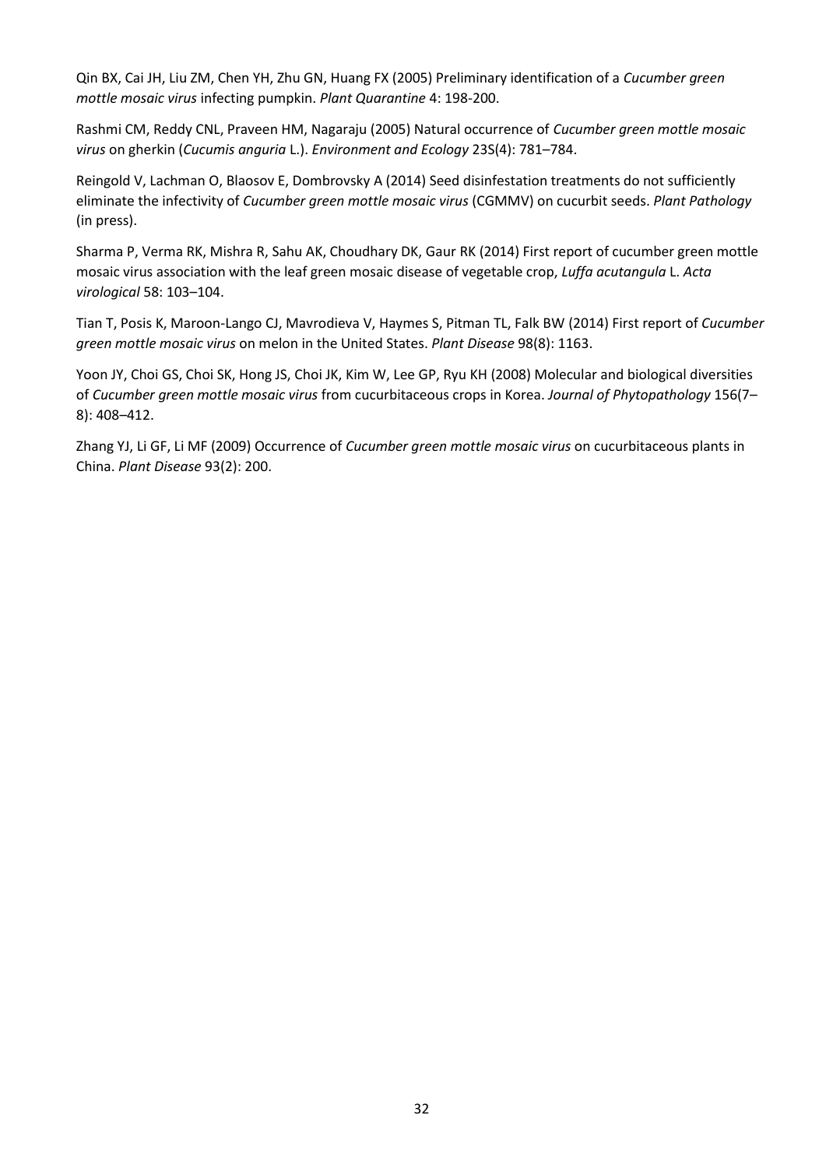Qin BX, Cai JH, Liu ZM, Chen YH, Zhu GN, Huang FX (2005) Preliminary identification of a *Cucumber green mottle mosaic virus* infecting pumpkin. *Plant Quarantine* 4: 198-200.

Rashmi CM, Reddy CNL, Praveen HM, Nagaraju (2005) Natural occurrence of *Cucumber green mottle mosaic virus* on gherkin (*Cucumis anguria* L.). *Environment and Ecology* 23S(4): 781–784.

Reingold V, Lachman O, Blaosov E, Dombrovsky A (2014) Seed disinfestation treatments do not sufficiently eliminate the infectivity of *Cucumber green mottle mosaic virus* (CGMMV) on cucurbit seeds. *Plant Pathology*  (in press).

Sharma P, Verma RK, Mishra R, Sahu AK, Choudhary DK, Gaur RK (2014) First report of cucumber green mottle mosaic virus association with the leaf green mosaic disease of vegetable crop, *Luffa acutangula* L. *Acta virological* 58: 103–104.

Tian T, Posis K, Maroon-Lango CJ, Mavrodieva V, Haymes S, Pitman TL, Falk BW (2014) First report of *Cucumber green mottle mosaic virus* on melon in the United States. *Plant Disease* 98(8): 1163.

Yoon JY, Choi GS, Choi SK, Hong JS, Choi JK, Kim W, Lee GP, Ryu KH (2008) Molecular and biological diversities of *Cucumber green mottle mosaic virus* from cucurbitaceous crops in Korea. *Journal of Phytopathology* 156(7– 8): 408–412.

Zhang YJ, Li GF, Li MF (2009) Occurrence of *Cucumber green mottle mosaic virus* on cucurbitaceous plants in China. *Plant Disease* 93(2): 200.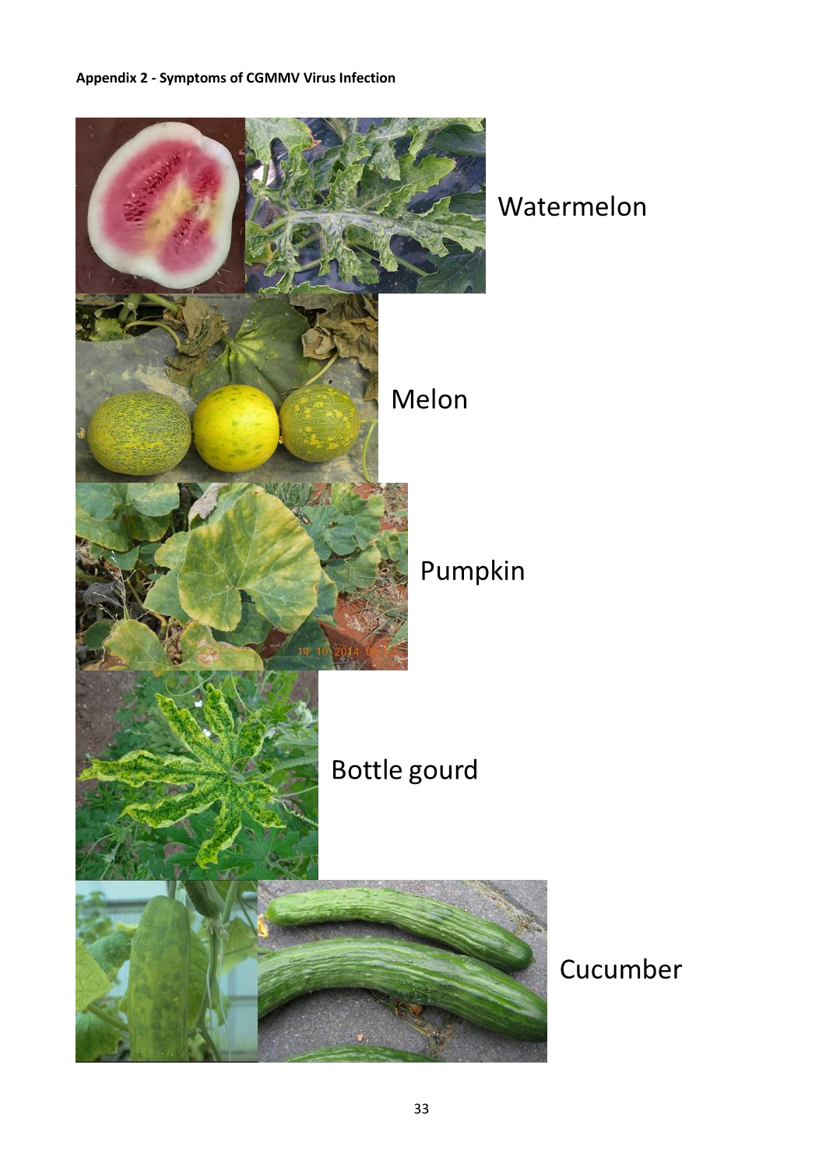# <span id="page-35-0"></span>**Appendix 2 - Symptoms of CGMMV Virus Infection**



Watermelon

Cucumber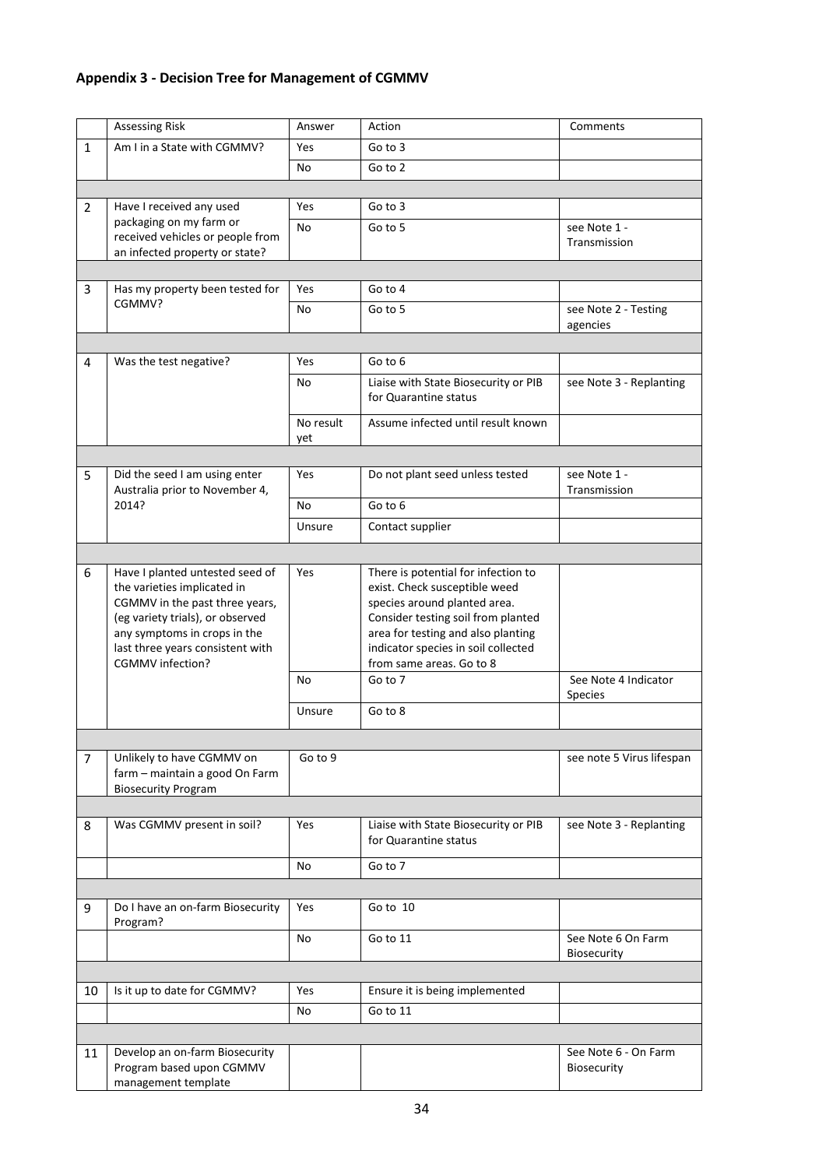# <span id="page-36-0"></span>**Appendix 3 - Decision Tree for Management of CGMMV**

|                | <b>Assessing Risk</b>                                                                                                                                                                                                        | Answer           | Action                                                                                                                                                                                                                                              | Comments                            |
|----------------|------------------------------------------------------------------------------------------------------------------------------------------------------------------------------------------------------------------------------|------------------|-----------------------------------------------------------------------------------------------------------------------------------------------------------------------------------------------------------------------------------------------------|-------------------------------------|
| 1              | Am I in a State with CGMMV?                                                                                                                                                                                                  | Yes              | Go to 3                                                                                                                                                                                                                                             |                                     |
|                |                                                                                                                                                                                                                              | No               | Go to 2                                                                                                                                                                                                                                             |                                     |
|                |                                                                                                                                                                                                                              |                  |                                                                                                                                                                                                                                                     |                                     |
| $\overline{2}$ | Have I received any used                                                                                                                                                                                                     | Yes              | Go to 3                                                                                                                                                                                                                                             |                                     |
|                | packaging on my farm or                                                                                                                                                                                                      | No               | Go to 5                                                                                                                                                                                                                                             | see Note 1 -                        |
|                | received vehicles or people from<br>an infected property or state?                                                                                                                                                           |                  |                                                                                                                                                                                                                                                     | Transmission                        |
|                |                                                                                                                                                                                                                              |                  |                                                                                                                                                                                                                                                     |                                     |
| 3              | Has my property been tested for                                                                                                                                                                                              | Yes              | Go to 4                                                                                                                                                                                                                                             |                                     |
|                | CGMMV?                                                                                                                                                                                                                       | No               | Go to 5                                                                                                                                                                                                                                             | see Note 2 - Testing                |
|                |                                                                                                                                                                                                                              |                  |                                                                                                                                                                                                                                                     | agencies                            |
|                |                                                                                                                                                                                                                              |                  |                                                                                                                                                                                                                                                     |                                     |
| 4              | Was the test negative?                                                                                                                                                                                                       | <b>Yes</b>       | Go to 6                                                                                                                                                                                                                                             |                                     |
|                |                                                                                                                                                                                                                              | No               | Liaise with State Biosecurity or PIB<br>for Quarantine status                                                                                                                                                                                       | see Note 3 - Replanting             |
|                |                                                                                                                                                                                                                              | No result<br>yet | Assume infected until result known                                                                                                                                                                                                                  |                                     |
|                |                                                                                                                                                                                                                              |                  |                                                                                                                                                                                                                                                     |                                     |
| 5              | Did the seed I am using enter<br>Australia prior to November 4,                                                                                                                                                              | Yes              | Do not plant seed unless tested                                                                                                                                                                                                                     | see Note 1 -<br>Transmission        |
|                | 2014?                                                                                                                                                                                                                        | No               | Go to 6                                                                                                                                                                                                                                             |                                     |
|                |                                                                                                                                                                                                                              | Unsure           | Contact supplier                                                                                                                                                                                                                                    |                                     |
|                |                                                                                                                                                                                                                              |                  |                                                                                                                                                                                                                                                     |                                     |
| 6              | Have I planted untested seed of<br>the varieties implicated in<br>CGMMV in the past three years,<br>(eg variety trials), or observed<br>any symptoms in crops in the<br>last three years consistent with<br>CGMMV infection? | Yes              | There is potential for infection to<br>exist. Check susceptible weed<br>species around planted area.<br>Consider testing soil from planted<br>area for testing and also planting<br>indicator species in soil collected<br>from same areas. Go to 8 |                                     |
|                |                                                                                                                                                                                                                              | No               | Go to 7                                                                                                                                                                                                                                             | See Note 4 Indicator                |
|                |                                                                                                                                                                                                                              |                  |                                                                                                                                                                                                                                                     | Species                             |
|                |                                                                                                                                                                                                                              | Unsure           | Go to 8                                                                                                                                                                                                                                             |                                     |
|                |                                                                                                                                                                                                                              |                  |                                                                                                                                                                                                                                                     |                                     |
| $\overline{7}$ | Unlikely to have CGMMV on<br>farm - maintain a good On Farm<br><b>Biosecurity Program</b>                                                                                                                                    | Go to 9          |                                                                                                                                                                                                                                                     | see note 5 Virus lifespan           |
|                |                                                                                                                                                                                                                              |                  |                                                                                                                                                                                                                                                     |                                     |
| 8              | Was CGMMV present in soil?                                                                                                                                                                                                   | Yes              | Liaise with State Biosecurity or PIB<br>for Quarantine status                                                                                                                                                                                       | see Note 3 - Replanting             |
|                |                                                                                                                                                                                                                              | No               | Go to 7                                                                                                                                                                                                                                             |                                     |
|                |                                                                                                                                                                                                                              |                  |                                                                                                                                                                                                                                                     |                                     |
| 9              | Do I have an on-farm Biosecurity<br>Program?                                                                                                                                                                                 | Yes              | Go to 10                                                                                                                                                                                                                                            |                                     |
|                |                                                                                                                                                                                                                              | No               | Go to 11                                                                                                                                                                                                                                            | See Note 6 On Farm<br>Biosecurity   |
|                |                                                                                                                                                                                                                              |                  |                                                                                                                                                                                                                                                     |                                     |
| 10             | Is it up to date for CGMMV?                                                                                                                                                                                                  | Yes              | Ensure it is being implemented                                                                                                                                                                                                                      |                                     |
|                |                                                                                                                                                                                                                              | No               | Go to 11                                                                                                                                                                                                                                            |                                     |
|                |                                                                                                                                                                                                                              |                  |                                                                                                                                                                                                                                                     |                                     |
| 11             | Develop an on-farm Biosecurity<br>Program based upon CGMMV<br>management template                                                                                                                                            |                  |                                                                                                                                                                                                                                                     | See Note 6 - On Farm<br>Biosecurity |
|                |                                                                                                                                                                                                                              |                  |                                                                                                                                                                                                                                                     |                                     |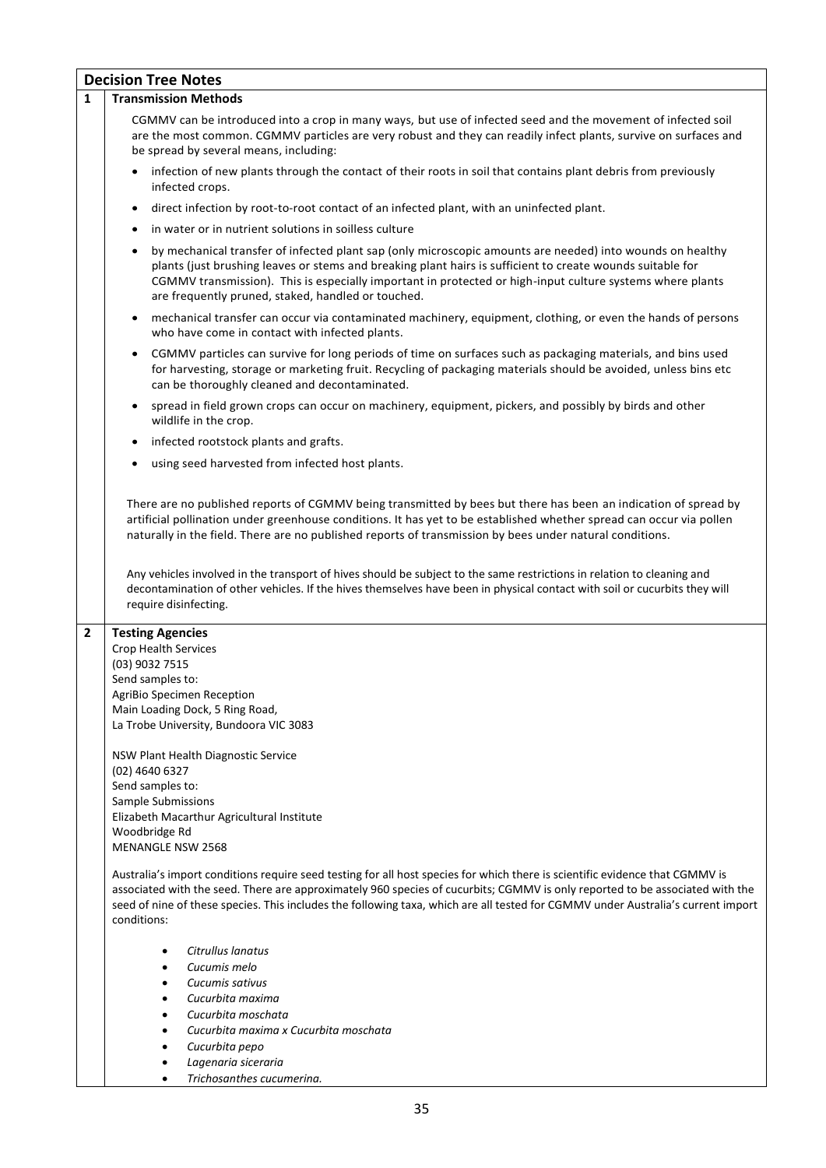|              | <b>Decision Tree Notes</b>                                                                                                                                                                                                                                                                                                                                                                                                                                                                                                                                                                                                                                                                                                                                                                                                               |  |  |  |  |
|--------------|------------------------------------------------------------------------------------------------------------------------------------------------------------------------------------------------------------------------------------------------------------------------------------------------------------------------------------------------------------------------------------------------------------------------------------------------------------------------------------------------------------------------------------------------------------------------------------------------------------------------------------------------------------------------------------------------------------------------------------------------------------------------------------------------------------------------------------------|--|--|--|--|
| $\mathbf{1}$ | <b>Transmission Methods</b>                                                                                                                                                                                                                                                                                                                                                                                                                                                                                                                                                                                                                                                                                                                                                                                                              |  |  |  |  |
|              | CGMMV can be introduced into a crop in many ways, but use of infected seed and the movement of infected soil<br>are the most common. CGMMV particles are very robust and they can readily infect plants, survive on surfaces and<br>be spread by several means, including:                                                                                                                                                                                                                                                                                                                                                                                                                                                                                                                                                               |  |  |  |  |
|              | infection of new plants through the contact of their roots in soil that contains plant debris from previously<br>$\bullet$<br>infected crops.                                                                                                                                                                                                                                                                                                                                                                                                                                                                                                                                                                                                                                                                                            |  |  |  |  |
|              | direct infection by root-to-root contact of an infected plant, with an uninfected plant.<br>$\bullet$                                                                                                                                                                                                                                                                                                                                                                                                                                                                                                                                                                                                                                                                                                                                    |  |  |  |  |
|              | in water or in nutrient solutions in soilless culture<br>$\bullet$                                                                                                                                                                                                                                                                                                                                                                                                                                                                                                                                                                                                                                                                                                                                                                       |  |  |  |  |
|              | by mechanical transfer of infected plant sap (only microscopic amounts are needed) into wounds on healthy<br>$\bullet$<br>plants (just brushing leaves or stems and breaking plant hairs is sufficient to create wounds suitable for<br>CGMMV transmission). This is especially important in protected or high-input culture systems where plants<br>are frequently pruned, staked, handled or touched.                                                                                                                                                                                                                                                                                                                                                                                                                                  |  |  |  |  |
|              | mechanical transfer can occur via contaminated machinery, equipment, clothing, or even the hands of persons<br>who have come in contact with infected plants.                                                                                                                                                                                                                                                                                                                                                                                                                                                                                                                                                                                                                                                                            |  |  |  |  |
|              | CGMMV particles can survive for long periods of time on surfaces such as packaging materials, and bins used<br>$\bullet$<br>for harvesting, storage or marketing fruit. Recycling of packaging materials should be avoided, unless bins etc<br>can be thoroughly cleaned and decontaminated.                                                                                                                                                                                                                                                                                                                                                                                                                                                                                                                                             |  |  |  |  |
|              | spread in field grown crops can occur on machinery, equipment, pickers, and possibly by birds and other<br>$\bullet$<br>wildlife in the crop.                                                                                                                                                                                                                                                                                                                                                                                                                                                                                                                                                                                                                                                                                            |  |  |  |  |
|              | infected rootstock plants and grafts.<br>$\bullet$                                                                                                                                                                                                                                                                                                                                                                                                                                                                                                                                                                                                                                                                                                                                                                                       |  |  |  |  |
|              | using seed harvested from infected host plants.<br>$\bullet$                                                                                                                                                                                                                                                                                                                                                                                                                                                                                                                                                                                                                                                                                                                                                                             |  |  |  |  |
|              | There are no published reports of CGMMV being transmitted by bees but there has been an indication of spread by<br>artificial pollination under greenhouse conditions. It has yet to be established whether spread can occur via pollen<br>naturally in the field. There are no published reports of transmission by bees under natural conditions.<br>Any vehicles involved in the transport of hives should be subject to the same restrictions in relation to cleaning and<br>decontamination of other vehicles. If the hives themselves have been in physical contact with soil or cucurbits they will<br>require disinfecting.                                                                                                                                                                                                      |  |  |  |  |
| 2            | <b>Testing Agencies</b><br>Crop Health Services<br>(03) 9032 7515<br>Send samples to:<br>AgriBio Specimen Reception<br>Main Loading Dock, 5 Ring Road,<br>La Trobe University, Bundoora VIC 3083<br>NSW Plant Health Diagnostic Service<br>$(02)$ 4640 6327<br>Send samples to:<br>Sample Submissions<br>Elizabeth Macarthur Agricultural Institute<br>Woodbridge Rd<br><b>MENANGLE NSW 2568</b><br>Australia's import conditions require seed testing for all host species for which there is scientific evidence that CGMMV is<br>associated with the seed. There are approximately 960 species of cucurbits; CGMMV is only reported to be associated with the<br>seed of nine of these species. This includes the following taxa, which are all tested for CGMMV under Australia's current import<br>conditions:<br>Citrullus lanatus |  |  |  |  |
|              | Cucumis melo<br>Cucumis sativus<br>Cucurbita maxima<br>Cucurbita moschata<br>Cucurbita maxima x Cucurbita moschata<br>Cucurbita pepo<br>Lagenaria siceraria                                                                                                                                                                                                                                                                                                                                                                                                                                                                                                                                                                                                                                                                              |  |  |  |  |
|              | Trichosanthes cucumerina.                                                                                                                                                                                                                                                                                                                                                                                                                                                                                                                                                                                                                                                                                                                                                                                                                |  |  |  |  |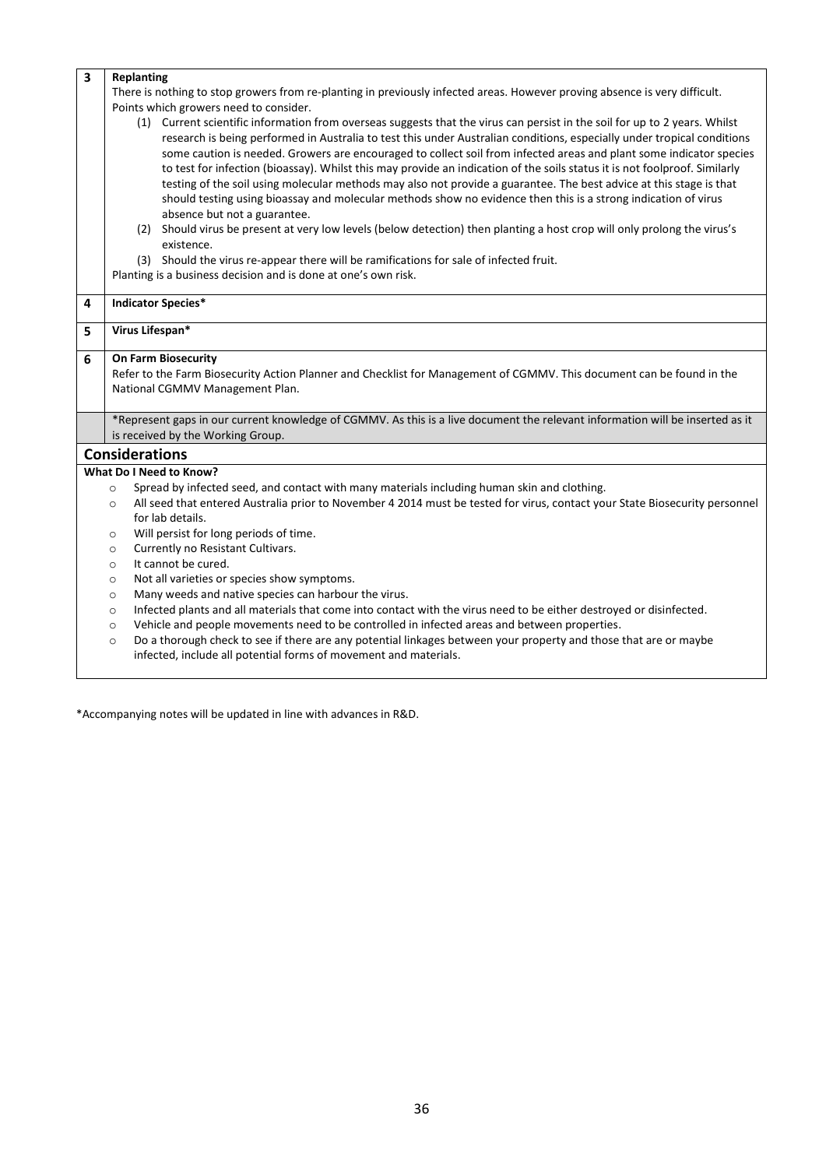| $\overline{\mathbf{3}}$ |                                                                                                                                                                                                 |  |  |  |  |  |
|-------------------------|-------------------------------------------------------------------------------------------------------------------------------------------------------------------------------------------------|--|--|--|--|--|
|                         | <b>Replanting</b>                                                                                                                                                                               |  |  |  |  |  |
|                         | There is nothing to stop growers from re-planting in previously infected areas. However proving absence is very difficult.                                                                      |  |  |  |  |  |
|                         | Points which growers need to consider.                                                                                                                                                          |  |  |  |  |  |
|                         | (1) Current scientific information from overseas suggests that the virus can persist in the soil for up to 2 years. Whilst                                                                      |  |  |  |  |  |
|                         | research is being performed in Australia to test this under Australian conditions, especially under tropical conditions                                                                         |  |  |  |  |  |
|                         | some caution is needed. Growers are encouraged to collect soil from infected areas and plant some indicator species                                                                             |  |  |  |  |  |
|                         | to test for infection (bioassay). Whilst this may provide an indication of the soils status it is not foolproof. Similarly                                                                      |  |  |  |  |  |
|                         | testing of the soil using molecular methods may also not provide a guarantee. The best advice at this stage is that                                                                             |  |  |  |  |  |
|                         | should testing using bioassay and molecular methods show no evidence then this is a strong indication of virus                                                                                  |  |  |  |  |  |
|                         | absence but not a guarantee.                                                                                                                                                                    |  |  |  |  |  |
|                         | (2) Should virus be present at very low levels (below detection) then planting a host crop will only prolong the virus's<br>existence.                                                          |  |  |  |  |  |
|                         | (3) Should the virus re-appear there will be ramifications for sale of infected fruit.                                                                                                          |  |  |  |  |  |
|                         | Planting is a business decision and is done at one's own risk.                                                                                                                                  |  |  |  |  |  |
| 4                       | <b>Indicator Species*</b>                                                                                                                                                                       |  |  |  |  |  |
|                         |                                                                                                                                                                                                 |  |  |  |  |  |
| 5                       | Virus Lifespan*                                                                                                                                                                                 |  |  |  |  |  |
| 6                       | <b>On Farm Biosecurity</b>                                                                                                                                                                      |  |  |  |  |  |
|                         | Refer to the Farm Biosecurity Action Planner and Checklist for Management of CGMMV. This document can be found in the                                                                           |  |  |  |  |  |
|                         | National CGMMV Management Plan.                                                                                                                                                                 |  |  |  |  |  |
|                         |                                                                                                                                                                                                 |  |  |  |  |  |
|                         | *Represent gaps in our current knowledge of CGMMV. As this is a live document the relevant information will be inserted as it<br>is received by the Working Group.                              |  |  |  |  |  |
|                         |                                                                                                                                                                                                 |  |  |  |  |  |
|                         | <b>Considerations</b>                                                                                                                                                                           |  |  |  |  |  |
|                         | <b>What Do I Need to Know?</b>                                                                                                                                                                  |  |  |  |  |  |
|                         |                                                                                                                                                                                                 |  |  |  |  |  |
|                         | Spread by infected seed, and contact with many materials including human skin and clothing.<br>$\circ$                                                                                          |  |  |  |  |  |
|                         | All seed that entered Australia prior to November 4 2014 must be tested for virus, contact your State Biosecurity personnel<br>$\circ$                                                          |  |  |  |  |  |
|                         | for lab details.                                                                                                                                                                                |  |  |  |  |  |
|                         | Will persist for long periods of time.<br>$\circ$                                                                                                                                               |  |  |  |  |  |
|                         | Currently no Resistant Cultivars.<br>$\circ$                                                                                                                                                    |  |  |  |  |  |
|                         | It cannot be cured.<br>$\circ$                                                                                                                                                                  |  |  |  |  |  |
|                         | Not all varieties or species show symptoms.<br>$\circ$                                                                                                                                          |  |  |  |  |  |
|                         | Many weeds and native species can harbour the virus.<br>$\circ$                                                                                                                                 |  |  |  |  |  |
|                         | Infected plants and all materials that come into contact with the virus need to be either destroyed or disinfected.<br>$\circ$                                                                  |  |  |  |  |  |
|                         | Vehicle and people movements need to be controlled in infected areas and between properties.<br>$\circ$                                                                                         |  |  |  |  |  |
|                         | Do a thorough check to see if there are any potential linkages between your property and those that are or maybe<br>$\circ$<br>infected, include all potential forms of movement and materials. |  |  |  |  |  |

\*Accompanying notes will be updated in line with advances in R&D.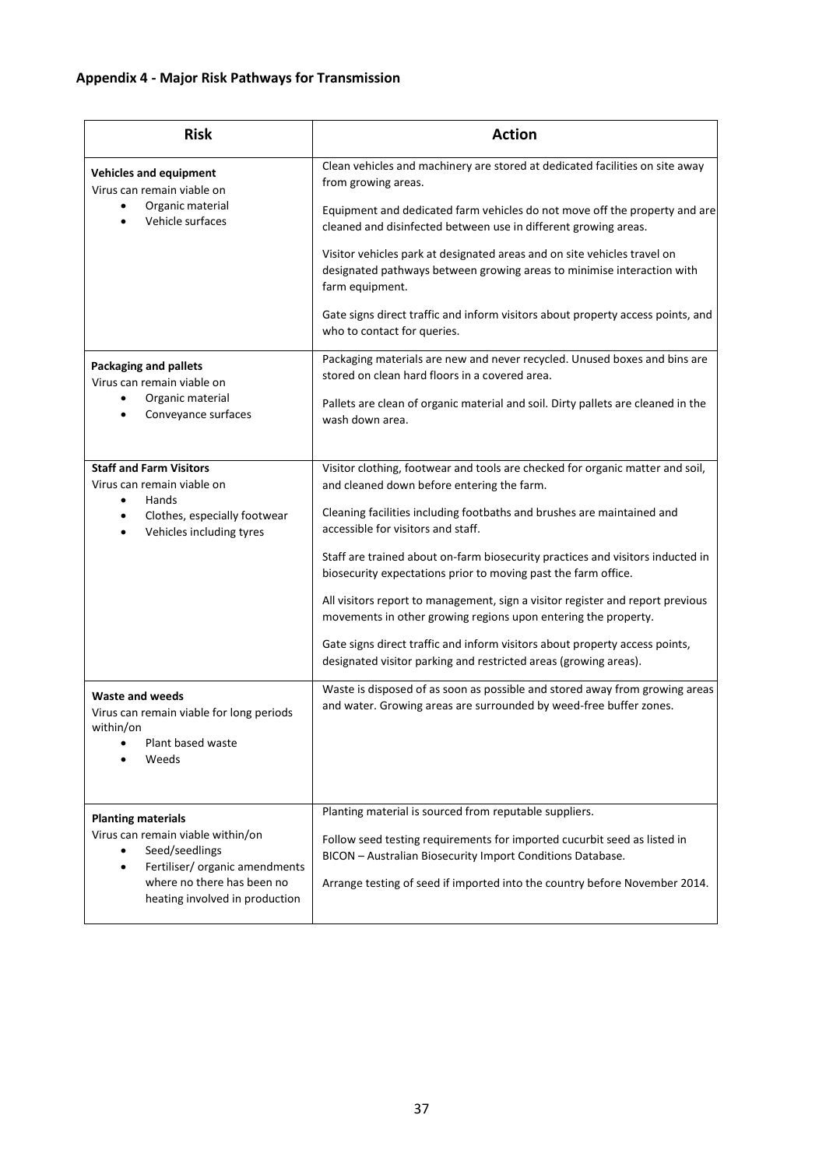# <span id="page-39-0"></span>**Appendix 4 - Major Risk Pathways for Transmission**

| <b>Risk</b>                                                                                                                                                                                     | <b>Action</b>                                                                                                                                                                                                                                                                                                                                                                                                                                                                                                                                                                                                                                                                                          |  |
|-------------------------------------------------------------------------------------------------------------------------------------------------------------------------------------------------|--------------------------------------------------------------------------------------------------------------------------------------------------------------------------------------------------------------------------------------------------------------------------------------------------------------------------------------------------------------------------------------------------------------------------------------------------------------------------------------------------------------------------------------------------------------------------------------------------------------------------------------------------------------------------------------------------------|--|
| <b>Vehicles and equipment</b><br>Virus can remain viable on<br>Organic material<br>Vehicle surfaces                                                                                             | Clean vehicles and machinery are stored at dedicated facilities on site away<br>from growing areas.<br>Equipment and dedicated farm vehicles do not move off the property and are                                                                                                                                                                                                                                                                                                                                                                                                                                                                                                                      |  |
|                                                                                                                                                                                                 | cleaned and disinfected between use in different growing areas.<br>Visitor vehicles park at designated areas and on site vehicles travel on<br>designated pathways between growing areas to minimise interaction with<br>farm equipment.<br>Gate signs direct traffic and inform visitors about property access points, and<br>who to contact for queries.                                                                                                                                                                                                                                                                                                                                             |  |
| <b>Packaging and pallets</b><br>Virus can remain viable on<br>Organic material<br>Conveyance surfaces                                                                                           | Packaging materials are new and never recycled. Unused boxes and bins are<br>stored on clean hard floors in a covered area.<br>Pallets are clean of organic material and soil. Dirty pallets are cleaned in the<br>wash down area.                                                                                                                                                                                                                                                                                                                                                                                                                                                                     |  |
| <b>Staff and Farm Visitors</b><br>Virus can remain viable on<br>Hands<br>$\bullet$<br>Clothes, especially footwear<br>Vehicles including tyres                                                  | Visitor clothing, footwear and tools are checked for organic matter and soil,<br>and cleaned down before entering the farm.<br>Cleaning facilities including footbaths and brushes are maintained and<br>accessible for visitors and staff.<br>Staff are trained about on-farm biosecurity practices and visitors inducted in<br>biosecurity expectations prior to moving past the farm office.<br>All visitors report to management, sign a visitor register and report previous<br>movements in other growing regions upon entering the property.<br>Gate signs direct traffic and inform visitors about property access points,<br>designated visitor parking and restricted areas (growing areas). |  |
| <b>Waste and weeds</b><br>Virus can remain viable for long periods<br>within/on<br>Plant based waste<br>Weeds                                                                                   | Waste is disposed of as soon as possible and stored away from growing areas<br>and water. Growing areas are surrounded by weed-free buffer zones.                                                                                                                                                                                                                                                                                                                                                                                                                                                                                                                                                      |  |
| <b>Planting materials</b><br>Virus can remain viable within/on<br>Seed/seedlings<br>Fertiliser/ organic amendments<br>$\bullet$<br>where no there has been no<br>heating involved in production | Planting material is sourced from reputable suppliers.<br>Follow seed testing requirements for imported cucurbit seed as listed in<br>BICON - Australian Biosecurity Import Conditions Database.<br>Arrange testing of seed if imported into the country before November 2014.                                                                                                                                                                                                                                                                                                                                                                                                                         |  |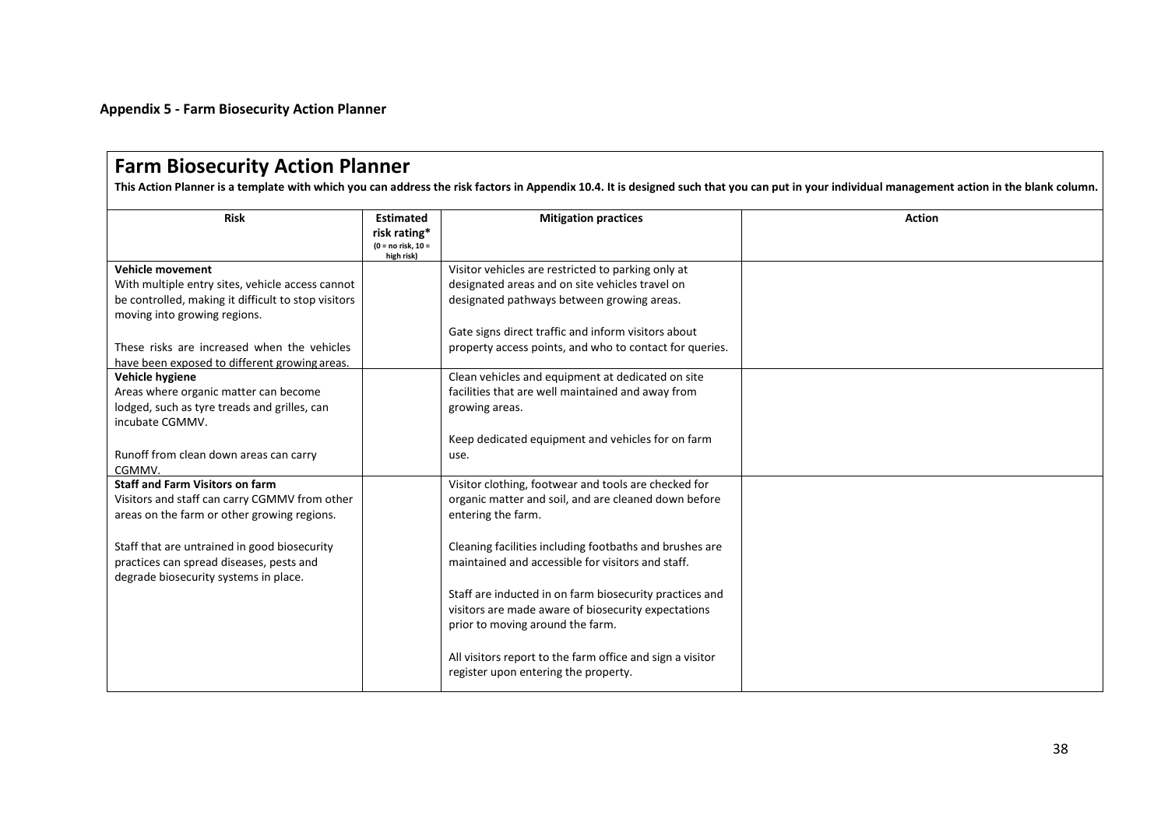**Appendix 5 - Farm Biosecurity Action Planner**

#### <span id="page-40-0"></span>**Farm Biosecurity Action Planner This Action Planner is a template with which you can address the risk factors in Appendix 10.4. It is designed such that you can put in your individual management action in the blank column. Risk Estimated risk rating\* (0 = no risk, 10 = high risk) Mitigation practices Action Vehicle movement** With multiple entry sites, vehicle access cannot be controlled, making it difficult to stop visitors moving into growing regions. These risks are increased when the vehicles have been exposed to different growing areas. Visitor vehicles are restricted to parking only at designated areas and on site vehicles travel on designated pathways between growing areas. Gate signs direct traffic and inform visitors about property access points, and who to contact for queries. **Vehicle hygiene** Areas where organic matter can become lodged, such as tyre treads and grilles, can incubate CGMMV. Runoff from clean down areas can carry CGMMV. Clean vehicles and equipment at dedicated on site facilities that are well maintained and away from growing areas. Keep dedicated equipment and vehicles for on farm use. **Staff and Farm Visitors on farm** Visitors and staff can carry CGMMV from other areas on the farm or other growing regions. Staff that are untrained in good biosecurity practices can spread diseases, pests and degrade biosecurity systems in place. Visitor clothing, footwear and tools are checked for organic matter and soil, and are cleaned down before entering the farm. Cleaning facilities including footbaths and brushes are maintained and accessible for visitors and staff. Staff are inducted in on farm biosecurity practices and visitors are made aware of biosecurity expectations prior to moving around the farm. All visitors report to the farm office and sign a visitor register upon entering the property.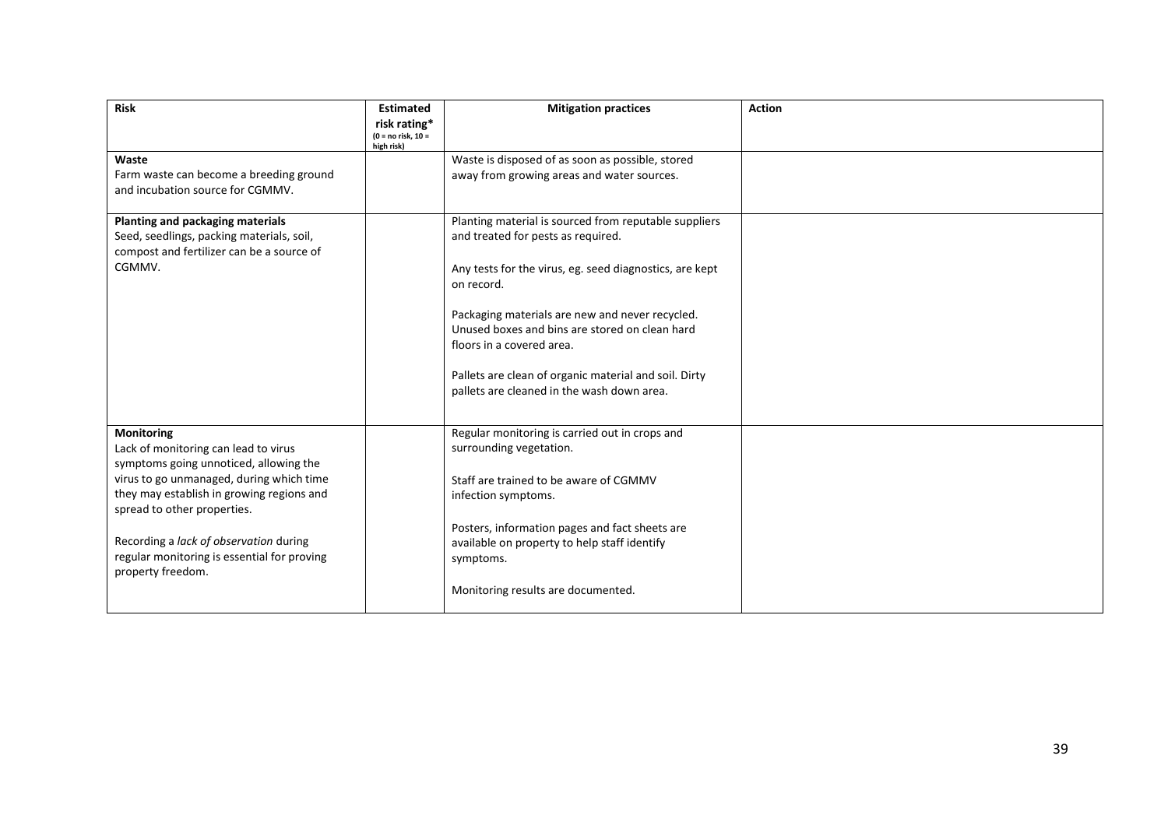| <b>Risk</b>                                                                                                                                                                                                                                                                                                                               | <b>Estimated</b><br>risk rating*<br>$(0 = no risk, 10 =$<br>high risk) | <b>Mitigation practices</b>                                                                                                                                                                                                                                                                                                                                                                                   | <b>Action</b> |
|-------------------------------------------------------------------------------------------------------------------------------------------------------------------------------------------------------------------------------------------------------------------------------------------------------------------------------------------|------------------------------------------------------------------------|---------------------------------------------------------------------------------------------------------------------------------------------------------------------------------------------------------------------------------------------------------------------------------------------------------------------------------------------------------------------------------------------------------------|---------------|
| Waste<br>Farm waste can become a breeding ground<br>and incubation source for CGMMV.                                                                                                                                                                                                                                                      |                                                                        | Waste is disposed of as soon as possible, stored<br>away from growing areas and water sources.                                                                                                                                                                                                                                                                                                                |               |
| Planting and packaging materials<br>Seed, seedlings, packing materials, soil,<br>compost and fertilizer can be a source of<br>CGMMV.                                                                                                                                                                                                      |                                                                        | Planting material is sourced from reputable suppliers<br>and treated for pests as required.<br>Any tests for the virus, eg. seed diagnostics, are kept<br>on record.<br>Packaging materials are new and never recycled.<br>Unused boxes and bins are stored on clean hard<br>floors in a covered area.<br>Pallets are clean of organic material and soil. Dirty<br>pallets are cleaned in the wash down area. |               |
| <b>Monitoring</b><br>Lack of monitoring can lead to virus<br>symptoms going unnoticed, allowing the<br>virus to go unmanaged, during which time<br>they may establish in growing regions and<br>spread to other properties.<br>Recording a lack of observation during<br>regular monitoring is essential for proving<br>property freedom. |                                                                        | Regular monitoring is carried out in crops and<br>surrounding vegetation.<br>Staff are trained to be aware of CGMMV<br>infection symptoms.<br>Posters, information pages and fact sheets are<br>available on property to help staff identify<br>symptoms.<br>Monitoring results are documented.                                                                                                               |               |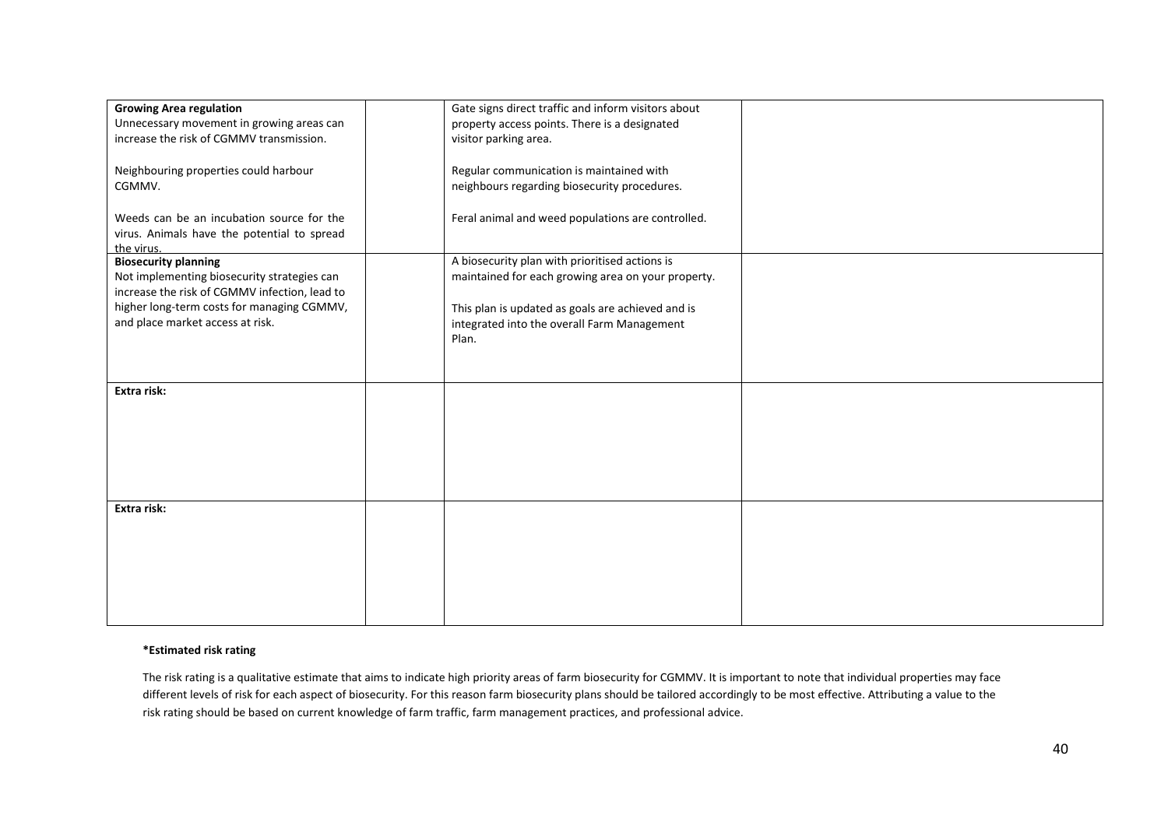| <b>Growing Area regulation</b>                | Gate signs direct traffic and inform visitors about |  |
|-----------------------------------------------|-----------------------------------------------------|--|
| Unnecessary movement in growing areas can     | property access points. There is a designated       |  |
| increase the risk of CGMMV transmission.      | visitor parking area.                               |  |
|                                               |                                                     |  |
| Neighbouring properties could harbour         | Regular communication is maintained with            |  |
| CGMMV.                                        | neighbours regarding biosecurity procedures.        |  |
|                                               |                                                     |  |
| Weeds can be an incubation source for the     | Feral animal and weed populations are controlled.   |  |
|                                               |                                                     |  |
| virus. Animals have the potential to spread   |                                                     |  |
| the virus.<br><b>Biosecurity planning</b>     | A biosecurity plan with prioritised actions is      |  |
| Not implementing biosecurity strategies can   | maintained for each growing area on your property.  |  |
| increase the risk of CGMMV infection, lead to |                                                     |  |
| higher long-term costs for managing CGMMV,    |                                                     |  |
|                                               | This plan is updated as goals are achieved and is   |  |
| and place market access at risk.              | integrated into the overall Farm Management         |  |
|                                               | Plan.                                               |  |
|                                               |                                                     |  |
|                                               |                                                     |  |
| Extra risk:                                   |                                                     |  |
|                                               |                                                     |  |
|                                               |                                                     |  |
|                                               |                                                     |  |
|                                               |                                                     |  |
|                                               |                                                     |  |
|                                               |                                                     |  |
|                                               |                                                     |  |
| Extra risk:                                   |                                                     |  |
|                                               |                                                     |  |
|                                               |                                                     |  |
|                                               |                                                     |  |
|                                               |                                                     |  |
|                                               |                                                     |  |
|                                               |                                                     |  |
|                                               |                                                     |  |
|                                               |                                                     |  |

#### **\*Estimated risk rating**

The risk rating is a qualitative estimate that aims to indicate high priority areas of farm biosecurity for CGMMV. It is important to note that individual properties may face different levels of risk for each aspect of biosecurity. For this reason farm biosecurity plans should be tailored accordingly to be most effective. Attributing a value to the risk rating should be based on current knowledge of farm traffic, farm management practices, and professional advice.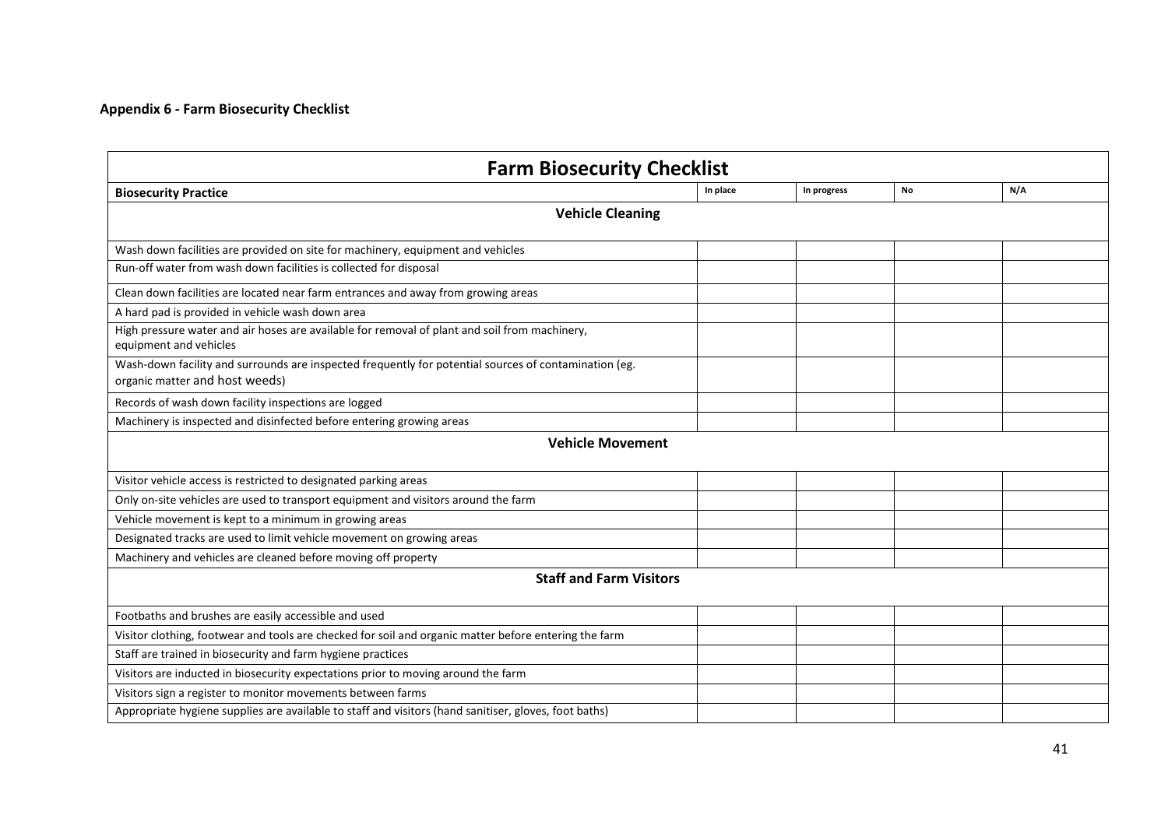### **Appendix 6 - Farm Biosecurity Checklist**

<span id="page-43-0"></span>

| <b>Farm Biosecurity Checklist</b>                                                                                                       |          |             |    |     |  |  |  |
|-----------------------------------------------------------------------------------------------------------------------------------------|----------|-------------|----|-----|--|--|--|
| <b>Biosecurity Practice</b>                                                                                                             | In place | In progress | No | N/A |  |  |  |
| <b>Vehicle Cleaning</b>                                                                                                                 |          |             |    |     |  |  |  |
| Wash down facilities are provided on site for machinery, equipment and vehicles                                                         |          |             |    |     |  |  |  |
| Run-off water from wash down facilities is collected for disposal                                                                       |          |             |    |     |  |  |  |
| Clean down facilities are located near farm entrances and away from growing areas                                                       |          |             |    |     |  |  |  |
| A hard pad is provided in vehicle wash down area                                                                                        |          |             |    |     |  |  |  |
| High pressure water and air hoses are available for removal of plant and soil from machinery,<br>equipment and vehicles                 |          |             |    |     |  |  |  |
| Wash-down facility and surrounds are inspected frequently for potential sources of contamination (eg.<br>organic matter and host weeds) |          |             |    |     |  |  |  |
| Records of wash down facility inspections are logged                                                                                    |          |             |    |     |  |  |  |
| Machinery is inspected and disinfected before entering growing areas                                                                    |          |             |    |     |  |  |  |
| <b>Vehicle Movement</b>                                                                                                                 |          |             |    |     |  |  |  |
| Visitor vehicle access is restricted to designated parking areas                                                                        |          |             |    |     |  |  |  |
| Only on-site vehicles are used to transport equipment and visitors around the farm                                                      |          |             |    |     |  |  |  |
| Vehicle movement is kept to a minimum in growing areas                                                                                  |          |             |    |     |  |  |  |
| Designated tracks are used to limit vehicle movement on growing areas                                                                   |          |             |    |     |  |  |  |
| Machinery and vehicles are cleaned before moving off property                                                                           |          |             |    |     |  |  |  |
| <b>Staff and Farm Visitors</b>                                                                                                          |          |             |    |     |  |  |  |
| Footbaths and brushes are easily accessible and used                                                                                    |          |             |    |     |  |  |  |
| Visitor clothing, footwear and tools are checked for soil and organic matter before entering the farm                                   |          |             |    |     |  |  |  |
| Staff are trained in biosecurity and farm hygiene practices                                                                             |          |             |    |     |  |  |  |
| Visitors are inducted in biosecurity expectations prior to moving around the farm                                                       |          |             |    |     |  |  |  |
| Visitors sign a register to monitor movements between farms                                                                             |          |             |    |     |  |  |  |
| Appropriate hygiene supplies are available to staff and visitors (hand sanitiser, gloves, foot baths)                                   |          |             |    |     |  |  |  |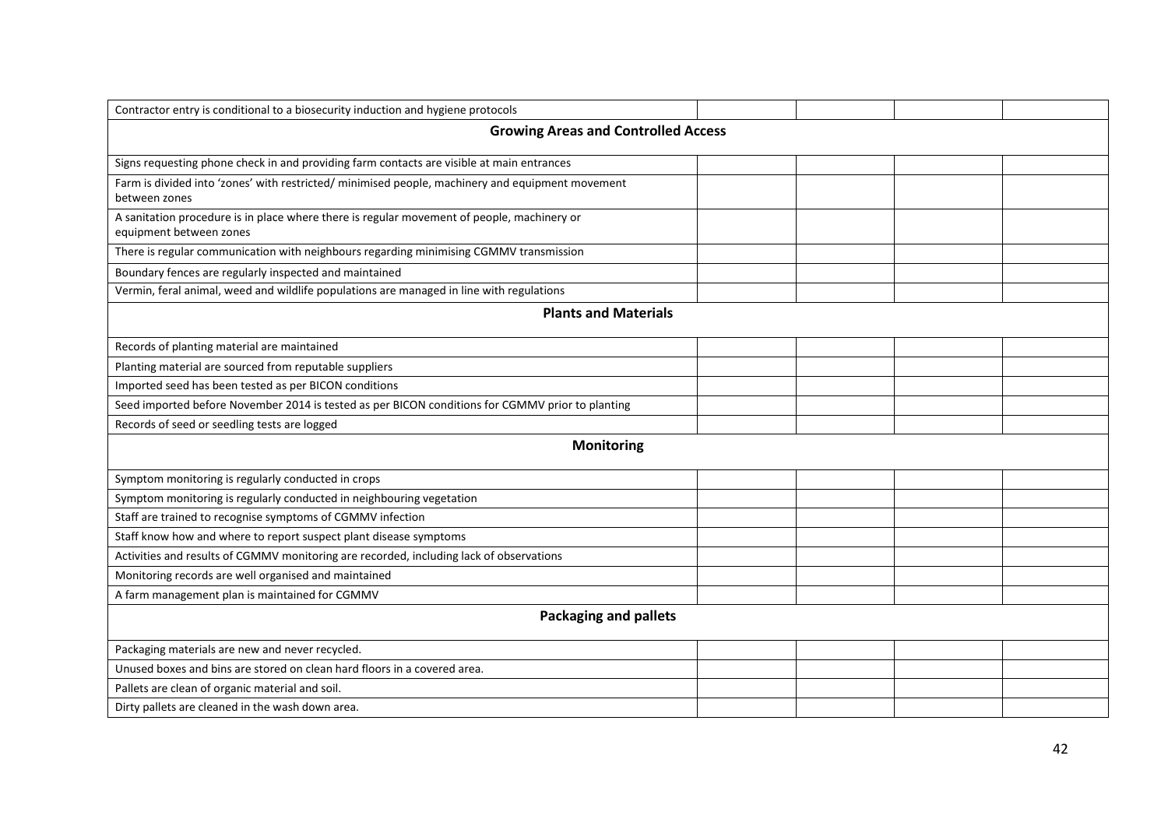| Contractor entry is conditional to a biosecurity induction and hygiene protocols                                      |  |  |  |  |  |  |  |
|-----------------------------------------------------------------------------------------------------------------------|--|--|--|--|--|--|--|
| <b>Growing Areas and Controlled Access</b>                                                                            |  |  |  |  |  |  |  |
| Signs requesting phone check in and providing farm contacts are visible at main entrances                             |  |  |  |  |  |  |  |
| Farm is divided into 'zones' with restricted/ minimised people, machinery and equipment movement<br>between zones     |  |  |  |  |  |  |  |
| A sanitation procedure is in place where there is regular movement of people, machinery or<br>equipment between zones |  |  |  |  |  |  |  |
| There is regular communication with neighbours regarding minimising CGMMV transmission                                |  |  |  |  |  |  |  |
| Boundary fences are regularly inspected and maintained                                                                |  |  |  |  |  |  |  |
| Vermin, feral animal, weed and wildlife populations are managed in line with regulations                              |  |  |  |  |  |  |  |
| <b>Plants and Materials</b>                                                                                           |  |  |  |  |  |  |  |
| Records of planting material are maintained                                                                           |  |  |  |  |  |  |  |
| Planting material are sourced from reputable suppliers                                                                |  |  |  |  |  |  |  |
| Imported seed has been tested as per BICON conditions                                                                 |  |  |  |  |  |  |  |
| Seed imported before November 2014 is tested as per BICON conditions for CGMMV prior to planting                      |  |  |  |  |  |  |  |
| Records of seed or seedling tests are logged                                                                          |  |  |  |  |  |  |  |
| <b>Monitoring</b>                                                                                                     |  |  |  |  |  |  |  |
| Symptom monitoring is regularly conducted in crops                                                                    |  |  |  |  |  |  |  |
| Symptom monitoring is regularly conducted in neighbouring vegetation                                                  |  |  |  |  |  |  |  |
| Staff are trained to recognise symptoms of CGMMV infection                                                            |  |  |  |  |  |  |  |
| Staff know how and where to report suspect plant disease symptoms                                                     |  |  |  |  |  |  |  |
| Activities and results of CGMMV monitoring are recorded, including lack of observations                               |  |  |  |  |  |  |  |
| Monitoring records are well organised and maintained                                                                  |  |  |  |  |  |  |  |
| A farm management plan is maintained for CGMMV                                                                        |  |  |  |  |  |  |  |
| <b>Packaging and pallets</b>                                                                                          |  |  |  |  |  |  |  |
| Packaging materials are new and never recycled.                                                                       |  |  |  |  |  |  |  |
| Unused boxes and bins are stored on clean hard floors in a covered area.                                              |  |  |  |  |  |  |  |
| Pallets are clean of organic material and soil.                                                                       |  |  |  |  |  |  |  |
| Dirty pallets are cleaned in the wash down area.                                                                      |  |  |  |  |  |  |  |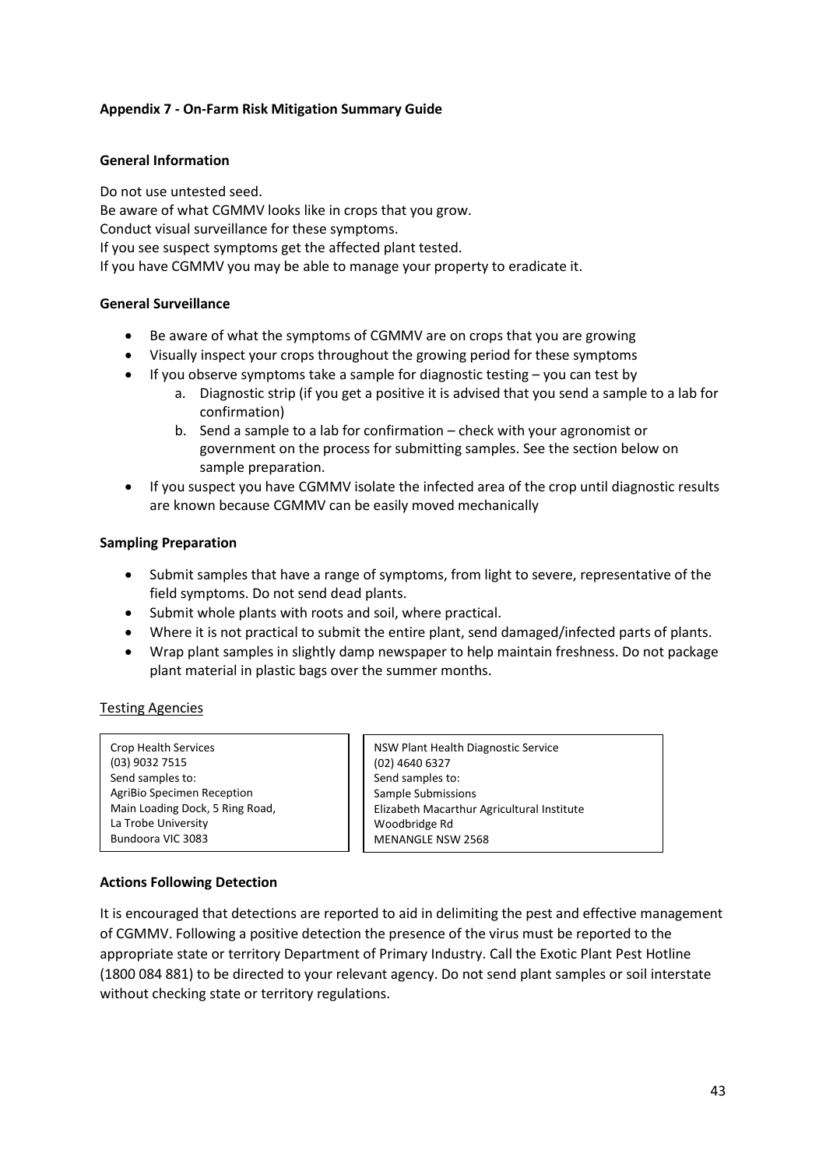#### <span id="page-45-0"></span>**Appendix 7 - On-Farm Risk Mitigation Summary Guide**

#### **General Information**

Do not use untested seed. Be aware of what CGMMV looks like in crops that you grow. Conduct visual surveillance for these symptoms. If you see suspect symptoms get the affected plant tested. If you have CGMMV you may be able to manage your property to eradicate it.

#### **General Surveillance**

- Be aware of what the symptoms of CGMMV are on crops that you are growing
- Visually inspect your crops throughout the growing period for these symptoms
- $\bullet$  If you observe symptoms take a sample for diagnostic testing  $-$  you can test by
	- a. Diagnostic strip (if you get a positive it is advised that you send a sample to a lab for confirmation)
	- b. Send a sample to a lab for confirmation check with your agronomist or government on the process for submitting samples. See the section below on sample preparation.
- If you suspect you have CGMMV isolate the infected area of the crop until diagnostic results are known because CGMMV can be easily moved mechanically

#### **Sampling Preparation**

- Submit samples that have a range of symptoms, from light to severe, representative of the field symptoms. Do not send dead plants.
- Submit whole plants with roots and soil, where practical.
- Where it is not practical to submit the entire plant, send damaged/infected parts of plants.
- Wrap plant samples in slightly damp newspaper to help maintain freshness. Do not package plant material in plastic bags over the summer months.

#### Testing Agencies

| <b>Crop Health Services</b>     |
|---------------------------------|
| (03) 9032 7515                  |
| Send samples to:                |
| AgriBio Specimen Reception      |
| Main Loading Dock, 5 Ring Road, |
| La Trobe University             |
| Bundoora VIC 3083               |

NSW Plant Health Diagnostic Service (02) 4640 6327 Send samples to: Sample Submissions Elizabeth Macarthur Agricultural Institute Woodbridge Rd MENANGLE NSW 2568

#### **Actions Following Detection**

It is encouraged that detections are reported to aid in delimiting the pest and effective management of CGMMV. Following a positive detection the presence of the virus must be reported to the appropriate state or territory Department of Primary Industry. Call the Exotic Plant Pest Hotline (1800 084 881) to be directed to your relevant agency. Do not send plant samples or soil interstate without checking state or territory regulations.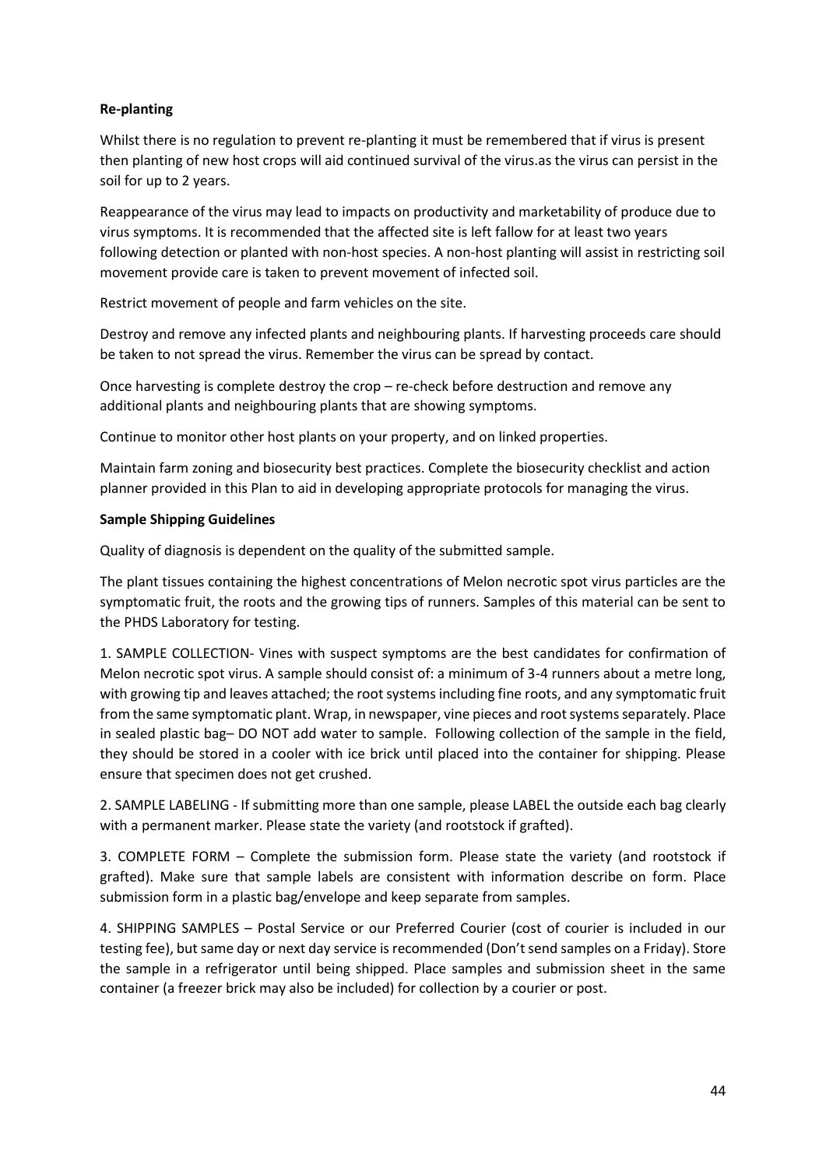### **Re-planting**

Whilst there is no regulation to prevent re-planting it must be remembered that if virus is present then planting of new host crops will aid continued survival of the virus.as the virus can persist in the soil for up to 2 years.

Reappearance of the virus may lead to impacts on productivity and marketability of produce due to virus symptoms. It is recommended that the affected site is left fallow for at least two years following detection or planted with non-host species. A non-host planting will assist in restricting soil movement provide care is taken to prevent movement of infected soil.

Restrict movement of people and farm vehicles on the site.

Destroy and remove any infected plants and neighbouring plants. If harvesting proceeds care should be taken to not spread the virus. Remember the virus can be spread by contact.

Once harvesting is complete destroy the crop – re-check before destruction and remove any additional plants and neighbouring plants that are showing symptoms.

Continue to monitor other host plants on your property, and on linked properties.

Maintain farm zoning and biosecurity best practices. Complete the biosecurity checklist and action planner provided in this Plan to aid in developing appropriate protocols for managing the virus.

#### **Sample Shipping Guidelines**

Quality of diagnosis is dependent on the quality of the submitted sample.

The plant tissues containing the highest concentrations of Melon necrotic spot virus particles are the symptomatic fruit, the roots and the growing tips of runners. Samples of this material can be sent to the PHDS Laboratory for testing.

1. SAMPLE COLLECTION- Vines with suspect symptoms are the best candidates for confirmation of Melon necrotic spot virus. A sample should consist of: a minimum of 3-4 runners about a metre long, with growing tip and leaves attached; the root systems including fine roots, and any symptomatic fruit from the same symptomatic plant. Wrap, in newspaper, vine pieces and root systems separately. Place in sealed plastic bag– DO NOT add water to sample. Following collection of the sample in the field, they should be stored in a cooler with ice brick until placed into the container for shipping. Please ensure that specimen does not get crushed.

2. SAMPLE LABELING - If submitting more than one sample, please LABEL the outside each bag clearly with a permanent marker. Please state the variety (and rootstock if grafted).

3. COMPLETE FORM – Complete the submission form. Please state the variety (and rootstock if grafted). Make sure that sample labels are consistent with information describe on form. Place submission form in a plastic bag/envelope and keep separate from samples.

4. SHIPPING SAMPLES – Postal Service or our Preferred Courier (cost of courier is included in our testing fee), but same day or next day service is recommended (Don't send samples on a Friday). Store the sample in a refrigerator until being shipped. Place samples and submission sheet in the same container (a freezer brick may also be included) for collection by a courier or post.